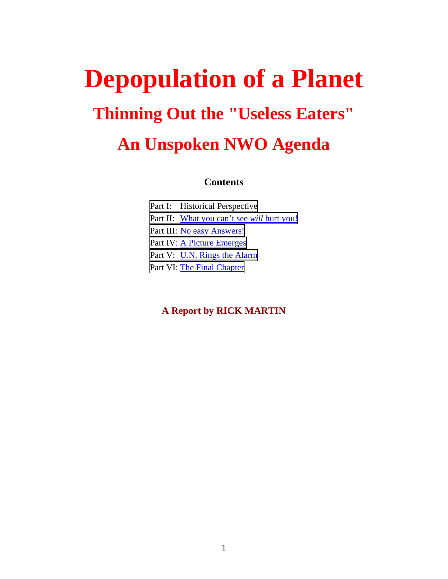# **Depopulation of a Planet Thinning Out the "Useless Eaters" An Unspoken NWO Agenda**

## **Contents**

[Part I: Historical Perspective](#page-1-0) [Part II:](#page-20-0) What you can't see *will* hurt you! [Part III:](#page-41-0) No easy Answers! [Part IV:](#page-59-0) A Picture Emerges [Part V:](#page-82-0) U.N. Rings the Alarm [Part VI:](#page-110-0) The Final Chapter

# **A Report by RICK MARTIN**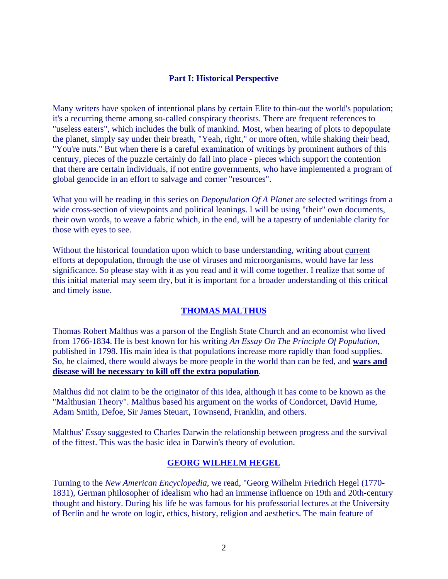#### **Part I: Historical Perspective**

<span id="page-1-0"></span>Many writers have spoken of intentional plans by certain Elite to thin-out the world's population; it's a recurring theme among so-called conspiracy theorists. There are frequent references to "useless eaters", which includes the bulk of mankind. Most, when hearing of plots to depopulate the planet, simply say under their breath, "Yeah, right," or more often, while shaking their head, "You're nuts." But when there is a careful examination of writings by prominent authors of this century, pieces of the puzzle certainly do fall into place - pieces which support the contention that there are certain individuals, if not entire governments, who have implemented a program of global genocide in an effort to salvage and corner "resources".

What you will be reading in this series on *Depopulation Of A Planet* are selected writings from a wide cross-section of viewpoints and political leanings. I will be using "their" own documents, their own words, to weave a fabric which, in the end, will be a tapestry of undeniable clarity for those with eyes to see.

Without the historical foundation upon which to base understanding, writing about current efforts at depopulation, through the use of viruses and microorganisms, would have far less significance. So please stay with it as you read and it will come together. I realize that some of this initial material may seem dry, but it is important for a broader understanding of this critical and timely issue.

## **[THOMAS MALTHUS](http://cepa.newschool.edu/het/profiles/malthus.htm)**

Thomas Robert Malthus was a parson of the English State Church and an economist who lived from 1766-1834. He is best known for his writing *An Essay On The Principle Of Population*, published in 1798. His main idea is that populations increase more rapidly than food supplies. So, he claimed, there would always be more people in the world than can be fed, and **wars and disease will be necessary to kill off the extra population**.

Malthus did not claim to be the originator of this idea, although it has come to be known as the "Malthusian Theory". Malthus based his argument on the works of Condorcet, David Hume, Adam Smith, Defoe, Sir James Steuart, Townsend, Franklin, and others.

Malthus' *Essay* suggested to Charles Darwin the relationship between progress and the survival of the fittest. This was the basic idea in Darwin's theory of evolution.

#### **[GEORG WILHELM HEGEL](http://plato.stanford.edu/entries/hegel/)**

Turning to the *New American Encyclopedia*, we read, "Georg Wilhelm Friedrich Hegel (1770- 1831), German philosopher of idealism who had an immense influence on 19th and 20th-century thought and history. During his life he was famous for his professorial lectures at the University of Berlin and he wrote on logic, ethics, history, religion and aesthetics. The main feature of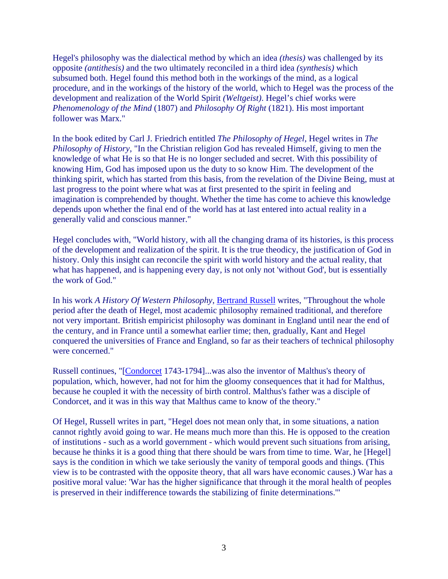Hegel's philosophy was the dialectical method by which an idea *(thesis)* was challenged by its opposite *(antithesis)* and the two ultimately reconciled in a third idea *(synthesis)* which subsumed both. Hegel found this method both in the workings of the mind, as a logical procedure, and in the workings of the history of the world, which to Hegel was the process of the development and realization of the World Spirit *(Weltgeist)*. Hegel's chief works were *Phenomenology of the Mind* (1807) and *Philosophy Of Right* (1821). His most important follower was Marx."

In the book edited by Carl J. Friedrich entitled *The Philosophy of Hegel*, Hegel writes in *The Philosophy of History*, "In the Christian religion God has revealed Himself, giving to men the knowledge of what He is so that He is no longer secluded and secret. With this possibility of knowing Him, God has imposed upon us the duty to so know Him. The development of the thinking spirit, which has started from this basis, from the revelation of the Divine Being, must at last progress to the point where what was at first presented to the spirit in feeling and imagination is comprehended by thought. Whether the time has come to achieve this knowledge depends upon whether the final end of the world has at last entered into actual reality in a generally valid and conscious manner."

Hegel concludes with, "World history, with all the changing drama of its histories, is this process of the development and realization of the spirit. It is the true theodicy, the justification of God in history. Only this insight can reconcile the spirit with world history and the actual reality, that what has happened, and is happening every day, is not only not 'without God', but is essentially the work of God."

In his work *A History Of Western Philosophy*, [Bertrand Russell](http://www.mcmaster.ca/russdocs/russell1.htm) writes, "Throughout the whole period after the death of Hegel, most academic philosophy remained traditional, and therefore not very important. British empiricist philosophy was dominant in England until near the end of the century, and in France until a somewhat earlier time; then, gradually, Kant and Hegel conquered the universities of France and England, so far as their teachers of technical philosophy were concerned."

Russell continues, "[\[Condorcet](http://www-groups.dcs.st-and.ac.uk/%7Ehistory/Mathematicians/Condorcet.html) 1743-1794]...was also the inventor of Malthus's theory of population, which, however, had not for him the gloomy consequences that it had for Malthus, because he coupled it with the necessity of birth control. Malthus's father was a disciple of Condorcet, and it was in this way that Malthus came to know of the theory."

Of Hegel, Russell writes in part, "Hegel does not mean only that, in some situations, a nation cannot rightly avoid going to war. He means much more than this. He is opposed to the creation of institutions - such as a world government - which would prevent such situations from arising, because he thinks it is a good thing that there should be wars from time to time. War, he [Hegel] says is the condition in which we take seriously the vanity of temporal goods and things. (This view is to be contrasted with the opposite theory, that all wars have economic causes.) War has a positive moral value: 'War has the higher significance that through it the moral health of peoples is preserved in their indifference towards the stabilizing of finite determinations.'"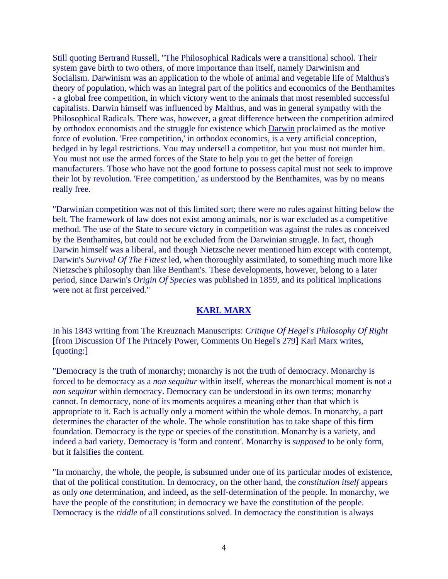Still quoting Bertrand Russell, "The Philosophical Radicals were a transitional school. Their system gave birth to two others, of more importance than itself, namely Darwinism and Socialism. Darwinism was an application to the whole of animal and vegetable life of Malthus's theory of population, which was an integral part of the politics and economics of the Benthamites - a global free competition, in which victory went to the animals that most resembled successful capitalists. Darwin himself was influenced by Malthus, and was in general sympathy with the Philosophical Radicals. There was, however, a great difference between the competition admired by orthodox economists and the struggle for existence which [Darwin](http://www.lib.virginia.edu/science/parshall/darwin.html) proclaimed as the motive force of evolution. 'Free competition,' in orthodox economics, is a very artificial conception, hedged in by legal restrictions. You may undersell a competitor, but you must not murder him. You must not use the armed forces of the State to help you to get the better of foreign manufacturers. Those who have not the good fortune to possess capital must not seek to improve their lot by revolution. 'Free competition,' as understood by the Benthamites, was by no means really free.

"Darwinian competition was not of this limited sort; there were no rules against hitting below the belt. The framework of law does not exist among animals, nor is war excluded as a competitive method. The use of the State to secure victory in competition was against the rules as conceived by the Benthamites, but could not be excluded from the Darwinian struggle. In fact, though Darwin himself was a liberal, and though Nietzsche never mentioned him except with contempt, Darwin's *Survival Of The Fittest* led, when thoroughly assimilated, to something much more like Nietzsche's philosophy than like Bentham's. These developments, however, belong to a later period, since Darwin's *Origin Of Species* was published in 1859, and its political implications were not at first perceived."

# **[KARL MARX](http://www.pagesz.net/%7Estevek/intellect/marx.html)**

In his 1843 writing from The Kreuznach Manuscripts: *Critique Of Hegel's Philosophy Of Right* [from Discussion Of The Princely Power, Comments On Hegel's 279] Karl Marx writes, [quoting:]

"Democracy is the truth of monarchy; monarchy is not the truth of democracy. Monarchy is forced to be democracy as a *non sequitur* within itself, whereas the monarchical moment is not a *non sequitur* within democracy. Democracy can be understood in its own terms; monarchy cannot. In democracy, none of its moments acquires a meaning other than that which is appropriate to it. Each is actually only a moment within the whole demos. In monarchy, a part determines the character of the whole. The whole constitution has to take shape of this firm foundation. Democracy is the type or species of the constitution. Monarchy is a variety, and indeed a bad variety. Democracy is 'form and content'. Monarchy is *supposed* to be only form, but it falsifies the content.

"In monarchy, the whole, the people, is subsumed under one of its particular modes of existence, that of the political constitution. In democracy, on the other hand, the *constitution itself* appears as only *one* determination, and indeed, as the self-determination of the people. In monarchy, we have the people of the constitution; in democracy we have the constitution of the people. Democracy is the *riddle* of all constitutions solved. In democracy the constitution is always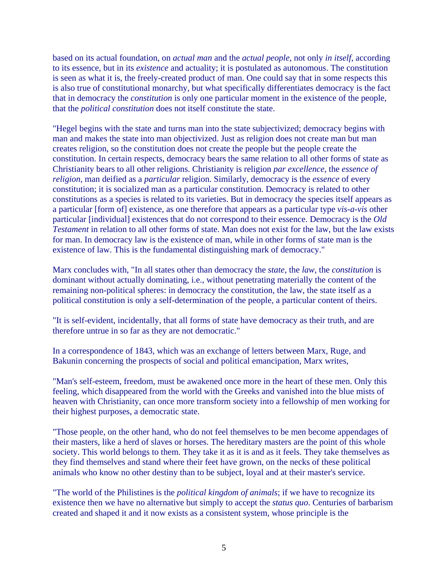based on its actual foundation, on *actual man* and the *actual people*, not only *in itself*, according to its essence, but in its *existence* and actuality; it is postulated as autonomous. The constitution is seen as what it is, the freely-created product of man. One could say that in some respects this is also true of constitutional monarchy, but what specifically differentiates democracy is the fact that in democracy the *constitution* is only one particular moment in the existence of the people, that the *political constitution* does not itself constitute the state.

"Hegel begins with the state and turns man into the state subjectivized; democracy begins with man and makes the state into man objectivized. Just as religion does not create man but man creates religion, so the constitution does not create the people but the people create the constitution. In certain respects, democracy bears the same relation to all other forms of state as Christianity bears to all other religions. Christianity is religion *par excellence*, the *essence of religion*, man deified as a *particular* religion. Similarly, democracy is the *essence* of every constitution; it is socialized man as a particular constitution. Democracy is related to other constitutions as a species is related to its varieties. But in democracy the species itself appears as a particular [form of] existence, as one therefore that appears as a particular type *vis-a-vis* other particular [individual] existences that do not correspond to their essence. Democracy is the *Old Testament* in relation to all other forms of state. Man does not exist for the law, but the law exists for man. In democracy law is the existence of man, while in other forms of state man is the existence of law. This is the fundamental distinguishing mark of democracy."

Marx concludes with, "In all states other than democracy the *state*, the *law*, the *constitution* is dominant without actually dominating, i.e., without penetrating materially the content of the remaining non-political spheres: in democracy the constitution, the law, the state itself as a political constitution is only a self-determination of the people, a particular content of theirs.

"It is self-evident, incidentally, that all forms of state have democracy as their truth, and are therefore untrue in so far as they are not democratic."

In a correspondence of 1843, which was an exchange of letters between Marx, Ruge, and Bakunin concerning the prospects of social and political emancipation, Marx writes,

"Man's self-esteem, freedom, must be awakened once more in the heart of these men. Only this feeling, which disappeared from the world with the Greeks and vanished into the blue mists of heaven with Christianity, can once more transform society into a fellowship of men working for their highest purposes, a democratic state.

"Those people, on the other hand, who do not feel themselves to be men become appendages of their masters, like a herd of slaves or horses. The hereditary masters are the point of this whole society. This world belongs to them. They take it as it is and as it feels. They take themselves as they find themselves and stand where their feet have grown, on the necks of these political animals who know no other destiny than to be subject, loyal and at their master's service.

"The world of the Philistines is the *political kingdom of animals*; if we have to recognize its existence then we have no alternative but simply to accept the *status quo*. Centuries of barbarism created and shaped it and it now exists as a consistent system, whose principle is the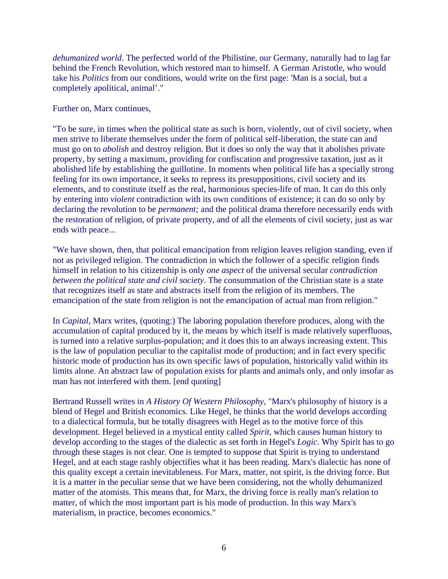*dehumanized world*. The perfected world of the Philistine, our Germany, naturally had to lag far behind the French Revolution, which restored man to himself. A German Aristotle, who would take his *Politics* from our conditions, would write on the first page: 'Man is a social, but a completely apolitical, animal'."

#### Further on, Marx continues,

"To be sure, in times when the political state as such is born, violently, out of civil society, when men strive to liberate themselves under the form of political self-liberation, the state can and must go on to *abolish* and destroy religion. But it does so only the way that it abolishes private property, by setting a maximum, providing for confiscation and progressive taxation, just as it abolished life by establishing the guillotine. In moments when political life has a specially strong feeling for its own importance, it seeks to repress its presuppositions, civil society and its elements, and to constitute itself as the real, harmonious species-life of man. It can do this only by entering into *violent* contradiction with its own conditions of existence; it can do so only by declaring the revolution to be *permanent;* and the political drama therefore necessarily ends with the restoration of religion, of private property, and of all the elements of civil society, just as war ends with peace...

"We have shown, then, that political emancipation from religion leaves religion standing, even if not as privileged religion. The contradiction in which the follower of a specific religion finds himself in relation to his citizenship is only *one aspect* of the universal secular *contradiction between the political state and civil society*. The consummation of the Christian state is a state that recognizes itself as state and abstracts itself from the religion of its members. The emancipation of the state from religion is not the emancipation of actual man from religion."

In *Capital*, Marx writes, (quoting:) The laboring population therefore produces, along with the accumulation of capital produced by it, the means by which itself is made relatively superfluous, is turned into a relative surplus-population; and it does this to an always increasing extent. This is the law of population peculiar to the capitalist mode of production; and in fact every specific historic mode of production has its own specific laws of population, historically valid within its limits alone. An abstract law of population exists for plants and animals only, and only insofar as man has not interfered with them. [end quoting]

Bertrand Russell writes in *A History Of Western Philosophy*, "Marx's philosophy of history is a blend of Hegel and British economics. Like Hegel, he thinks that the world develops according to a dialectical formula, but he totally disagrees with Hegel as to the motive force of this development. Hegel believed in a mystical entity called *Spirit*, which causes human history to develop according to the stages of the dialectic as set forth in Hegel's *Logic*. Why Spirit has to go through these stages is not clear. One is tempted to suppose that Spirit is trying to understand Hegel, and at each stage rashly objectifies what it has been reading. Marx's dialectic has none of this quality except a certain inevitableness. For Marx, matter, not spirit, is the driving force. But it is a matter in the peculiar sense that we have been considering, not the wholly dehumanized matter of the atomists. This means that, for Marx, the driving force is really man's relation to matter, of which the most important part is his mode of production. In this way Marx's materialism, in practice, becomes economics."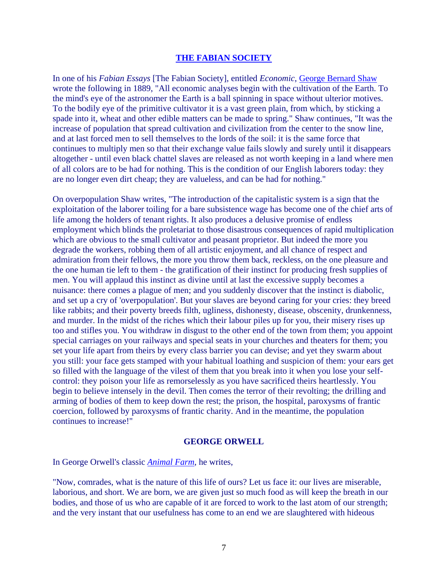#### **[THE FABIAN SOCIETY](http://www.fabian-society.org.uk/)**

In one of his *Fabian Essays* [The Fabian Society], entitled *Economic*, [George Bernard Shaw](http://chuma.cas.usf.edu/%7Edietrich/shawbizness.html) wrote the following in 1889, "All economic analyses begin with the cultivation of the Earth. To the mind's eye of the astronomer the Earth is a ball spinning in space without ulterior motives. To the bodily eye of the primitive cultivator it is a vast green plain, from which, by sticking a spade into it, wheat and other edible matters can be made to spring." Shaw continues, "It was the increase of population that spread cultivation and civilization from the center to the snow line, and at last forced men to sell themselves to the lords of the soil: it is the same force that continues to multiply men so that their exchange value fails slowly and surely until it disappears altogether - until even black chattel slaves are released as not worth keeping in a land where men of all colors are to be had for nothing. This is the condition of our English laborers today: they are no longer even dirt cheap; they are valueless, and can be had for nothing."

On overpopulation Shaw writes, "The introduction of the capitalistic system is a sign that the exploitation of the laborer toiling for a bare subsistence wage has become one of the chief arts of life among the holders of tenant rights. It also produces a delusive promise of endless employment which blinds the proletariat to those disastrous consequences of rapid multiplication which are obvious to the small cultivator and peasant proprietor. But indeed the more you degrade the workers, robbing them of all artistic enjoyment, and all chance of respect and admiration from their fellows, the more you throw them back, reckless, on the one pleasure and the one human tie left to them - the gratification of their instinct for producing fresh supplies of men. You will applaud this instinct as divine until at last the excessive supply becomes a nuisance: there comes a plague of men; and you suddenly discover that the instinct is diabolic, and set up a cry of 'overpopulation'. But your slaves are beyond caring for your cries: they breed like rabbits; and their poverty breeds filth, ugliness, dishonesty, disease, obscenity, drunkenness, and murder. In the midst of the riches which their labour piles up for you, their misery rises up too and stifles you. You withdraw in disgust to the other end of the town from them; you appoint special carriages on your railways and special seats in your churches and theaters for them; you set your life apart from theirs by every class barrier you can devise; and yet they swarm about you still: your face gets stamped with your habitual loathing and suspicion of them: your ears get so filled with the language of the vilest of them that you break into it when you lose your selfcontrol: they poison your life as remorselessly as you have sacrificed theirs heartlessly. You begin to believe intensely in the devil. Then comes the terror of their revolting; the drilling and arming of bodies of them to keep down the rest; the prison, the hospital, paroxysms of frantic coercion, followed by paroxysms of frantic charity. And in the meantime, the population continues to increase!"

#### **GEORGE ORWELL**

In George Orwell's classic *[Animal Farm](http://www.k-1.com/Orwell/animf.htm)*, he writes,

"Now, comrades, what is the nature of this life of ours? Let us face it: our lives are miserable, laborious, and short. We are born, we are given just so much food as will keep the breath in our bodies, and those of us who are capable of it are forced to work to the last atom of our strength; and the very instant that our usefulness has come to an end we are slaughtered with hideous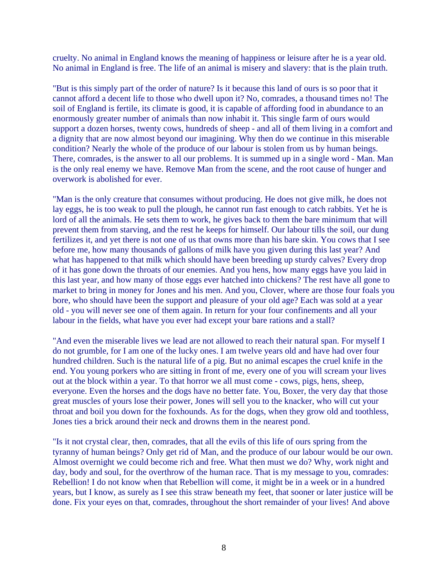cruelty. No animal in England knows the meaning of happiness or leisure after he is a year old. No animal in England is free. The life of an animal is misery and slavery: that is the plain truth.

"But is this simply part of the order of nature? Is it because this land of ours is so poor that it cannot afford a decent life to those who dwell upon it? No, comrades, a thousand times no! The soil of England is fertile, its climate is good, it is capable of affording food in abundance to an enormously greater number of animals than now inhabit it. This single farm of ours would support a dozen horses, twenty cows, hundreds of sheep - and all of them living in a comfort and a dignity that are now almost beyond our imagining. Why then do we continue in this miserable condition? Nearly the whole of the produce of our labour is stolen from us by human beings. There, comrades, is the answer to all our problems. It is summed up in a single word - Man. Man is the only real enemy we have. Remove Man from the scene, and the root cause of hunger and overwork is abolished for ever.

"Man is the only creature that consumes without producing. He does not give milk, he does not lay eggs, he is too weak to pull the plough, he cannot run fast enough to catch rabbits. Yet he is lord of all the animals. He sets them to work, he gives back to them the bare minimum that will prevent them from starving, and the rest he keeps for himself. Our labour tills the soil, our dung fertilizes it, and yet there is not one of us that owns more than his bare skin. You cows that I see before me, how many thousands of gallons of milk have you given during this last year? And what has happened to that milk which should have been breeding up sturdy calves? Every drop of it has gone down the throats of our enemies. And you hens, how many eggs have you laid in this last year, and how many of those eggs ever hatched into chickens? The rest have all gone to market to bring in money for Jones and his men. And you, Clover, where are those four foals you bore, who should have been the support and pleasure of your old age? Each was sold at a year old - you will never see one of them again. In return for your four confinements and all your labour in the fields, what have you ever had except your bare rations and a stall?

"And even the miserable lives we lead are not allowed to reach their natural span. For myself I do not grumble, for I am one of the lucky ones. I am twelve years old and have had over four hundred children. Such is the natural life of a pig. But no animal escapes the cruel knife in the end. You young porkers who are sitting in front of me, every one of you will scream your lives out at the block within a year. To that horror we all must come - cows, pigs, hens, sheep, everyone. Even the horses and the dogs have no better fate. You, Boxer, the very day that those great muscles of yours lose their power, Jones will sell you to the knacker, who will cut your throat and boil you down for the foxhounds. As for the dogs, when they grow old and toothless, Jones ties a brick around their neck and drowns them in the nearest pond.

"Is it not crystal clear, then, comrades, that all the evils of this life of ours spring from the tyranny of human beings? Only get rid of Man, and the produce of our labour would be our own. Almost overnight we could become rich and free. What then must we do? Why, work night and day, body and soul, for the overthrow of the human race. That is my message to you, comrades: Rebellion! I do not know when that Rebellion will come, it might be in a week or in a hundred years, but I know, as surely as I see this straw beneath my feet, that sooner or later justice will be done. Fix your eyes on that, comrades, throughout the short remainder of your lives! And above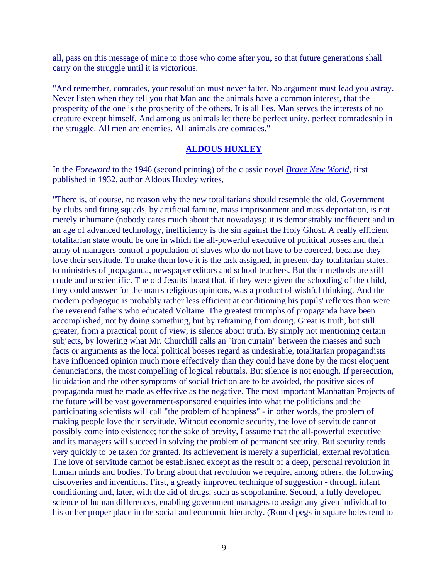all, pass on this message of mine to those who come after you, so that future generations shall carry on the struggle until it is victorious.

"And remember, comrades, your resolution must never falter. No argument must lead you astray. Never listen when they tell you that Man and the animals have a common interest, that the prosperity of the one is the prosperity of the others. It is all lies. Man serves the interests of no creature except himself. And among us animals let there be perfect unity, perfect comradeship in the struggle. All men are enemies. All animals are comrades."

#### **[ALDOUS HUXLEY](http://userwww.sfsu.edu/%7Ersauzier/HuxleyA.html)**

In the *Foreword* to the 1946 (second printing) of the classic novel *[Brave New World](http://www.huxley.net/bnw/)*, first published in 1932, author Aldous Huxley writes,

"There is, of course, no reason why the new totalitarians should resemble the old. Government by clubs and firing squads, by artificial famine, mass imprisonment and mass deportation, is not merely inhumane (nobody cares much about that nowadays); it is demonstrably inefficient and in an age of advanced technology, inefficiency is the sin against the Holy Ghost. A really efficient totalitarian state would be one in which the all-powerful executive of political bosses and their army of managers control a population of slaves who do not have to be coerced, because they love their servitude. To make them love it is the task assigned, in present-day totalitarian states, to ministries of propaganda, newspaper editors and school teachers. But their methods are still crude and unscientific. The old Jesuits' boast that, if they were given the schooling of the child, they could answer for the man's religious opinions, was a product of wishful thinking. And the modern pedagogue is probably rather less efficient at conditioning his pupils' reflexes than were the reverend fathers who educated Voltaire. The greatest triumphs of propaganda have been accomplished, not by doing something, but by refraining from doing. Great is truth, but still greater, from a practical point of view, is silence about truth. By simply not mentioning certain subjects, by lowering what Mr. Churchill calls an "iron curtain" between the masses and such facts or arguments as the local political bosses regard as undesirable, totalitarian propagandists have influenced opinion much more effectively than they could have done by the most eloquent denunciations, the most compelling of logical rebuttals. But silence is not enough. If persecution, liquidation and the other symptoms of social friction are to be avoided, the positive sides of propaganda must be made as effective as the negative. The most important Manhattan Projects of the future will be vast government-sponsored enquiries into what the politicians and the participating scientists will call "the problem of happiness" - in other words, the problem of making people love their servitude. Without economic security, the love of servitude cannot possibly come into existence; for the sake of brevity, I assume that the all-powerful executive and its managers will succeed in solving the problem of permanent security. But security tends very quickly to be taken for granted. Its achievement is merely a superficial, external revolution. The love of servitude cannot be established except as the result of a deep, personal revolution in human minds and bodies. To bring about that revolution we require, among others, the following discoveries and inventions. First, a greatly improved technique of suggestion - through infant conditioning and, later, with the aid of drugs, such as scopolamine. Second, a fully developed science of human differences, enabling government managers to assign any given individual to his or her proper place in the social and economic hierarchy. (Round pegs in square holes tend to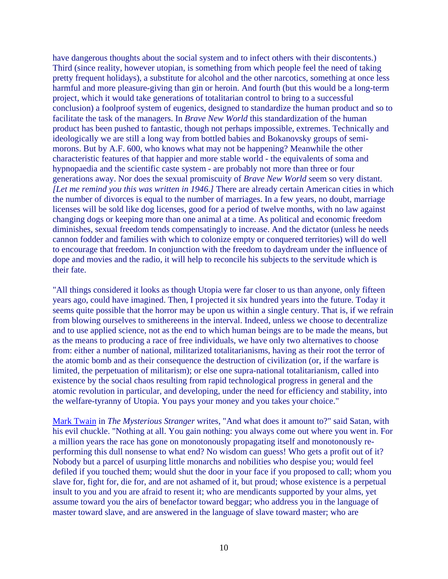have dangerous thoughts about the social system and to infect others with their discontents.) Third (since reality, however utopian, is something from which people feel the need of taking pretty frequent holidays), a substitute for alcohol and the other narcotics, something at once less harmful and more pleasure-giving than gin or heroin. And fourth (but this would be a long-term project, which it would take generations of totalitarian control to bring to a successful conclusion) a foolproof system of eugenics, designed to standardize the human product and so to facilitate the task of the managers. In *Brave New World* this standardization of the human product has been pushed to fantastic, though not perhaps impossible, extremes. Technically and ideologically we are still a long way from bottled babies and Bokanovsky groups of semimorons. But by A.F. 600, who knows what may not be happening? Meanwhile the other characteristic features of that happier and more stable world - the equivalents of soma and hypnopaedia and the scientific caste system - are probably not more than three or four generations away. Nor does the sexual promiscuity of *Brave New World* seem so very distant. *[Let me remind you this was written in 1946.]* There are already certain American cities in which the number of divorces is equal to the number of marriages. In a few years, no doubt, marriage licenses will be sold like dog licenses, good for a period of twelve months, with no law against changing dogs or keeping more than one animal at a time. As political and economic freedom diminishes, sexual freedom tends compensatingly to increase. And the dictator (unless he needs cannon fodder and families with which to colonize empty or conquered territories) will do well to encourage that freedom. In conjunction with the freedom to daydream under the influence of dope and movies and the radio, it will help to reconcile his subjects to the servitude which is their fate.

"All things considered it looks as though Utopia were far closer to us than anyone, only fifteen years ago, could have imagined. Then, I projected it six hundred years into the future. Today it seems quite possible that the horror may be upon us within a single century. That is, if we refrain from blowing ourselves to smithereens in the interval. Indeed, unless we choose to decentralize and to use applied science, not as the end to which human beings are to be made the means, but as the means to producing a race of free individuals, we have only two alternatives to choose from: either a number of national, militarized totalitarianisms, having as their root the terror of the atomic bomb and as their consequence the destruction of civilization (or, if the warfare is limited, the perpetuation of militarism); or else one supra-national totalitarianism, called into existence by the social chaos resulting from rapid technological progress in general and the atomic revolution in particular, and developing, under the need for efficiency and stability, into the welfare-tyranny of Utopia. You pays your money and you takes your choice."

[Mark Twain](http://marktwain.about.com/arts/marktwain/library/weekly/aa981208.htm) in *The Mysterious Stranger* writes, "And what does it amount to?" said Satan, with his evil chuckle. "Nothing at all. You gain nothing: you always come out where you went in. For a million years the race has gone on monotonously propagating itself and monotonously reperforming this dull nonsense to what end? No wisdom can guess! Who gets a profit out of it? Nobody but a parcel of usurping little monarchs and nobilities who despise you; would feel defiled if you touched them; would shut the door in your face if you proposed to call; whom you slave for, fight for, die for, and are not ashamed of it, but proud; whose existence is a perpetual insult to you and you are afraid to resent it; who are mendicants supported by your alms, yet assume toward you the airs of benefactor toward beggar; who address you in the language of master toward slave, and are answered in the language of slave toward master; who are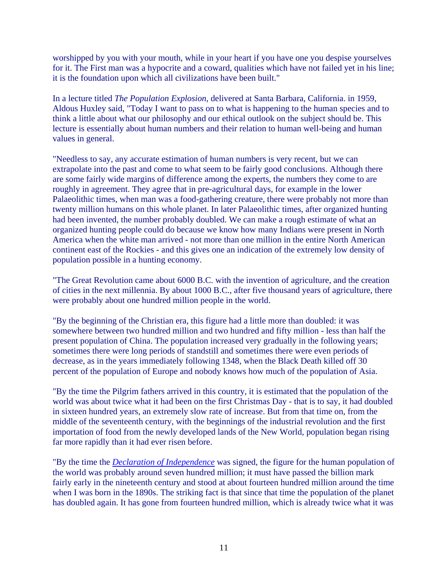worshipped by you with your mouth, while in your heart if you have one you despise yourselves for it. The First man was a hypocrite and a coward, qualities which have not failed yet in his line; it is the foundation upon which all civilizations have been built."

In a lecture titled *The Population Explosion*, delivered at Santa Barbara, California. in 1959, Aldous Huxley said, "Today I want to pass on to what is happening to the human species and to think a little about what our philosophy and our ethical outlook on the subject should be. This lecture is essentially about human numbers and their relation to human well-being and human values in general.

"Needless to say, any accurate estimation of human numbers is very recent, but we can extrapolate into the past and come to what seem to be fairly good conclusions. Although there are some fairly wide margins of difference among the experts, the numbers they come to are roughly in agreement. They agree that in pre-agricultural days, for example in the lower Palaeolithic times, when man was a food-gathering creature, there were probably not more than twenty million humans on this whole planet. In later Palaeolithic times, after organized hunting had been invented, the number probably doubled. We can make a rough estimate of what an organized hunting people could do because we know how many Indians were present in North America when the white man arrived - not more than one million in the entire North American continent east of the Rockies - and this gives one an indication of the extremely low density of population possible in a hunting economy.

"The Great Revolution came about 6000 B.C. with the invention of agriculture, and the creation of cities in the next millennia. By about 1000 B.C., after five thousand years of agriculture, there were probably about one hundred million people in the world.

"By the beginning of the Christian era, this figure had a little more than doubled: it was somewhere between two hundred million and two hundred and fifty million - less than half the present population of China. The population increased very gradually in the following years; sometimes there were long periods of standstill and sometimes there were even periods of decrease, as in the years immediately following 1348, when the Black Death killed off 30 percent of the population of Europe and nobody knows how much of the population of Asia.

"By the time the Pilgrim fathers arrived in this country, it is estimated that the population of the world was about twice what it had been on the first Christmas Day - that is to say, it had doubled in sixteen hundred years, an extremely slow rate of increase. But from that time on, from the middle of the seventeenth century, with the beginnings of the industrial revolution and the first importation of food from the newly developed lands of the New World, population began rising far more rapidly than it had ever risen before.

"By the time the *[Declaration of Independence](http://www.nara.gov/exhall/charters/declaration/decmain.html)* was signed, the figure for the human population of the world was probably around seven hundred million; it must have passed the billion mark fairly early in the nineteenth century and stood at about fourteen hundred million around the time when I was born in the 1890s. The striking fact is that since that time the population of the planet has doubled again. It has gone from fourteen hundred million, which is already twice what it was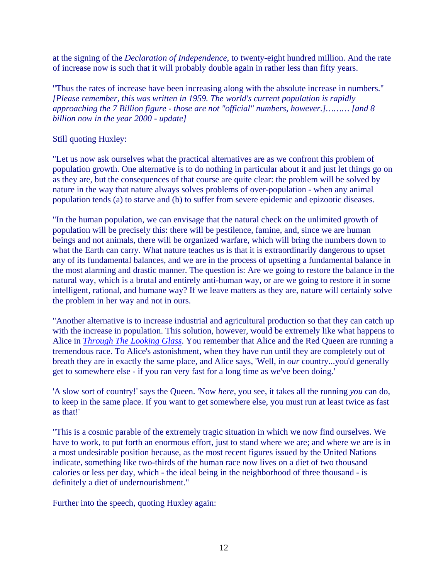at the signing of the *Declaration of Independence*, to twenty-eight hundred million. And the rate of increase now is such that it will probably double again in rather less than fifty years.

"Thus the rates of increase have been increasing along with the absolute increase in numbers." *[Please remember, this was written in 1959. The world's current population is rapidly approaching the 7 Billion figure - those are not "official" numbers, however.]……… [and 8 billion now in the year 2000 - update]*

## Still quoting Huxley:

"Let us now ask ourselves what the practical alternatives are as we confront this problem of population growth. One alternative is to do nothing in particular about it and just let things go on as they are, but the consequences of that course are quite clear: the problem will be solved by nature in the way that nature always solves problems of over-population - when any animal population tends (a) to starve and (b) to suffer from severe epidemic and epizootic diseases.

"In the human population, we can envisage that the natural check on the unlimited growth of population will be precisely this: there will be pestilence, famine, and, since we are human beings and not animals, there will be organized warfare, which will bring the numbers down to what the Earth can carry. What nature teaches us is that it is extraordinarily dangerous to upset any of its fundamental balances, and we are in the process of upsetting a fundamental balance in the most alarming and drastic manner. The question is: Are we going to restore the balance in the natural way, which is a brutal and entirely anti-human way, or are we going to restore it in some intelligent, rational, and humane way? If we leave matters as they are, nature will certainly solve the problem in her way and not in ours.

"Another alternative is to increase industrial and agricultural production so that they can catch up with the increase in population. This solution, however, would be extremely like what happens to Alice in *[Through The Looking Glass](http://www.cs.indiana.edu/metastuff/looking/lookingdir.html)*. You remember that Alice and the Red Queen are running a tremendous race. To Alice's astonishment, when they have run until they are completely out of breath they are in exactly the same place, and Alice says, 'Well, in *our* country...you'd generally get to somewhere else - if you ran very fast for a long time as we've been doing.'

'A slow sort of country!' says the Queen. 'Now *here*, you see, it takes all the running *you* can do, to keep in the same place. If you want to get somewhere else, you must run at least twice as fast as that!'

"This is a cosmic parable of the extremely tragic situation in which we now find ourselves. We have to work, to put forth an enormous effort, just to stand where we are; and where we are is in a most undesirable position because, as the most recent figures issued by the United Nations indicate, something like two-thirds of the human race now lives on a diet of two thousand calories or less per day, which - the ideal being in the neighborhood of three thousand - is definitely a diet of undernourishment."

Further into the speech, quoting Huxley again: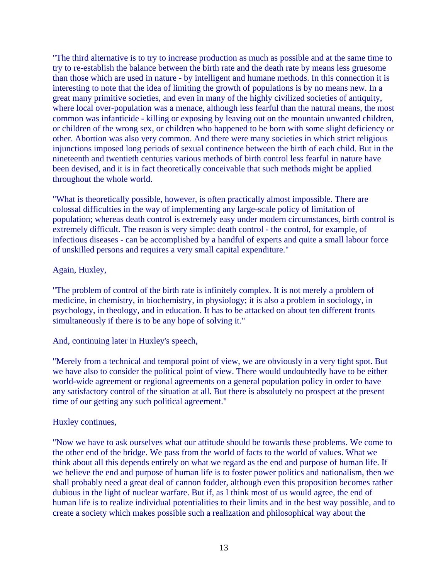"The third alternative is to try to increase production as much as possible and at the same time to try to re-establish the balance between the birth rate and the death rate by means less gruesome than those which are used in nature - by intelligent and humane methods. In this connection it is interesting to note that the idea of limiting the growth of populations is by no means new. In a great many primitive societies, and even in many of the highly civilized societies of antiquity, where local over-population was a menace, although less fearful than the natural means, the most common was infanticide - killing or exposing by leaving out on the mountain unwanted children, or children of the wrong sex, or children who happened to be born with some slight deficiency or other. Abortion was also very common. And there were many societies in which strict religious injunctions imposed long periods of sexual continence between the birth of each child. But in the nineteenth and twentieth centuries various methods of birth control less fearful in nature have been devised, and it is in fact theoretically conceivable that such methods might be applied throughout the whole world.

"What is theoretically possible, however, is often practically almost impossible. There are colossal difficulties in the way of implementing any large-scale policy of limitation of population; whereas death control is extremely easy under modern circumstances, birth control is extremely difficult. The reason is very simple: death control - the control, for example, of infectious diseases - can be accomplished by a handful of experts and quite a small labour force of unskilled persons and requires a very small capital expenditure."

## Again, Huxley,

"The problem of control of the birth rate is infinitely complex. It is not merely a problem of medicine, in chemistry, in biochemistry, in physiology; it is also a problem in sociology, in psychology, in theology, and in education. It has to be attacked on about ten different fronts simultaneously if there is to be any hope of solving it."

## And, continuing later in Huxley's speech,

"Merely from a technical and temporal point of view, we are obviously in a very tight spot. But we have also to consider the political point of view. There would undoubtedly have to be either world-wide agreement or regional agreements on a general population policy in order to have any satisfactory control of the situation at all. But there is absolutely no prospect at the present time of our getting any such political agreement."

## Huxley continues,

"Now we have to ask ourselves what our attitude should be towards these problems. We come to the other end of the bridge. We pass from the world of facts to the world of values. What we think about all this depends entirely on what we regard as the end and purpose of human life. If we believe the end and purpose of human life is to foster power politics and nationalism, then we shall probably need a great deal of cannon fodder, although even this proposition becomes rather dubious in the light of nuclear warfare. But if, as I think most of us would agree, the end of human life is to realize individual potentialities to their limits and in the best way possible, and to create a society which makes possible such a realization and philosophical way about the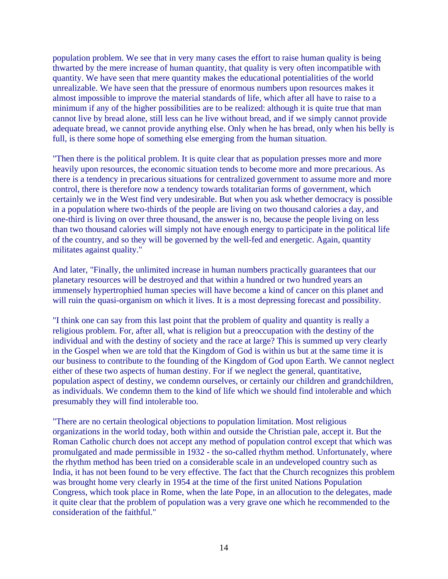population problem. We see that in very many cases the effort to raise human quality is being thwarted by the mere increase of human quantity, that quality is very often incompatible with quantity. We have seen that mere quantity makes the educational potentialities of the world unrealizable. We have seen that the pressure of enormous numbers upon resources makes it almost impossible to improve the material standards of life, which after all have to raise to a minimum if any of the higher possibilities are to be realized: although it is quite true that man cannot live by bread alone, still less can he live without bread, and if we simply cannot provide adequate bread, we cannot provide anything else. Only when he has bread, only when his belly is full, is there some hope of something else emerging from the human situation.

"Then there is the political problem. It is quite clear that as population presses more and more heavily upon resources, the economic situation tends to become more and more precarious. As there is a tendency in precarious situations for centralized government to assume more and more control, there is therefore now a tendency towards totalitarian forms of government, which certainly we in the West find very undesirable. But when you ask whether democracy is possible in a population where two-thirds of the people are living on two thousand calories a day, and one-third is living on over three thousand, the answer is no, because the people living on less than two thousand calories will simply not have enough energy to participate in the political life of the country, and so they will be governed by the well-fed and energetic. Again, quantity militates against quality."

And later, "Finally, the unlimited increase in human numbers practically guarantees that our planetary resources will be destroyed and that within a hundred or two hundred years an immensely hypertrophied human species will have become a kind of cancer on this planet and will ruin the quasi-organism on which it lives. It is a most depressing forecast and possibility.

"I think one can say from this last point that the problem of quality and quantity is really a religious problem. For, after all, what is religion but a preoccupation with the destiny of the individual and with the destiny of society and the race at large? This is summed up very clearly in the Gospel when we are told that the Kingdom of God is within us but at the same time it is our business to contribute to the founding of the Kingdom of God upon Earth. We cannot neglect either of these two aspects of human destiny. For if we neglect the general, quantitative, population aspect of destiny, we condemn ourselves, or certainly our children and grandchildren, as individuals. We condemn them to the kind of life which we should find intolerable and which presumably they will find intolerable too.

"There are no certain theological objections to population limitation. Most religious organizations in the world today, both within and outside the Christian pale, accept it. But the Roman Catholic church does not accept any method of population control except that which was promulgated and made permissible in 1932 - the so-called rhythm method. Unfortunately, where the rhythm method has been tried on a considerable scale in an undeveloped country such as India, it has not been found to be very effective. The fact that the Church recognizes this problem was brought home very clearly in 1954 at the time of the first united Nations Population Congress, which took place in Rome, when the late Pope, in an allocution to the delegates, made it quite clear that the problem of population was a very grave one which he recommended to the consideration of the faithful."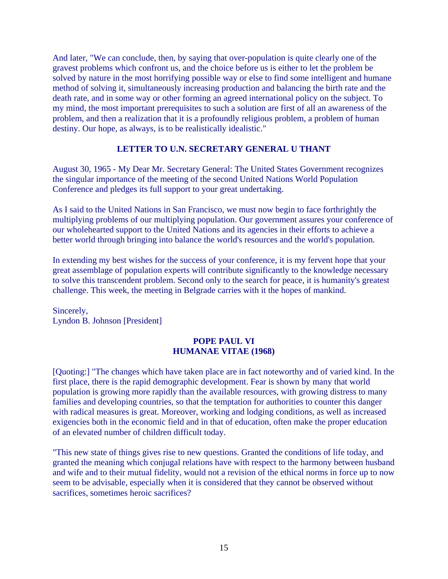And later, "We can conclude, then, by saying that over-population is quite clearly one of the gravest problems which confront us, and the choice before us is either to let the problem be solved by nature in the most horrifying possible way or else to find some intelligent and humane method of solving it, simultaneously increasing production and balancing the birth rate and the death rate, and in some way or other forming an agreed international policy on the subject. To my mind, the most important prerequisites to such a solution are first of all an awareness of the problem, and then a realization that it is a profoundly religious problem, a problem of human destiny. Our hope, as always, is to be realistically idealistic."

## **LETTER TO U.N. SECRETARY GENERAL U THANT**

August 30, 1965 - My Dear Mr. Secretary General: The United States Government recognizes the singular importance of the meeting of the second United Nations World Population Conference and pledges its full support to your great undertaking.

As I said to the United Nations in San Francisco, we must now begin to face forthrightly the multiplying problems of our multiplying population. Our government assures your conference of our wholehearted support to the United Nations and its agencies in their efforts to achieve a better world through bringing into balance the world's resources and the world's population.

In extending my best wishes for the success of your conference, it is my fervent hope that your great assemblage of population experts will contribute significantly to the knowledge necessary to solve this transcendent problem. Second only to the search for peace, it is humanity's greatest challenge. This week, the meeting in Belgrade carries with it the hopes of mankind.

Sincerely, Lyndon B. Johnson [President]

#### **POPE PAUL VI HUMANAE VITAE (1968)**

[Quoting:] "The changes which have taken place are in fact noteworthy and of varied kind. In the first place, there is the rapid demographic development. Fear is shown by many that world population is growing more rapidly than the available resources, with growing distress to many families and developing countries, so that the temptation for authorities to counter this danger with radical measures is great. Moreover, working and lodging conditions, as well as increased exigencies both in the economic field and in that of education, often make the proper education of an elevated number of children difficult today.

"This new state of things gives rise to new questions. Granted the conditions of life today, and granted the meaning which conjugal relations have with respect to the harmony between husband and wife and to their mutual fidelity, would not a revision of the ethical norms in force up to now seem to be advisable, especially when it is considered that they cannot be observed without sacrifices, sometimes heroic sacrifices?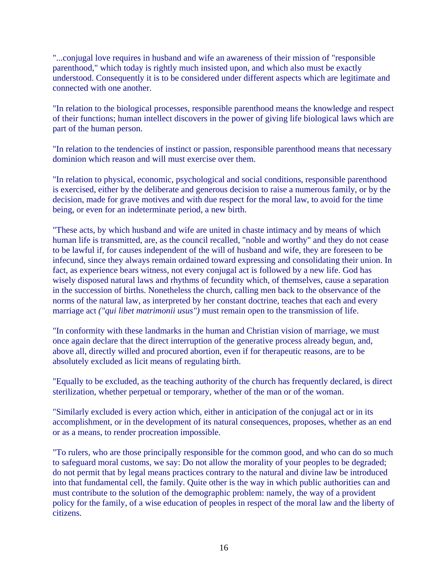"...conjugal love requires in husband and wife an awareness of their mission of "responsible parenthood," which today is rightly much insisted upon, and which also must be exactly understood. Consequently it is to be considered under different aspects which are legitimate and connected with one another.

"In relation to the biological processes, responsible parenthood means the knowledge and respect of their functions; human intellect discovers in the power of giving life biological laws which are part of the human person.

"In relation to the tendencies of instinct or passion, responsible parenthood means that necessary dominion which reason and will must exercise over them.

"In relation to physical, economic, psychological and social conditions, responsible parenthood is exercised, either by the deliberate and generous decision to raise a numerous family, or by the decision, made for grave motives and with due respect for the moral law, to avoid for the time being, or even for an indeterminate period, a new birth.

"These acts, by which husband and wife are united in chaste intimacy and by means of which human life is transmitted, are, as the council recalled, "noble and worthy" and they do not cease to be lawful if, for causes independent of the will of husband and wife, they are foreseen to be infecund, since they always remain ordained toward expressing and consolidating their union. In fact, as experience bears witness, not every conjugal act is followed by a new life. God has wisely disposed natural laws and rhythms of fecundity which, of themselves, cause a separation in the succession of births. Nonetheless the church, calling men back to the observance of the norms of the natural law, as interpreted by her constant doctrine, teaches that each and every marriage act *("qui libet matrimonii usus")* must remain open to the transmission of life.

"In conformity with these landmarks in the human and Christian vision of marriage, we must once again declare that the direct interruption of the generative process already begun, and, above all, directly willed and procured abortion, even if for therapeutic reasons, are to be absolutely excluded as licit means of regulating birth.

"Equally to be excluded, as the teaching authority of the church has frequently declared, is direct sterilization, whether perpetual or temporary, whether of the man or of the woman.

"Similarly excluded is every action which, either in anticipation of the conjugal act or in its accomplishment, or in the development of its natural consequences, proposes, whether as an end or as a means, to render procreation impossible.

"To rulers, who are those principally responsible for the common good, and who can do so much to safeguard moral customs, we say: Do not allow the morality of your peoples to be degraded; do not permit that by legal means practices contrary to the natural and divine law be introduced into that fundamental cell, the family. Quite other is the way in which public authorities can and must contribute to the solution of the demographic problem: namely, the way of a provident policy for the family, of a wise education of peoples in respect of the moral law and the liberty of citizens.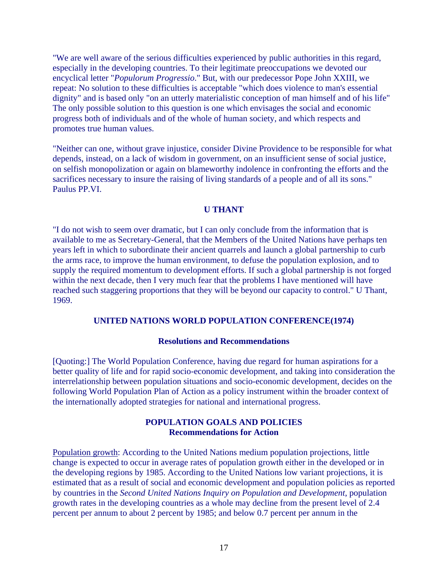"We are well aware of the serious difficulties experienced by public authorities in this regard, especially in the developing countries. To their legitimate preoccupations we devoted our encyclical letter "*Populorum Progressio*." But, with our predecessor Pope John XXIII, we repeat: No solution to these difficulties is acceptable "which does violence to man's essential dignity" and is based only "on an utterly materialistic conception of man himself and of his life" The only possible solution to this question is one which envisages the social and economic progress both of individuals and of the whole of human society, and which respects and promotes true human values.

"Neither can one, without grave injustice, consider Divine Providence to be responsible for what depends, instead, on a lack of wisdom in government, on an insufficient sense of social justice, on selfish monopolization or again on blameworthy indolence in confronting the efforts and the sacrifices necessary to insure the raising of living standards of a people and of all its sons." Paulus PP.VI.

## **U THANT**

"I do not wish to seem over dramatic, but I can only conclude from the information that is available to me as Secretary-General, that the Members of the United Nations have perhaps ten years left in which to subordinate their ancient quarrels and launch a global partnership to curb the arms race, to improve the human environment, to defuse the population explosion, and to supply the required momentum to development efforts. If such a global partnership is not forged within the next decade, then I very much fear that the problems I have mentioned will have reached such staggering proportions that they will be beyond our capacity to control." U Thant, 1969.

#### **UNITED NATIONS WORLD POPULATION CONFERENCE(1974)**

#### **Resolutions and Recommendations**

[Quoting:] The World Population Conference, having due regard for human aspirations for a better quality of life and for rapid socio-economic development, and taking into consideration the interrelationship between population situations and socio-economic development, decides on the following World Population Plan of Action as a policy instrument within the broader context of the internationally adopted strategies for national and international progress.

## **POPULATION GOALS AND POLICIES Recommendations for Action**

Population growth: According to the United Nations medium population projections, little change is expected to occur in average rates of population growth either in the developed or in the developing regions by 1985. According to the United Nations low variant projections, it is estimated that as a result of social and economic development and population policies as reported by countries in the *Second United Nations Inquiry on Population and Development*, population growth rates in the developing countries as a whole may decline from the present level of 2.4 percent per annum to about 2 percent by 1985; and below 0.7 percent per annum in the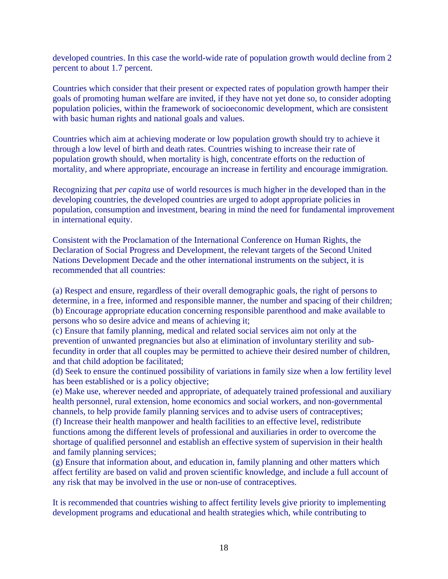developed countries. In this case the world-wide rate of population growth would decline from 2 percent to about 1.7 percent.

Countries which consider that their present or expected rates of population growth hamper their goals of promoting human welfare are invited, if they have not yet done so, to consider adopting population policies, within the framework of socioeconomic development, which are consistent with basic human rights and national goals and values.

Countries which aim at achieving moderate or low population growth should try to achieve it through a low level of birth and death rates. Countries wishing to increase their rate of population growth should, when mortality is high, concentrate efforts on the reduction of mortality, and where appropriate, encourage an increase in fertility and encourage immigration.

Recognizing that *per capita* use of world resources is much higher in the developed than in the developing countries, the developed countries are urged to adopt appropriate policies in population, consumption and investment, bearing in mind the need for fundamental improvement in international equity.

Consistent with the Proclamation of the International Conference on Human Rights, the Declaration of Social Progress and Development, the relevant targets of the Second United Nations Development Decade and the other international instruments on the subject, it is recommended that all countries:

(a) Respect and ensure, regardless of their overall demographic goals, the right of persons to determine, in a free, informed and responsible manner, the number and spacing of their children; (b) Encourage appropriate education concerning responsible parenthood and make available to persons who so desire advice and means of achieving it;

(c) Ensure that family planning, medical and related social services aim not only at the prevention of unwanted pregnancies but also at elimination of involuntary sterility and subfecundity in order that all couples may be permitted to achieve their desired number of children, and that child adoption be facilitated;

(d) Seek to ensure the continued possibility of variations in family size when a low fertility level has been established or is a policy objective;

(e) Make use, wherever needed and appropriate, of adequately trained professional and auxiliary health personnel, rural extension, home economics and social workers, and non-governmental channels, to help provide family planning services and to advise users of contraceptives;

(f) Increase their health manpower and health facilities to an effective level, redistribute functions among the different levels of professional and auxiliaries in order to overcome the shortage of qualified personnel and establish an effective system of supervision in their health and family planning services;

(g) Ensure that information about, and education in, family planning and other matters which affect fertility are based on valid and proven scientific knowledge, and include a full account of any risk that may be involved in the use or non-use of contraceptives.

It is recommended that countries wishing to affect fertility levels give priority to implementing development programs and educational and health strategies which, while contributing to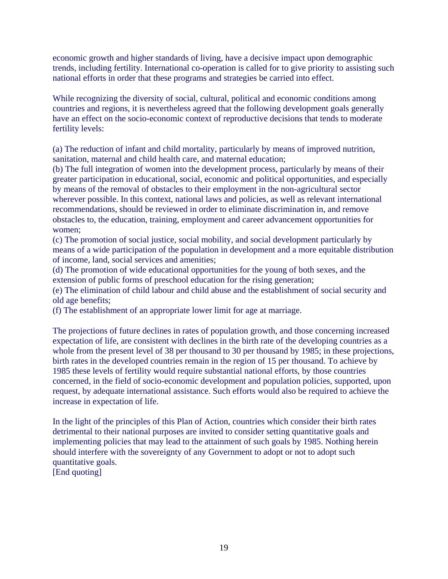economic growth and higher standards of living, have a decisive impact upon demographic trends, including fertility. International co-operation is called for to give priority to assisting such national efforts in order that these programs and strategies be carried into effect.

While recognizing the diversity of social, cultural, political and economic conditions among countries and regions, it is nevertheless agreed that the following development goals generally have an effect on the socio-economic context of reproductive decisions that tends to moderate fertility levels:

(a) The reduction of infant and child mortality, particularly by means of improved nutrition, sanitation, maternal and child health care, and maternal education;

(b) The full integration of women into the development process, particularly by means of their greater participation in educational, social, economic and political opportunities, and especially by means of the removal of obstacles to their employment in the non-agricultural sector wherever possible. In this context, national laws and policies, as well as relevant international recommendations, should be reviewed in order to eliminate discrimination in, and remove obstacles to, the education, training, employment and career advancement opportunities for women;

(c) The promotion of social justice, social mobility, and social development particularly by means of a wide participation of the population in development and a more equitable distribution of income, land, social services and amenities;

(d) The promotion of wide educational opportunities for the young of both sexes, and the extension of public forms of preschool education for the rising generation;

(e) The elimination of child labour and child abuse and the establishment of social security and old age benefits;

(f) The establishment of an appropriate lower limit for age at marriage.

The projections of future declines in rates of population growth, and those concerning increased expectation of life, are consistent with declines in the birth rate of the developing countries as a whole from the present level of 38 per thousand to 30 per thousand by 1985; in these projections, birth rates in the developed countries remain in the region of 15 per thousand. To achieve by 1985 these levels of fertility would require substantial national efforts, by those countries concerned, in the field of socio-economic development and population policies, supported, upon request, by adequate international assistance. Such efforts would also be required to achieve the increase in expectation of life.

In the light of the principles of this Plan of Action, countries which consider their birth rates detrimental to their national purposes are invited to consider setting quantitative goals and implementing policies that may lead to the attainment of such goals by 1985. Nothing herein should interfere with the sovereignty of any Government to adopt or not to adopt such quantitative goals.

[End quoting]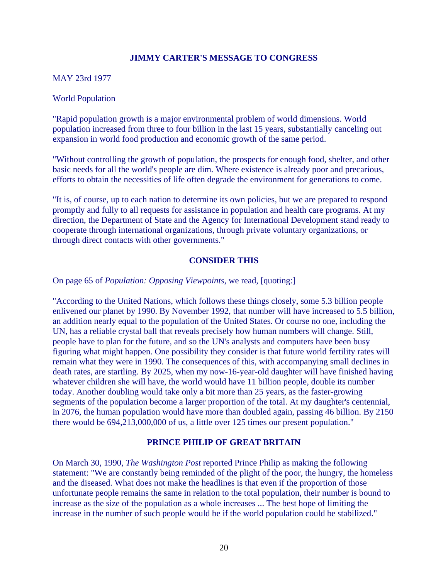#### **JIMMY CARTER'S MESSAGE TO CONGRESS**

#### MAY 23rd 1977

#### World Population

"Rapid population growth is a major environmental problem of world dimensions. World population increased from three to four billion in the last 15 years, substantially canceling out expansion in world food production and economic growth of the same period.

"Without controlling the growth of population, the prospects for enough food, shelter, and other basic needs for all the world's people are dim. Where existence is already poor and precarious, efforts to obtain the necessities of life often degrade the environment for generations to come.

"It is, of course, up to each nation to determine its own policies, but we are prepared to respond promptly and fully to all requests for assistance in population and health care programs. At my direction, the Department of State and the Agency for International Development stand ready to cooperate through international organizations, through private voluntary organizations, or through direct contacts with other governments."

#### **CONSIDER THIS**

On page 65 of *Population: Opposing Viewpoints*, we read, [quoting:]

"According to the United Nations, which follows these things closely, some 5.3 billion people enlivened our planet by 1990. By November 1992, that number will have increased to 5.5 billion, an addition nearly equal to the population of the United States. Or course no one, including the UN, has a reliable crystal ball that reveals precisely how human numbers will change. Still, people have to plan for the future, and so the UN's analysts and computers have been busy figuring what might happen. One possibility they consider is that future world fertility rates will remain what they were in 1990. The consequences of this, with accompanying small declines in death rates, are startling. By 2025, when my now-16-year-old daughter will have finished having whatever children she will have, the world would have 11 billion people, double its number today. Another doubling would take only a bit more than 25 years, as the faster-growing segments of the population become a larger proportion of the total. At my daughter's centennial, in 2076, the human population would have more than doubled again, passing 46 billion. By 2150 there would be 694,213,000,000 of us, a little over 125 times our present population."

#### **PRINCE PHILIP OF GREAT BRITAIN**

On March 30, 1990, *The Washington Post* reported Prince Philip as making the following statement: "We are constantly being reminded of the plight of the poor, the hungry, the homeless and the diseased. What does not make the headlines is that even if the proportion of those unfortunate people remains the same in relation to the total population, their number is bound to increase as the size of the population as a whole increases ... The best hope of limiting the increase in the number of such people would be if the world population could be stabilized."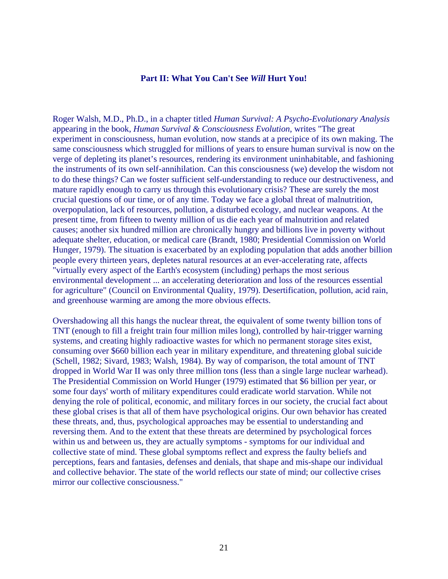## **Part II: What You Can't See** *Will* **Hurt You!**

<span id="page-20-0"></span>Roger Walsh, M.D., Ph.D., in a chapter titled *Human Survival: A Psycho-Evolutionary Analysis* appearing in the book, *Human Survival & Consciousness Evolution*, writes "The great experiment in consciousness, human evolution, now stands at a precipice of its own making. The same consciousness which struggled for millions of years to ensure human survival is now on the verge of depleting its planet's resources, rendering its environment uninhabitable, and fashioning the instruments of its own self-annihilation. Can this consciousness (we) develop the wisdom not to do these things? Can we foster sufficient self-understanding to reduce our destructiveness, and mature rapidly enough to carry us through this evolutionary crisis? These are surely the most crucial questions of our time, or of any time. Today we face a global threat of malnutrition, overpopulation, lack of resources, pollution, a disturbed ecology, and nuclear weapons. At the present time, from fifteen to twenty million of us die each year of malnutrition and related causes; another six hundred million are chronically hungry and billions live in poverty without adequate shelter, education, or medical care (Brandt, 1980; Presidential Commission on World Hunger, 1979). The situation is exacerbated by an exploding population that adds another billion people every thirteen years, depletes natural resources at an ever-accelerating rate, affects "virtually every aspect of the Earth's ecosystem (including) perhaps the most serious environmental development ... an accelerating deterioration and loss of the resources essential for agriculture" (Council on Environmental Quality, 1979). Desertification, pollution, acid rain, and greenhouse warming are among the more obvious effects.

Overshadowing all this hangs the nuclear threat, the equivalent of some twenty billion tons of TNT (enough to fill a freight train four million miles long), controlled by hair-trigger warning systems, and creating highly radioactive wastes for which no permanent storage sites exist, consuming over \$660 billion each year in military expenditure, and threatening global suicide (Schell, 1982; Sivard, 1983; Walsh, 1984). By way of comparison, the total amount of TNT dropped in World War II was only three million tons (less than a single large nuclear warhead). The Presidential Commission on World Hunger (1979) estimated that \$6 billion per year, or some four days' worth of military expenditures could eradicate world starvation. While not denying the role of political, economic, and military forces in our society, the crucial fact about these global crises is that all of them have psychological origins. Our own behavior has created these threats, and, thus, psychological approaches may be essential to understanding and reversing them. And to the extent that these threats are determined by psychological forces within us and between us, they are actually symptoms - symptoms for our individual and collective state of mind. These global symptoms reflect and express the faulty beliefs and perceptions, fears and fantasies, defenses and denials, that shape and mis-shape our individual and collective behavior. The state of the world reflects our state of mind; our collective crises mirror our collective consciousness."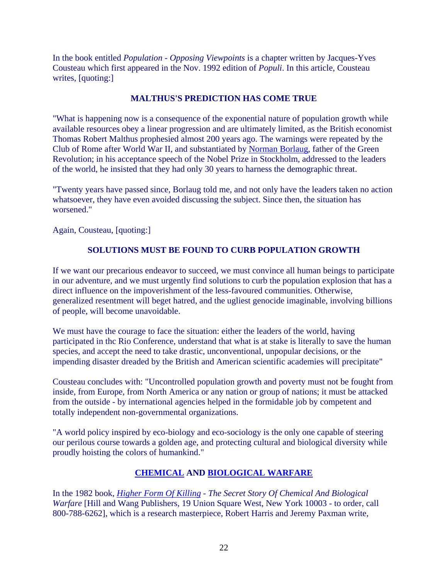In the book entitled *Population - Opposing Viewpoints* is a chapter written by Jacques-Yves Cousteau which first appeared in the Nov. 1992 edition of *Populi*. In this article, Cousteau writes, [quoting:]

## **MALTHUS'S PREDICTION HAS COME TRUE**

"What is happening now is a consequence of the exponential nature of population growth while available resources obey a linear progression and are ultimately limited, as the British economist Thomas Robert Malthus prophesied almost 200 years ago. The warnings were repeated by the Club of Rome after World War II, and substantiated by [Norman Borlaug](http://www.ideachannel.com/Borlaug.htm), father of the Green Revolution; in his acceptance speech of the Nobel Prize in Stockholm, addressed to the leaders of the world, he insisted that they had only 30 years to harness the demographic threat.

"Twenty years have passed since, Borlaug told me, and not only have the leaders taken no action whatsoever, they have even avoided discussing the subject. Since then, the situation has worsened."

Again, Cousteau, [quoting:]

## **SOLUTIONS MUST BE FOUND TO CURB POPULATION GROWTH**

If we want our precarious endeavor to succeed, we must convince all human beings to participate in our adventure, and we must urgently find solutions to curb the population explosion that has a direct influence on the impoverishment of the less-favoured communities. Otherwise, generalized resentment will beget hatred, and the ugliest genocide imaginable, involving billions of people, will become unavoidable.

We must have the courage to face the situation: either the leaders of the world, having participated in thc Rio Conference, understand that what is at stake is literally to save the human species, and accept the need to take drastic, unconventional, unpopular decisions, or the impending disaster dreaded by the British and American scientific academies will precipitate"

Cousteau concludes with: "Uncontrolled population growth and poverty must not be fought from inside, from Europe, from North America or any nation or group of nations; it must be attacked from the outside - by international agencies helped in the formidable job by competent and totally independent non-governmental organizations.

"A world policy inspired by eco-biology and eco-sociology is the only one capable of steering our perilous course towards a golden age, and protecting cultural and biological diversity while proudly hoisting the colors of humankind."

# **[CHEMICAL](http://www.mitretek.org/mission/envene/chemical/chem_back.html) AND [BIOLOGICAL WARFARE](http://www.calpoly.edu/%7Edrjones/biowar-e3.html)**

In the 1982 book, *[Higher Form Of Killing](http://home.earthlink.net/%7Ehadashi2/hfk.html) - The Secret Story Of Chemical And Biological Warfare* [Hill and Wang Publishers, 19 Union Square West, New York 10003 - to order, call 800-788-6262], which is a research masterpiece, Robert Harris and Jeremy Paxman write,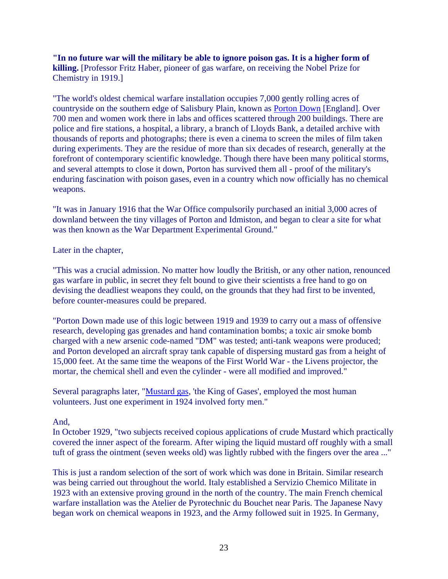**"In no future war will the military be able to ignore poison gas. It is a higher form of killing.** [Professor Fritz Haber, pioneer of gas warfare, on receiving the Nobel Prize for Chemistry in 1919.]

"The world's oldest chemical warfare installation occupies 7,000 gently rolling acres of countryside on the southern edge of Salisbury Plain, known as [Porton Down](http://www.mail-archive.com/doewatch@egroups.com/msg02632.html) [England]. Over 700 men and women work there in labs and offices scattered through 200 buildings. There are police and fire stations, a hospital, a library, a branch of Lloyds Bank, a detailed archive with thousands of reports and photographs; there is even a cinema to screen the miles of film taken during experiments. They are the residue of more than six decades of research, generally at the forefront of contemporary scientific knowledge. Though there have been many political storms, and several attempts to close it down, Porton has survived them all - proof of the military's enduring fascination with poison gases, even in a country which now officially has no chemical weapons.

"It was in January 1916 that the War Office compulsorily purchased an initial 3,000 acres of downland between the tiny villages of Porton and Idmiston, and began to clear a site for what was then known as the War Department Experimental Ground."

Later in the chapter,

"This was a crucial admission. No matter how loudly the British, or any other nation, renounced gas warfare in public, in secret they felt bound to give their scientists a free hand to go on devising the deadliest weapons they could, on the grounds that they had first to be invented, before counter-measures could be prepared.

"Porton Down made use of this logic between 1919 and 1939 to carry out a mass of offensive research, developing gas grenades and hand contamination bombs; a toxic air smoke bomb charged with a new arsenic code-named "DM" was tested; anti-tank weapons were produced; and Porton developed an aircraft spray tank capable of dispersing mustard gas from a height of 15,000 feet. At the same time the weapons of the First World War - the Livens projector, the mortar, the chemical shell and even the cylinder - were all modified and improved."

Several paragraphs later, "[Mustard gas,](http://www.mitretek.org/mission/envene/chemical/agents/mustard.html) 'the King of Gases', employed the most human volunteers. Just one experiment in 1924 involved forty men."

And,

In October 1929, "two subjects received copious applications of crude Mustard which practically covered the inner aspect of the forearm. After wiping the liquid mustard off roughly with a small tuft of grass the ointment (seven weeks old) was lightly rubbed with the fingers over the area ..."

This is just a random selection of the sort of work which was done in Britain. Similar research was being carried out throughout the world. Italy established a Servizio Chemico Militate in 1923 with an extensive proving ground in the north of the country. The main French chemical warfare installation was the Atelier de Pyrotechnic du Bouchet near Paris. The Japanese Navy began work on chemical weapons in 1923, and the Army followed suit in 1925. In Germany,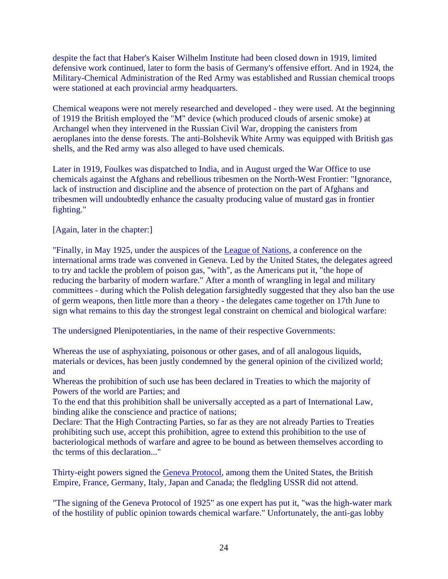despite the fact that Haber's Kaiser Wilhelm Institute had been closed down in 1919, limited defensive work continued, later to form the basis of Germany's offensive effort. And in 1924, the Military-Chemical Administration of the Red Army was established and Russian chemical troops were stationed at each provincial army headquarters.

Chemical weapons were not merely researched and developed - they were used. At the beginning of 1919 the British employed the "M" device (which produced clouds of arsenic smoke) at Archangel when they intervened in the Russian Civil War, dropping the canisters from aeroplanes into the dense forests. The anti-Bolshevik White Army was equipped with British gas shells, and the Red army was also alleged to have used chemicals.

Later in 1919, Foulkes was dispatched to India, and in August urged the War Office to use chemicals against the Afghans and rebellious tribesmen on the North-West Frontier: "Ignorance, lack of instruction and discipline and the absence of protection on the part of Afghans and tribesmen will undoubtedly enhance the casualty producing value of mustard gas in frontier fighting."

[Again, later in the chapter:]

"Finally, in May 1925, under the auspices of the [League of Nations](http://www.encyclopedia.com/articles/07297.html), a conference on the international arms trade was convened in Geneva. Led by the United States, the delegates agreed to try and tackle the problem of poison gas, "with", as the Americans put it, "the hope of reducing the barbarity of modern warfare." After a month of wrangling in legal and military committees - during which the Polish delegation farsightedly suggested that they also ban the use of germ weapons, then little more than a theory - the delegates came together on 17th June to sign what remains to this day the strongest legal constraint on chemical and biological warfare:

The undersigned Plenipotentiaries, in the name of their respective Governments:

Whereas the use of asphyxiating, poisonous or other gases, and of all analogous liquids, materials or devices, has been justly condemned by the general opinion of the civilized world; and

Whereas the prohibition of such use has been declared in Treaties to which the majority of Powers of the world are Parties; and

To the end that this prohibition shall be universally accepted as a part of International Law, binding alike the conscience and practice of nations;

Declare: That the High Contracting Parties, so far as they are not already Parties to Treaties prohibiting such use, accept this prohibition, agree to extend this prohibition to the use of bacteriological methods of warfare and agree to be bound as between themselves according to thc terms of this declaration..."

Thirty-eight powers signed the [Geneva Protocol,](http://fas-www.harvard.edu/%7Ehsp/1925.html) among them the United States, the British Empire, France, Germany, Italy, Japan and Canada; the fledgling USSR did not attend.

"The signing of the Geneva Protocol of 1925" as one expert has put it, "was the high-water mark of the hostility of public opinion towards chemical warfare." Unfortunately, the anti-gas lobby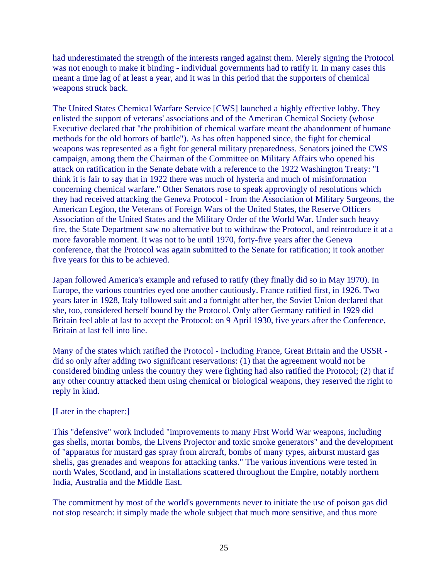had underestimated the strength of the interests ranged against them. Merely signing the Protocol was not enough to make it binding - individual governments had to ratify it. In many cases this meant a time lag of at least a year, and it was in this period that the supporters of chemical weapons struck back.

The United States Chemical Warfare Service [CWS] launched a highly effective lobby. They enlisted the support of veterans' associations and of the American Chemical Society (whose Executive declared that "the prohibition of chemical warfare meant the abandonment of humane methods for the old horrors of battle"). As has often happened since, the fight for chemical weapons was represented as a fight for general military preparedness. Senators joined the CWS campaign, among them the Chairman of the Committee on Military Affairs who opened his attack on ratification in the Senate debate with a reference to the 1922 Washington Treaty: "I think it is fair to say that in 1922 there was much of hysteria and much of misinformation concerning chemical warfare." Other Senators rose to speak approvingly of resolutions which they had received attacking the Geneva Protocol - from the Association of Military Surgeons, the American Legion, the Veterans of Foreign Wars of the United States, the Reserve Officers Association of the United States and the Military Order of the World War. Under such heavy fire, the State Department saw no alternative but to withdraw the Protocol, and reintroduce it at a more favorable moment. It was not to be until 1970, forty-five years after the Geneva conference, that the Protocol was again submitted to the Senate for ratification; it took another five years for this to be achieved.

Japan followed America's example and refused to ratify (they finally did so in May 1970). In Europe, the various countries eyed one another cautiously. France ratified first, in 1926. Two years later in 1928, Italy followed suit and a fortnight after her, the Soviet Union declared that she, too, considered herself bound by the Protocol. Only after Germany ratified in 1929 did Britain feel able at last to accept the Protocol: on 9 April 1930, five years after the Conference, Britain at last fell into line.

Many of the states which ratified the Protocol - including France, Great Britain and the USSR did so only after adding two significant reservations: (1) that the agreement would not be considered binding unless the country they were fighting had also ratified the Protocol; (2) that if any other country attacked them using chemical or biological weapons, they reserved the right to reply in kind.

## [Later in the chapter:]

This "defensive" work included "improvements to many First World War weapons, including gas shells, mortar bombs, the Livens Projector and toxic smoke generators" and the development of "apparatus for mustard gas spray from aircraft, bombs of many types, airburst mustard gas shells, gas grenades and weapons for attacking tanks." The various inventions were tested in north Wales, Scotland, and in installations scattered throughout the Empire, notably northern India, Australia and the Middle East.

The commitment by most of the world's governments never to initiate the use of poison gas did not stop research: it simply made the whole subject that much more sensitive, and thus more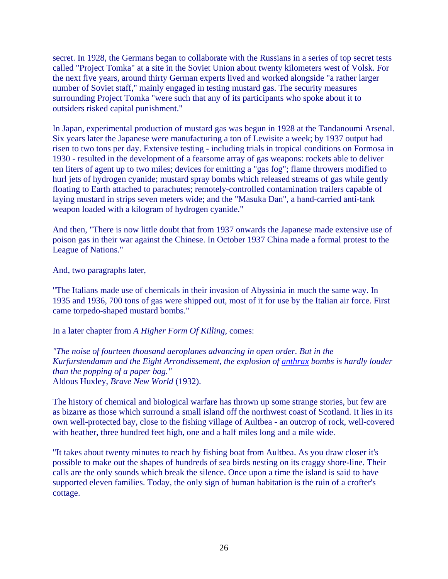secret. In 1928, the Germans began to collaborate with the Russians in a series of top secret tests called "Project Tomka" at a site in the Soviet Union about twenty kilometers west of Volsk. For the next five years, around thirty German experts lived and worked alongside "a rather larger number of Soviet staff," mainly engaged in testing mustard gas. The security measures surrounding Project Tomka "were such that any of its participants who spoke about it to outsiders risked capital punishment."

In Japan, experimental production of mustard gas was begun in 1928 at the Tandanoumi Arsenal. Six years later the Japanese were manufacturing a ton of Lewisite a week; by 1937 output had risen to two tons per day. Extensive testing - including trials in tropical conditions on Formosa in 1930 - resulted in the development of a fearsome array of gas weapons: rockets able to deliver ten liters of agent up to two miles; devices for emitting a "gas fog"; flame throwers modified to hurl jets of hydrogen cyanide; mustard spray bombs which released streams of gas while gently floating to Earth attached to parachutes; remotely-controlled contamination trailers capable of laying mustard in strips seven meters wide; and the "Masuka Dan", a hand-carried anti-tank weapon loaded with a kilogram of hydrogen cyanide."

And then, "There is now little doubt that from 1937 onwards the Japanese made extensive use of poison gas in their war against the Chinese. In October 1937 China made a formal protest to the League of Nations."

And, two paragraphs later,

"The Italians made use of chemicals in their invasion of Abyssinia in much the same way. In 1935 and 1936, 700 tons of gas were shipped out, most of it for use by the Italian air force. First came torpedo-shaped mustard bombs."

In a later chapter from *A Higher Form Of Killing*, comes:

*"The noise of fourteen thousand aeroplanes advancing in open order. But in the Kurfurstendamm and the Eight Arrondissement, the explosion of [anthrax](http://www.nov55.com/biow.html) bombs is hardly louder than the popping of a paper bag."*  Aldous Huxley, *Brave New World* (1932).

The history of chemical and biological warfare has thrown up some strange stories, but few are as bizarre as those which surround a small island off the northwest coast of Scotland. It lies in its own well-protected bay, close to the fishing village of Aultbea - an outcrop of rock, well-covered with heather, three hundred feet high, one and a half miles long and a mile wide.

"It takes about twenty minutes to reach by fishing boat from Aultbea. As you draw closer it's possible to make out the shapes of hundreds of sea birds nesting on its craggy shore-line. Their calls are the only sounds which break the silence. Once upon a time the island is said to have supported eleven families. Today, the only sign of human habitation is the ruin of a crofter's cottage.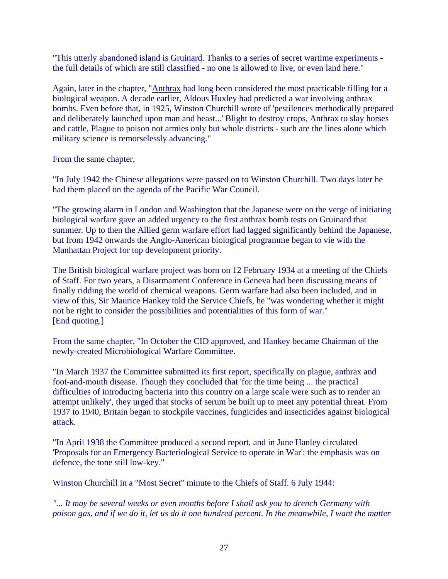"This utterly abandoned island is [Gruinard.](http://www.stevecarter.com/wr6.htm) Thanks to a series of secret wartime experiments the full details of which are still classified - no one is allowed to live, or even land here."

Again, later in the chapter, "[Anthrax](http://www.emergency.com/anthrax.htm) had long been considered the most practicable filling for a biological weapon. A decade earlier, Aldous Huxley had predicted a war involving anthrax bombs. Even before that, in 1925, Winston Churchill wrote of 'pestilences methodically prepared and deliberately launched upon man and beast...' Blight to destroy crops, Anthrax to slay horses and cattle, Plague to poison not armies only but whole districts - such are the lines alone which military science is remorselessly advancing."

From the same chapter,

"In July 1942 the Chinese allegations were passed on to Winston Churchill. Two days later he had them placed on the agenda of the Pacific War Council.

"The growing alarm in London and Washington that the Japanese were on the verge of initiating biological warfare gave an added urgency to the first anthrax bomb tests on Gruinard that summer. Up to then the Allied germ warfare effort had lagged significantly behind the Japanese, but from 1942 onwards the Anglo-American biological programme began to vie with the Manhattan Project for top development priority.

The British biological warfare project was born on 12 February 1934 at a meeting of the Chiefs of Staff. For two years, a Disarmament Conference in Geneva had been discussing means of finally ridding the world of chemical weapons. Germ warfare had also been included, and in view of this, Sir Maurice Hankey told the Service Chiefs, he "was wondering whether it might not be right to consider the possibilities and potentialities of this form of war." [End quoting.]

From the same chapter, "In October the CID approved, and Hankey became Chairman of the newly-created Microbiological Warfare Committee.

"In March 1937 the Committee submitted its first report, specifically on plague, anthrax and foot-and-mouth disease. Though they concluded that 'for the time being ... the practical difficulties of introducing bacteria into this country on a large scale were such as to render an attempt unlikely', they urged that stocks of serum be built up to meet any potential threat. From 1937 to 1940, Britain began to stockpile vaccines, fungicides and insecticides against biological attack.

"In April 1938 the Committee produced a second report, and in June Hanley circulated 'Proposals for an Emergency Bacteriological Service to operate in War': the emphasis was on defence, the tone still low-key."

Winston Churchill in a "Most Secret" minute to the Chiefs of Staff. 6 July 1944:

*"... It may be several weeks or even months before I shall ask you to drench Germany with poison gas, and if we do it, let us do it one hundred percent. In the meanwhile, I want the matter*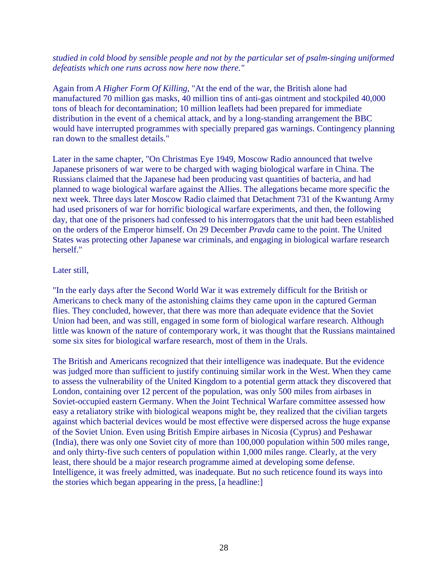*studied in cold blood by sensible people and not by the particular set of psalm-singing uniformed defeatists which one runs across now here now there."*

Again from *A Higher Form Of Killing*, "At the end of the war, the British alone had manufactured 70 million gas masks, 40 million tins of anti-gas ointment and stockpiled 40,000 tons of bleach for decontamination; 10 million leaflets had been prepared for immediate distribution in the event of a chemical attack, and by a long-standing arrangement the BBC would have interrupted programmes with specially prepared gas warnings. Contingency planning ran down to the smallest details."

Later in the same chapter, "On Christmas Eye 1949, Moscow Radio announced that twelve Japanese prisoners of war were to be charged with waging biological warfare in China. The Russians claimed that the Japanese had been producing vast quantities of bacteria, and had planned to wage biological warfare against the Allies. The allegations became more specific the next week. Three days later Moscow Radio claimed that Detachment 731 of the Kwantung Army had used prisoners of war for horrific biological warfare experiments, and then, the following day, that one of the prisoners had confessed to his interrogators that the unit had been established on the orders of the Emperor himself. On 29 December *Pravda* came to the point. The United States was protecting other Japanese war criminals, and engaging in biological warfare research herself."

## Later still,

"In the early days after the Second World War it was extremely difficult for the British or Americans to check many of the astonishing claims they came upon in the captured German flies. They concluded, however, that there was more than adequate evidence that the Soviet Union had been, and was still, engaged in some form of biological warfare research. Although little was known of the nature of contemporary work, it was thought that the Russians maintained some six sites for biological warfare research, most of them in the Urals.

The British and Americans recognized that their intelligence was inadequate. But the evidence was judged more than sufficient to justify continuing similar work in the West. When they came to assess the vulnerability of the United Kingdom to a potential germ attack they discovered that London, containing over 12 percent of the population, was only 500 miles from airbases in Soviet-occupied eastern Germany. When the Joint Technical Warfare committee assessed how easy a retaliatory strike with biological weapons might be, they realized that the civilian targets against which bacterial devices would be most effective were dispersed across the huge expanse of the Soviet Union. Even using British Empire airbases in Nicosia (Cyprus) and Peshawar (India), there was only one Soviet city of more than 100,000 population within 500 miles range, and only thirty-five such centers of population within 1,000 miles range. Clearly, at the very least, there should be a major research programme aimed at developing some defense. Intelligence, it was freely admitted, was inadequate. But no such reticence found its ways into the stories which began appearing in the press, [a headline:]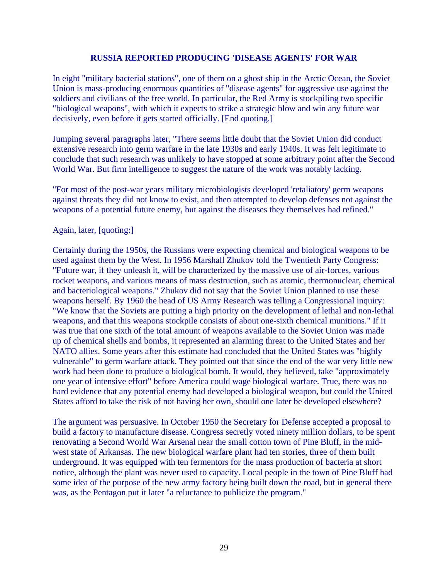#### **RUSSIA REPORTED PRODUCING 'DISEASE AGENTS' FOR WAR**

In eight "military bacterial stations", one of them on a ghost ship in the Arctic Ocean, the Soviet Union is mass-producing enormous quantities of "disease agents" for aggressive use against the soldiers and civilians of the free world. In particular, the Red Army is stockpiling two specific "biological weapons", with which it expects to strike a strategic blow and win any future war decisively, even before it gets started officially. [End quoting.]

Jumping several paragraphs later, "There seems little doubt that the Soviet Union did conduct extensive research into germ warfare in the late 1930s and early 1940s. It was felt legitimate to conclude that such research was unlikely to have stopped at some arbitrary point after the Second World War. But firm intelligence to suggest the nature of the work was notably lacking.

"For most of the post-war years military microbiologists developed 'retaliatory' germ weapons against threats they did not know to exist, and then attempted to develop defenses not against the weapons of a potential future enemy, but against the diseases they themselves had refined."

#### Again, later, [quoting:]

Certainly during the 1950s, the Russians were expecting chemical and biological weapons to be used against them by the West. In 1956 Marshall Zhukov told the Twentieth Party Congress: "Future war, if they unleash it, will be characterized by the massive use of air-forces, various rocket weapons, and various means of mass destruction, such as atomic, thermonuclear, chemical and bacteriological weapons." Zhukov did not say that the Soviet Union planned to use these weapons herself. By 1960 the head of US Army Research was telling a Congressional inquiry: "We know that the Soviets are putting a high priority on the development of lethal and non-lethal weapons, and that this weapons stockpile consists of about one-sixth chemical munitions." If it was true that one sixth of the total amount of weapons available to the Soviet Union was made up of chemical shells and bombs, it represented an alarming threat to the United States and her NATO allies. Some years after this estimate had concluded that the United States was "highly vulnerable" to germ warfare attack. They pointed out that since the end of the war very little new work had been done to produce a biological bomb. It would, they believed, take "approximately one year of intensive effort" before America could wage biological warfare. True, there was no hard evidence that any potential enemy had developed a biological weapon, but could the United States afford to take the risk of not having her own, should one later be developed elsewhere?

The argument was persuasive. In October 1950 the Secretary for Defense accepted a proposal to build a factory to manufacture disease. Congress secretly voted ninety million dollars, to be spent renovating a Second World War Arsenal near the small cotton town of Pine Bluff, in the midwest state of Arkansas. The new biological warfare plant had ten stories, three of them built underground. It was equipped with ten fermentors for the mass production of bacteria at short notice, although the plant was never used to capacity. Local people in the town of Pine Bluff had some idea of the purpose of the new army factory being built down the road, but in general there was, as the Pentagon put it later "a reluctance to publicize the program."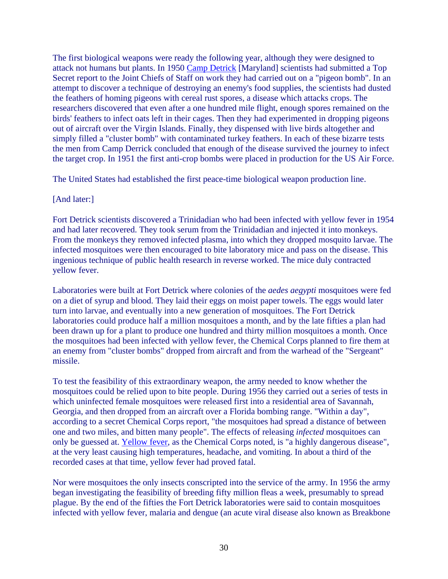The first biological weapons were ready the following year, although they were designed to attack not humans but plants. In 1950 [Camp Detrick](http://www.fas.org/nuke/guide/usa/facility/fort_detrick.htm) [Maryland] scientists had submitted a Top Secret report to the Joint Chiefs of Staff on work they had carried out on a "pigeon bomb". In an attempt to discover a technique of destroying an enemy's food supplies, the scientists had dusted the feathers of homing pigeons with cereal rust spores, a disease which attacks crops. The researchers discovered that even after a one hundred mile flight, enough spores remained on the birds' feathers to infect oats left in their cages. Then they had experimented in dropping pigeons out of aircraft over the Virgin Islands. Finally, they dispensed with live birds altogether and simply filled a "cluster bomb" with contaminated turkey feathers. In each of these bizarre tests the men from Camp Derrick concluded that enough of the disease survived the journey to infect the target crop. In 1951 the first anti-crop bombs were placed in production for the US Air Force.

The United States had established the first peace-time biological weapon production line.

## [And later:]

Fort Detrick scientists discovered a Trinidadian who had been infected with yellow fever in 1954 and had later recovered. They took serum from the Trinidadian and injected it into monkeys. From the monkeys they removed infected plasma, into which they dropped mosquito larvae. The infected mosquitoes were then encouraged to bite laboratory mice and pass on the disease. This ingenious technique of public health research in reverse worked. The mice duly contracted yellow fever.

Laboratories were built at Fort Detrick where colonies of the *aedes aegypti* mosquitoes were fed on a diet of syrup and blood. They laid their eggs on moist paper towels. The eggs would later turn into larvae, and eventually into a new generation of mosquitoes. The Fort Detrick laboratories could produce half a million mosquitoes a month, and by the late fifties a plan had been drawn up for a plant to produce one hundred and thirty million mosquitoes a month. Once the mosquitoes had been infected with yellow fever, the Chemical Corps planned to fire them at an enemy from "cluster bombs" dropped from aircraft and from the warhead of the "Sergeant" missile.

To test the feasibility of this extraordinary weapon, the army needed to know whether the mosquitoes could be relied upon to bite people. During 1956 they carried out a series of tests in which uninfected female mosquitoes were released first into a residential area of Savannah, Georgia, and then dropped from an aircraft over a Florida bombing range. "Within a day", according to a secret Chemical Corps report, "the mosquitoes had spread a distance of between one and two miles, and bitten many people". The effects of releasing *infected* mosquitoes can only be guessed at. [Yellow fever](http://www.astdhpphe.org/infect/yellow.html), as the Chemical Corps noted, is "a highly dangerous disease", at the very least causing high temperatures, headache, and vomiting. In about a third of the recorded cases at that time, yellow fever had proved fatal.

Nor were mosquitoes the only insects conscripted into the service of the army. In 1956 the army began investigating the feasibility of breeding fifty million fleas a week, presumably to spread plague. By the end of the fifties the Fort Detrick laboratories were said to contain mosquitoes infected with yellow fever, malaria and dengue (an acute viral disease also known as Breakbone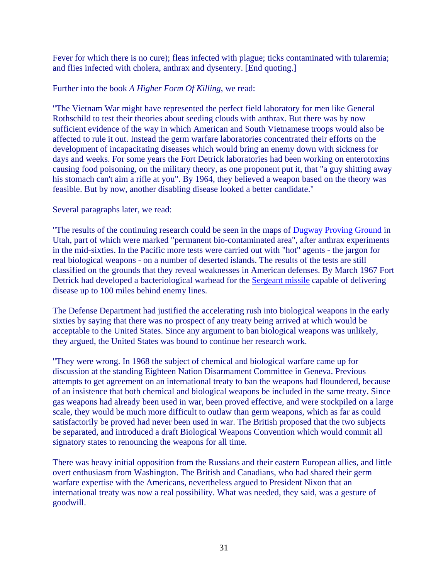Fever for which there is no cure); fleas infected with plague; ticks contaminated with tularemia; and flies infected with cholera, anthrax and dysentery. [End quoting.]

## Further into the book *A Higher Form Of Killing*, we read:

"The Vietnam War might have represented the perfect field laboratory for men like General Rothschild to test their theories about seeding clouds with anthrax. But there was by now sufficient evidence of the way in which American and South Vietnamese troops would also be affected to rule it out. Instead the germ warfare laboratories concentrated their efforts on the development of incapacitating diseases which would bring an enemy down with sickness for days and weeks. For some years the Fort Detrick laboratories had been working on enterotoxins causing food poisoning, on the military theory, as one proponent put it, that "a guy shitting away his stomach can't aim a rifle at you". By 1964, they believed a weapon based on the theory was feasible. But by now, another disabling disease looked a better candidate."

#### Several paragraphs later, we read:

"The results of the continuing research could be seen in the maps of [Dugway Proving Ground](http://personalpages.tds.net/%7Ekknowlto/index.html) in Utah, part of which were marked "permanent bio-contaminated area", after anthrax experiments in the mid-sixties. In the Pacific more tests were carried out with "hot" agents - the jargon for real biological weapons - on a number of deserted islands. The results of the tests are still classified on the grounds that they reveal weaknesses in American defenses. By March 1967 Fort Detrick had developed a bacteriological warhead for the [Sergeant missile](http://www.arnold.af.mil/aedc/systems/58-271.htm) capable of delivering disease up to 100 miles behind enemy lines.

The Defense Department had justified the accelerating rush into biological weapons in the early sixties by saying that there was no prospect of any treaty being arrived at which would be acceptable to the United States. Since any argument to ban biological weapons was unlikely, they argued, the United States was bound to continue her research work.

"They were wrong. In 1968 the subject of chemical and biological warfare came up for discussion at the standing Eighteen Nation Disarmament Committee in Geneva. Previous attempts to get agreement on an international treaty to ban the weapons had floundered, because of an insistence that both chemical and biological weapons be included in the same treaty. Since gas weapons had already been used in war, been proved effective, and were stockpiled on a large scale, they would be much more difficult to outlaw than germ weapons, which as far as could satisfactorily be proved had never been used in war. The British proposed that the two subjects be separated, and introduced a draft Biological Weapons Convention which would commit all signatory states to renouncing the weapons for all time.

There was heavy initial opposition from the Russians and their eastern European allies, and little overt enthusiasm from Washington. The British and Canadians, who had shared their germ warfare expertise with the Americans, nevertheless argued to President Nixon that an international treaty was now a real possibility. What was needed, they said, was a gesture of goodwill.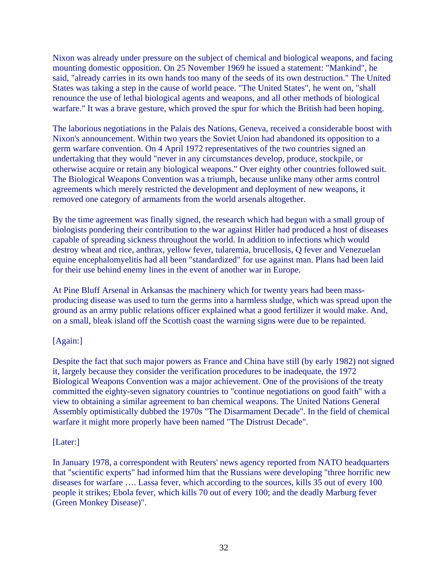Nixon was already under pressure on the subject of chemical and biological weapons, and facing mounting domestic opposition. On 25 November 1969 he issued a statement: "Mankind", he said, "already carries in its own hands too many of the seeds of its own destruction." The United States was taking a step in the cause of world peace. "The United States", he went on, "shall renounce the use of lethal biological agents and weapons, and all other methods of biological warfare." It was a brave gesture, which proved the spur for which the British had been hoping.

The laborious negotiations in the Palais des Nations, Geneva, received a considerable boost with Nixon's announcement. Within two years the Soviet Union had abandoned its opposition to a germ warfare convention. On 4 April 1972 representatives of the two countries signed an undertaking that they would "never in any circumstances develop, produce, stockpile, or otherwise acquire or retain any biological weapons." Over eighty other countries followed suit. The Biological Weapons Convention was a triumph, because unlike many other arms control agreements which merely restricted the development and deployment of new weapons, it removed one category of armaments from the world arsenals altogether.

By the time agreement was finally signed, the research which had begun with a small group of biologists pondering their contribution to the war against Hitler had produced a host of diseases capable of spreading sickness throughout the world. In addition to infections which would destroy wheat and rice, anthrax, yellow fever, tularemia, brucellosis, Q fever and Venezuelan equine encephalomyelitis had all been "standardized" for use against man. Plans had been laid for their use behind enemy lines in the event of another war in Europe.

At Pine Bluff Arsenal in Arkansas the machinery which for twenty years had been massproducing disease was used to turn the germs into a harmless sludge, which was spread upon the ground as an army public relations officer explained what a good fertilizer it would make. And, on a small, bleak island off the Scottish coast the warning signs were due to be repainted.

## [Again:]

Despite the fact that such major powers as France and China have still (by early 1982) not signed it, largely because they consider the verification procedures to be inadequate, the 1972 Biological Weapons Convention was a major achievement. One of the provisions of the treaty committed the eighty-seven signatory countries to "continue negotiations on good faith" with a view to obtaining a similar agreement to ban chemical weapons. The United Nations General Assembly optimistically dubbed the 1970s "The Disarmament Decade". In the field of chemical warfare it might more properly have been named "The Distrust Decade".

#### [Later:]

In January 1978, a correspondent with Reuters' news agency reported from NATO headquarters that "scientific experts" had informed him that the Russians were developing "three horrific new diseases for warfare …. Lassa fever, which according to the sources, kills 35 out of every 100 people it strikes; Ebola fever, which kills 70 out of every 100; and the deadly Marburg fever (Green Monkey Disease)".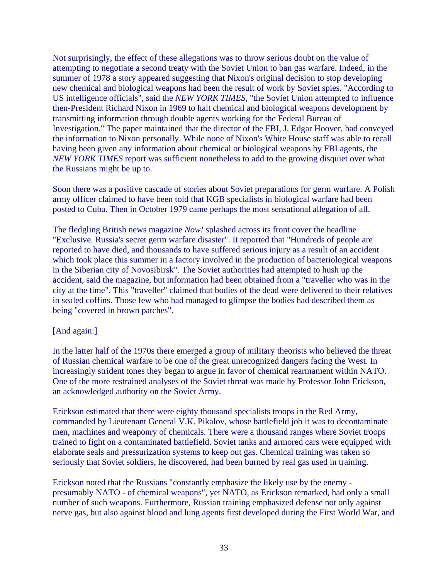Not surprisingly, the effect of these allegations was to throw serious doubt on the value of attempting to negotiate a second treaty with the Soviet Union to ban gas warfare. Indeed, in the summer of 1978 a story appeared suggesting that Nixon's original decision to stop developing new chemical and biological weapons had been the result of work by Soviet spies. "According to US intelligence officials", said the *NEW YORK TIMES*, "the Soviet Union attempted to influence then-President Richard Nixon in 1969 to halt chemical and biological weapons development by transmitting information through double agents working for the Federal Bureau of Investigation." The paper maintained that the director of the FBI, J. Edgar Hoover, had conveyed the information to Nixon personally. While none of Nixon's White House staff was able to recall having been given any information about chemical or biological weapons by FBI agents, the *NEW YORK TIMES* report was sufficient nonetheless to add to the growing disquiet over what the Russians might be up to.

Soon there was a positive cascade of stories about Soviet preparations for germ warfare. A Polish army officer claimed to have been told that KGB specialists in biological warfare had been posted to Cuba. Then in October 1979 came perhaps the most sensational allegation of all.

The fledgling British news magazine *Now!* splashed across its front cover the headline "Exclusive. Russia's secret germ warfare disaster". It reported that "Hundreds of people are reported to have died, and thousands to have suffered serious injury as a result of an accident which took place this summer in a factory involved in the production of bacteriological weapons in the Siberian city of Novosibirsk". The Soviet authorities had attempted to hush up the accident, said the magazine, but information had been obtained from a "traveller who was in the city at the time". This "traveller" claimed that bodies of the dead were delivered to their relatives in sealed coffins. Those few who had managed to glimpse the bodies had described them as being "covered in brown patches".

#### [And again:]

In the latter half of the 1970s there emerged a group of military theorists who believed the threat of Russian chemical warfare to be one of the great unrecognized dangers facing the West. In increasingly strident tones they began to argue in favor of chemical rearmament within NATO. One of the more restrained analyses of the Soviet threat was made by Professor John Erickson, an acknowledged authority on the Soviet Army.

Erickson estimated that there were eighty thousand specialists troops in the Red Army, commanded by Lieutenant General V.K. Pikalov, whose battlefield job it was to decontaminate men, machines and weaponry of chemicals. There were a thousand ranges where Soviet troops trained to fight on a contaminated battlefield. Soviet tanks and armored cars were equipped with elaborate seals and pressurization systems to keep out gas. Chemical training was taken so seriously that Soviet soldiers, he discovered, had been burned by real gas used in training.

Erickson noted that the Russians "constantly emphasize the likely use by the enemy presumably NATO - of chemical weapons", yet NATO, as Erickson remarked, had only a small number of such weapons. Furthermore, Russian training emphasized defense not only against nerve gas, but also against blood and lung agents first developed during the First World War, and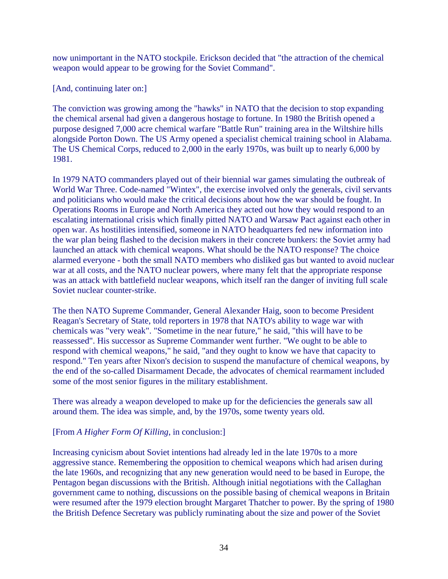now unimportant in the NATO stockpile. Erickson decided that "the attraction of the chemical weapon would appear to be growing for the Soviet Command".

[And, continuing later on:]

The conviction was growing among the "hawks" in NATO that the decision to stop expanding the chemical arsenal had given a dangerous hostage to fortune. In 1980 the British opened a purpose designed 7,000 acre chemical warfare "Battle Run" training area in the Wiltshire hills alongside Porton Down. The US Army opened a specialist chemical training school in Alabama. The US Chemical Corps, reduced to 2,000 in the early 1970s, was built up to nearly 6,000 by 1981.

In 1979 NATO commanders played out of their biennial war games simulating the outbreak of World War Three. Code-named "Wintex", the exercise involved only the generals, civil servants and politicians who would make the critical decisions about how the war should be fought. In Operations Rooms in Europe and North America they acted out how they would respond to an escalating international crisis which finally pitted NATO and Warsaw Pact against each other in open war. As hostilities intensified, someone in NATO headquarters fed new information into the war plan being flashed to the decision makers in their concrete bunkers: the Soviet army had launched an attack with chemical weapons. What should be the NATO response? The choice alarmed everyone - both the small NATO members who disliked gas but wanted to avoid nuclear war at all costs, and the NATO nuclear powers, where many felt that the appropriate response was an attack with battlefield nuclear weapons, which itself ran the danger of inviting full scale Soviet nuclear counter-strike.

The then NATO Supreme Commander, General Alexander Haig, soon to become President Reagan's Secretary of State, told reporters in 1978 that NATO's ability to wage war with chemicals was "very weak". "Sometime in the near future," he said, "this will have to be reassessed". His successor as Supreme Commander went further. "We ought to be able to respond with chemical weapons," he said, "and they ought to know we have that capacity to respond." Ten years after Nixon's decision to suspend the manufacture of chemical weapons, by the end of the so-called Disarmament Decade, the advocates of chemical rearmament included some of the most senior figures in the military establishment.

There was already a weapon developed to make up for the deficiencies the generals saw all around them. The idea was simple, and, by the 1970s, some twenty years old.

## [From *A Higher Form Of Killing*, in conclusion:]

Increasing cynicism about Soviet intentions had already led in the late 1970s to a more aggressive stance. Remembering the opposition to chemical weapons which had arisen during the late 1960s, and recognizing that any new generation would need to be based in Europe, the Pentagon began discussions with the British. Although initial negotiations with the Callaghan government came to nothing, discussions on the possible basing of chemical weapons in Britain were resumed after the 1979 election brought Margaret Thatcher to power. By the spring of 1980 the British Defence Secretary was publicly ruminating about the size and power of the Soviet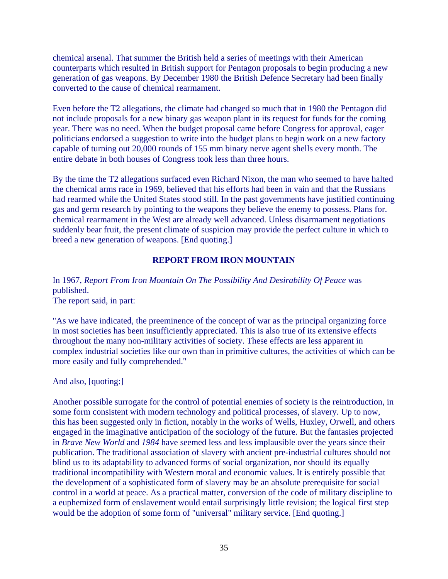chemical arsenal. That summer the British held a series of meetings with their American counterparts which resulted in British support for Pentagon proposals to begin producing a new generation of gas weapons. By December 1980 the British Defence Secretary had been finally converted to the cause of chemical rearmament.

Even before the T2 allegations, the climate had changed so much that in 1980 the Pentagon did not include proposals for a new binary gas weapon plant in its request for funds for the coming year. There was no need. When the budget proposal came before Congress for approval, eager politicians endorsed a suggestion to write into the budget plans to begin work on a new factory capable of turning out 20,000 rounds of 155 mm binary nerve agent shells every month. The entire debate in both houses of Congress took less than three hours.

By the time the T2 allegations surfaced even Richard Nixon, the man who seemed to have halted the chemical arms race in 1969, believed that his efforts had been in vain and that the Russians had rearmed while the United States stood still. In the past governments have justified continuing gas and germ research by pointing to the weapons they believe the enemy to possess. Plans for. chemical rearmament in the West are already well advanced. Unless disarmament negotiations suddenly bear fruit, the present climate of suspicion may provide the perfect culture in which to breed a new generation of weapons. [End quoting.]

## **REPORT FROM IRON MOUNTAIN**

In 1967, *Report From Iron Mountain On The Possibility And Desirability Of Peace* was published. The report said, in part:

"As we have indicated, the preeminence of the concept of war as the principal organizing force in most societies has been insufficiently appreciated. This is also true of its extensive effects throughout the many non-military activities of society. These effects are less apparent in complex industrial societies like our own than in primitive cultures, the activities of which can be more easily and fully comprehended."

## And also, [quoting:]

Another possible surrogate for the control of potential enemies of society is the reintroduction, in some form consistent with modern technology and political processes, of slavery. Up to now, this has been suggested only in fiction, notably in the works of Wells, Huxley, Orwell, and others engaged in the imaginative anticipation of the sociology of the future. But the fantasies projected in *Brave New World* and *1984* have seemed less and less implausible over the years since their publication. The traditional association of slavery with ancient pre-industrial cultures should not blind us to its adaptability to advanced forms of social organization, nor should its equally traditional incompatibility with Western moral and economic values. It is entirely possible that the development of a sophisticated form of slavery may be an absolute prerequisite for social control in a world at peace. As a practical matter, conversion of the code of military discipline to a euphemized form of enslavement would entail surprisingly little revision; the logical first step would be the adoption of some form of "universal" military service. [End quoting.]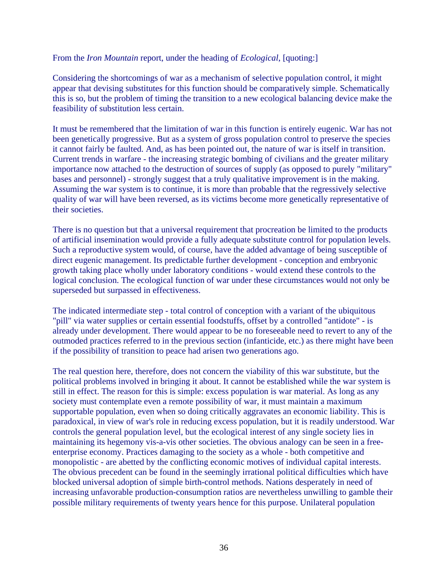#### From the *Iron Mountain* report, under the heading of *Ecological*, [quoting:]

Considering the shortcomings of war as a mechanism of selective population control, it might appear that devising substitutes for this function should be comparatively simple. Schematically this is so, but the problem of timing the transition to a new ecological balancing device make the feasibility of substitution less certain.

It must be remembered that the limitation of war in this function is entirely eugenic. War has not been genetically progressive. But as a system of gross population control to preserve the species it cannot fairly be faulted. And, as has been pointed out, the nature of war is itself in transition. Current trends in warfare - the increasing strategic bombing of civilians and the greater military importance now attached to the destruction of sources of supply (as opposed to purely "military" bases and personnel) - strongly suggest that a truly qualitative improvement is in the making. Assuming the war system is to continue, it is more than probable that the regressively selective quality of war will have been reversed, as its victims become more genetically representative of their societies.

There is no question but that a universal requirement that procreation be limited to the products of artificial insemination would provide a fully adequate substitute control for population levels. Such a reproductive system would, of course, have the added advantage of being susceptible of direct eugenic management. Its predictable further development - conception and embryonic growth taking place wholly under laboratory conditions - would extend these controls to the logical conclusion. The ecological function of war under these circumstances would not only be superseded but surpassed in effectiveness.

The indicated intermediate step - total control of conception with a variant of the ubiquitous "pill" via water supplies or certain essential foodstuffs, offset by a controlled "antidote" - is already under development. There would appear to be no foreseeable need to revert to any of the outmoded practices referred to in the previous section (infanticide, etc.) as there might have been if the possibility of transition to peace had arisen two generations ago.

The real question here, therefore, does not concern the viability of this war substitute, but the political problems involved in bringing it about. It cannot be established while the war system is still in effect. The reason for this is simple: excess population is war material. As long as any society must contemplate even a remote possibility of war, it must maintain a maximum supportable population, even when so doing critically aggravates an economic liability. This is paradoxical, in view of war's role in reducing excess population, but it is readily understood. War controls the general population level, but the ecological interest of any single society lies in maintaining its hegemony vis-a-vis other societies. The obvious analogy can be seen in a freeenterprise economy. Practices damaging to the society as a whole - both competitive and monopolistic - are abetted by the conflicting economic motives of individual capital interests. The obvious precedent can be found in the seemingly irrational political difficulties which have blocked universal adoption of simple birth-control methods. Nations desperately in need of increasing unfavorable production-consumption ratios are nevertheless unwilling to gamble their possible military requirements of twenty years hence for this purpose. Unilateral population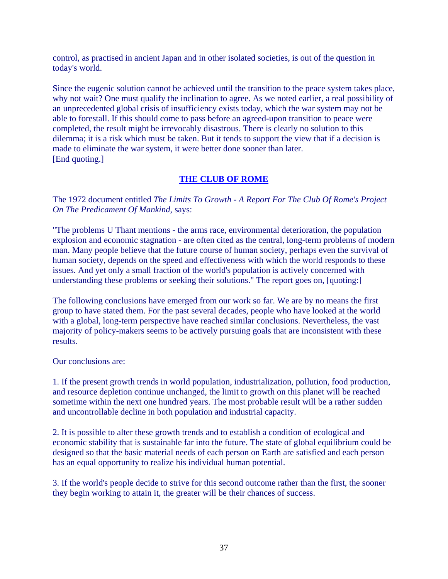control, as practised in ancient Japan and in other isolated societies, is out of the question in today's world.

Since the eugenic solution cannot be achieved until the transition to the peace system takes place, why not wait? One must qualify the inclination to agree. As we noted earlier, a real possibility of an unprecedented global crisis of insufficiency exists today, which the war system may not be able to forestall. If this should come to pass before an agreed-upon transition to peace were completed, the result might be irrevocably disastrous. There is clearly no solution to this dilemma; it is a risk which must be taken. But it tends to support the view that if a decision is made to eliminate the war system, it were better done sooner than later. [End quoting.]

# **[THE CLUB OF ROME](http://www.clubofrome.org/)**

The 1972 document entitled *The Limits To Growth - A Report For The Club Of Rome's Project On The Predicament Of Mankind*, says:

"The problems U Thant mentions - the arms race, environmental deterioration, the population explosion and economic stagnation - are often cited as the central, long-term problems of modern man. Many people believe that the future course of human society, perhaps even the survival of human society, depends on the speed and effectiveness with which the world responds to these issues. And yet only a small fraction of the world's population is actively concerned with understanding these problems or seeking their solutions." The report goes on, [quoting:]

The following conclusions have emerged from our work so far. We are by no means the first group to have stated them. For the past several decades, people who have looked at the world with a global, long-term perspective have reached similar conclusions. Nevertheless, the vast majority of policy-makers seems to be actively pursuing goals that are inconsistent with these results.

Our conclusions are:

1. If the present growth trends in world population, industrialization, pollution, food production, and resource depletion continue unchanged, the limit to growth on this planet will be reached sometime within the next one hundred years. The most probable result will be a rather sudden and uncontrollable decline in both population and industrial capacity.

2. It is possible to alter these growth trends and to establish a condition of ecological and economic stability that is sustainable far into the future. The state of global equilibrium could be designed so that the basic material needs of each person on Earth are satisfied and each person has an equal opportunity to realize his individual human potential.

3. If the world's people decide to strive for this second outcome rather than the first, the sooner they begin working to attain it, the greater will be their chances of success.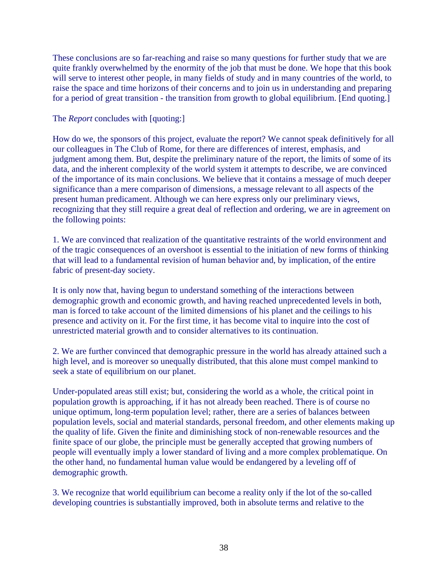These conclusions are so far-reaching and raise so many questions for further study that we are quite frankly overwhelmed by the enormity of the job that must be done. We hope that this book will serve to interest other people, in many fields of study and in many countries of the world, to raise the space and time horizons of their concerns and to join us in understanding and preparing for a period of great transition - the transition from growth to global equilibrium. [End quoting.]

## The *Report* concludes with [quoting:]

How do we, the sponsors of this project, evaluate the report? We cannot speak definitively for all our colleagues in The Club of Rome, for there are differences of interest, emphasis, and judgment among them. But, despite the preliminary nature of the report, the limits of some of its data, and the inherent complexity of the world system it attempts to describe, we are convinced of the importance of its main conclusions. We believe that it contains a message of much deeper significance than a mere comparison of dimensions, a message relevant to all aspects of the present human predicament. Although we can here express only our preliminary views, recognizing that they still require a great deal of reflection and ordering, we are in agreement on the following points:

1. We are convinced that realization of the quantitative restraints of the world environment and of the tragic consequences of an overshoot is essential to the initiation of new forms of thinking that will lead to a fundamental revision of human behavior and, by implication, of the entire fabric of present-day society.

It is only now that, having begun to understand something of the interactions between demographic growth and economic growth, and having reached unprecedented levels in both, man is forced to take account of the limited dimensions of his planet and the ceilings to his presence and activity on it. For the first time, it has become vital to inquire into the cost of unrestricted material growth and to consider alternatives to its continuation.

2. We are further convinced that demographic pressure in the world has already attained such a high level, and is moreover so unequally distributed, that this alone must compel mankind to seek a state of equilibrium on our planet.

Under-populated areas still exist; but, considering the world as a whole, the critical point in population growth is approaching, if it has not already been reached. There is of course no unique optimum, long-term population level; rather, there are a series of balances between population levels, social and material standards, personal freedom, and other elements making up the quality of life. Given the finite and diminishing stock of non-renewable resources and the finite space of our globe, the principle must be generally accepted that growing numbers of people will eventually imply a lower standard of living and a more complex problematique. On the other hand, no fundamental human value would be endangered by a leveling off of demographic growth.

3. We recognize that world equilibrium can become a reality only if the lot of the so-called developing countries is substantially improved, both in absolute terms and relative to the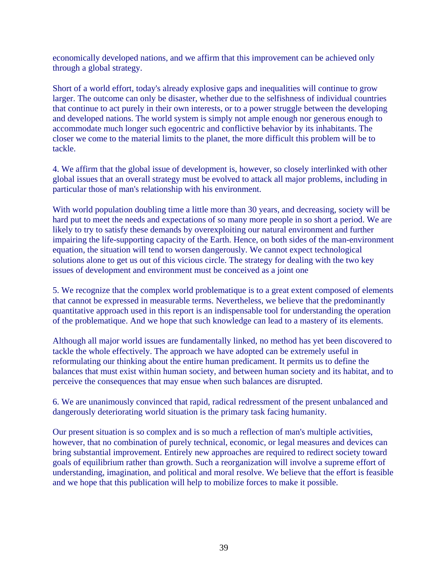economically developed nations, and we affirm that this improvement can be achieved only through a global strategy.

Short of a world effort, today's already explosive gaps and inequalities will continue to grow larger. The outcome can only be disaster, whether due to the selfishness of individual countries that continue to act purely in their own interests, or to a power struggle between the developing and developed nations. The world system is simply not ample enough nor generous enough to accommodate much longer such egocentric and conflictive behavior by its inhabitants. The closer we come to the material limits to the planet, the more difficult this problem will be to tackle.

4. We affirm that the global issue of development is, however, so closely interlinked with other global issues that an overall strategy must be evolved to attack all major problems, including in particular those of man's relationship with his environment.

With world population doubling time a little more than 30 years, and decreasing, society will be hard put to meet the needs and expectations of so many more people in so short a period. We are likely to try to satisfy these demands by overexploiting our natural environment and further impairing the life-supporting capacity of the Earth. Hence, on both sides of the man-environment equation, the situation will tend to worsen dangerously. We cannot expect technological solutions alone to get us out of this vicious circle. The strategy for dealing with the two key issues of development and environment must be conceived as a joint one

5. We recognize that the complex world problematique is to a great extent composed of elements that cannot be expressed in measurable terms. Nevertheless, we believe that the predominantly quantitative approach used in this report is an indispensable tool for understanding the operation of the problematique. And we hope that such knowledge can lead to a mastery of its elements.

Although all major world issues are fundamentally linked, no method has yet been discovered to tackle the whole effectively. The approach we have adopted can be extremely useful in reformulating our thinking about the entire human predicament. It permits us to define the balances that must exist within human society, and between human society and its habitat, and to perceive the consequences that may ensue when such balances are disrupted.

6. We are unanimously convinced that rapid, radical redressment of the present unbalanced and dangerously deteriorating world situation is the primary task facing humanity.

Our present situation is so complex and is so much a reflection of man's multiple activities, however, that no combination of purely technical, economic, or legal measures and devices can bring substantial improvement. Entirely new approaches are required to redirect society toward goals of equilibrium rather than growth. Such a reorganization will involve a supreme effort of understanding, imagination, and political and moral resolve. We believe that the effort is feasible and we hope that this publication will help to mobilize forces to make it possible.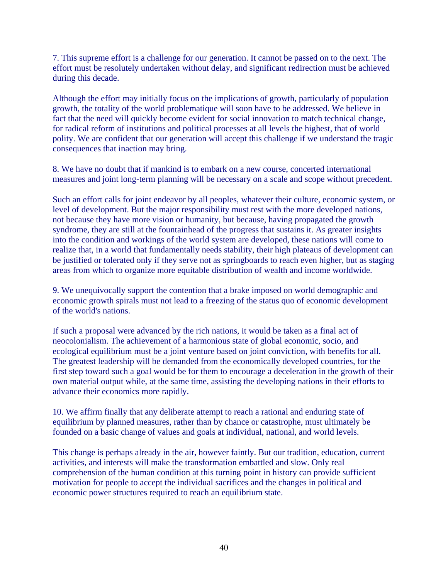7. This supreme effort is a challenge for our generation. It cannot be passed on to the next. The effort must be resolutely undertaken without delay, and significant redirection must be achieved during this decade.

Although the effort may initially focus on the implications of growth, particularly of population growth, the totality of the world problematique will soon have to be addressed. We believe in fact that the need will quickly become evident for social innovation to match technical change, for radical reform of institutions and political processes at all levels the highest, that of world polity. We are confident that our generation will accept this challenge if we understand the tragic consequences that inaction may bring.

8. We have no doubt that if mankind is to embark on a new course, concerted international measures and joint long-term planning will be necessary on a scale and scope without precedent.

Such an effort calls for joint endeavor by all peoples, whatever their culture, economic system, or level of development. But the major responsibility must rest with the more developed nations, not because they have more vision or humanity, but because, having propagated the growth syndrome, they are still at the fountainhead of the progress that sustains it. As greater insights into the condition and workings of the world system are developed, these nations will come to realize that, in a world that fundamentally needs stability, their high plateaus of development can be justified or tolerated only if they serve not as springboards to reach even higher, but as staging areas from which to organize more equitable distribution of wealth and income worldwide.

9. We unequivocally support the contention that a brake imposed on world demographic and economic growth spirals must not lead to a freezing of the status quo of economic development of the world's nations.

If such a proposal were advanced by the rich nations, it would be taken as a final act of neocolonialism. The achievement of a harmonious state of global economic, socio, and ecological equilibrium must be a joint venture based on joint conviction, with benefits for all. The greatest leadership will be demanded from the economically developed countries, for the first step toward such a goal would be for them to encourage a deceleration in the growth of their own material output while, at the same time, assisting the developing nations in their efforts to advance their economics more rapidly.

10. We affirm finally that any deliberate attempt to reach a rational and enduring state of equilibrium by planned measures, rather than by chance or catastrophe, must ultimately be founded on a basic change of values and goals at individual, national, and world levels.

This change is perhaps already in the air, however faintly. But our tradition, education, current activities, and interests will make the transformation embattled and slow. Only real comprehension of the human condition at this turning point in history can provide sufficient motivation for people to accept the individual sacrifices and the changes in political and economic power structures required to reach an equilibrium state.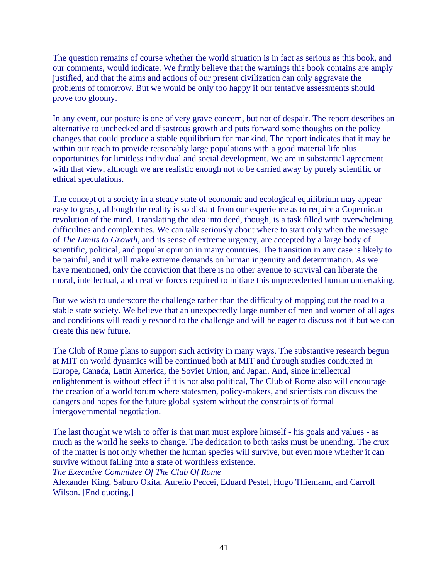The question remains of course whether the world situation is in fact as serious as this book, and our comments, would indicate. We firmly believe that the warnings this book contains are amply justified, and that the aims and actions of our present civilization can only aggravate the problems of tomorrow. But we would be only too happy if our tentative assessments should prove too gloomy.

In any event, our posture is one of very grave concern, but not of despair. The report describes an alternative to unchecked and disastrous growth and puts forward some thoughts on the policy changes that could produce a stable equilibrium for mankind. The report indicates that it may be within our reach to provide reasonably large populations with a good material life plus opportunities for limitless individual and social development. We are in substantial agreement with that view, although we are realistic enough not to be carried away by purely scientific or ethical speculations.

The concept of a society in a steady state of economic and ecological equilibrium may appear easy to grasp, although the reality is so distant from our experience as to require a Copernican revolution of the mind. Translating the idea into deed, though, is a task filled with overwhelming difficulties and complexities. We can talk seriously about where to start only when the message of *The Limits to Growth*, and its sense of extreme urgency, are accepted by a large body of scientific, political, and popular opinion in many countries. The transition in any case is likely to be painful, and it will make extreme demands on human ingenuity and determination. As we have mentioned, only the conviction that there is no other avenue to survival can liberate the moral, intellectual, and creative forces required to initiate this unprecedented human undertaking.

But we wish to underscore the challenge rather than the difficulty of mapping out the road to a stable state society. We believe that an unexpectedly large number of men and women of all ages and conditions will readily respond to the challenge and will be eager to discuss not if but we can create this new future.

The Club of Rome plans to support such activity in many ways. The substantive research begun at MIT on world dynamics will be continued both at MIT and through studies conducted in Europe, Canada, Latin America, the Soviet Union, and Japan. And, since intellectual enlightenment is without effect if it is not also political, The Club of Rome also will encourage the creation of a world forum where statesmen, policy-makers, and scientists can discuss the dangers and hopes for the future global system without the constraints of formal intergovernmental negotiation.

The last thought we wish to offer is that man must explore himself - his goals and values - as much as the world he seeks to change. The dedication to both tasks must be unending. The crux of the matter is not only whether the human species will survive, but even more whether it can survive without falling into a state of worthless existence.

*The Executive Committee Of The Club Of Rome*

Alexander King, Saburo Okita, Aurelio Peccei, Eduard Pestel, Hugo Thiemann, and Carroll Wilson. [End quoting.]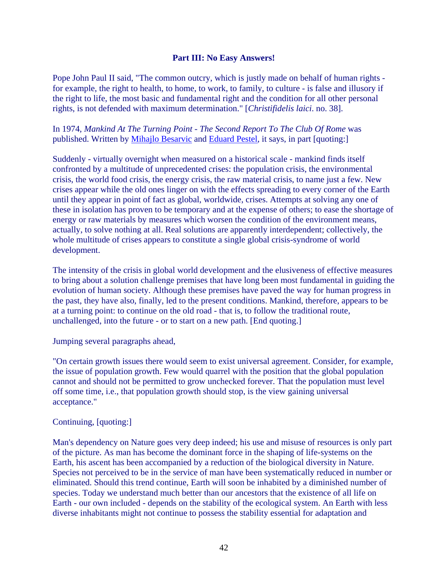## **Part III: No Easy Answers!**

Pope John Paul II said, "The common outcry, which is justly made on behalf of human rights for example, the right to health, to home, to work, to family, to culture - is false and illusory if the right to life, the most basic and fundamental right and the condition for all other personal rights, is not defended with maximum determination." [*Christifidelis laici*. no. 38].

In 1974, *Mankind At The Turning Point - The Second Report To The Club Of Rome* was published. Written by [Mihajlo Besarvic](http://joinus.comeng.chungnam.ac.kr/%7Edolphin/db/indices/a-tree/m/Mesarovic:Mihajlo_D=.html) and [Eduard Pestel,](http://centaurus.munzinger.de/ansicht/000/01/0139/000013914t.html) it says, in part [quoting:]

Suddenly - virtually overnight when measured on a historical scale - mankind finds itself confronted by a multitude of unprecedented crises: the population crisis, the environmental crisis, the world food crisis, the energy crisis, the raw material crisis, to name just a few. New crises appear while the old ones linger on with the effects spreading to every corner of the Earth until they appear in point of fact as global, worldwide, crises. Attempts at solving any one of these in isolation has proven to be temporary and at the expense of others; to ease the shortage of energy or raw materials by measures which worsen the condition of the environment means, actually, to solve nothing at all. Real solutions are apparently interdependent; collectively, the whole multitude of crises appears to constitute a single global crisis-syndrome of world development.

The intensity of the crisis in global world development and the elusiveness of effective measures to bring about a solution challenge premises that have long been most fundamental in guiding the evolution of human society. Although these premises have paved the way for human progress in the past, they have also, finally, led to the present conditions. Mankind, therefore, appears to be at a turning point: to continue on the old road - that is, to follow the traditional route, unchallenged, into the future - or to start on a new path. [End quoting.]

Jumping several paragraphs ahead,

"On certain growth issues there would seem to exist universal agreement. Consider, for example, the issue of population growth. Few would quarrel with the position that the global population cannot and should not be permitted to grow unchecked forever. That the population must level off some time, i.e., that population growth should stop, is the view gaining universal acceptance."

# Continuing, [quoting:]

Man's dependency on Nature goes very deep indeed; his use and misuse of resources is only part of the picture. As man has become the dominant force in the shaping of life-systems on the Earth, his ascent has been accompanied by a reduction of the biological diversity in Nature. Species not perceived to be in the service of man have been systematically reduced in number or eliminated. Should this trend continue, Earth will soon be inhabited by a diminished number of species. Today we understand much better than our ancestors that the existence of all life on Earth - our own included - depends on the stability of the ecological system. An Earth with less diverse inhabitants might not continue to possess the stability essential for adaptation and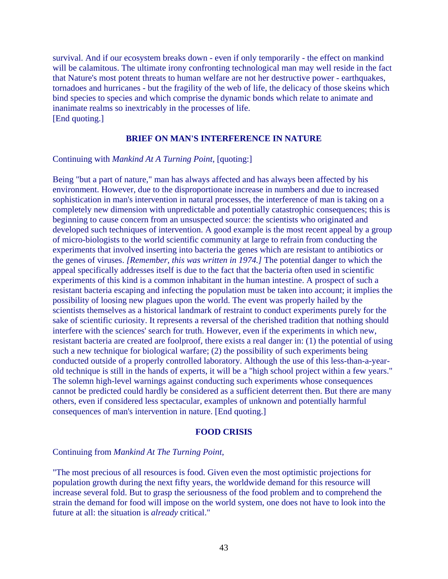survival. And if our ecosystem breaks down - even if only temporarily - the effect on mankind will be calamitous. The ultimate irony confronting technological man may well reside in the fact that Nature's most potent threats to human welfare are not her destructive power - earthquakes, tornadoes and hurricanes - but the fragility of the web of life, the delicacy of those skeins which bind species to species and which comprise the dynamic bonds which relate to animate and inanimate realms so inextricably in the processes of life. [End quoting.]

# **BRIEF ON MAN'S INTERFERENCE IN NATURE**

#### Continuing with *Mankind At A Turning Point*, [quoting:]

Being "but a part of nature," man has always affected and has always been affected by his environment. However, due to the disproportionate increase in numbers and due to increased sophistication in man's intervention in natural processes, the interference of man is taking on a completely new dimension with unpredictable and potentially catastrophic consequences; this is beginning to cause concern from an unsuspected source: the scientists who originated and developed such techniques of intervention. A good example is the most recent appeal by a group of micro-biologists to the world scientific community at large to refrain from conducting the experiments that involved inserting into bacteria the genes which are resistant to antibiotics or the genes of viruses. *[Remember, this was written in 1974.]* The potential danger to which the appeal specifically addresses itself is due to the fact that the bacteria often used in scientific experiments of this kind is a common inhabitant in the human intestine. A prospect of such a resistant bacteria escaping and infecting the population must be taken into account; it implies the possibility of loosing new plagues upon the world. The event was properly hailed by the scientists themselves as a historical landmark of restraint to conduct experiments purely for the sake of scientific curiosity. It represents a reversal of the cherished tradition that nothing should interfere with the sciences' search for truth. However, even if the experiments in which new, resistant bacteria are created are foolproof, there exists a real danger in: (1) the potential of using such a new technique for biological warfare; (2) the possibility of such experiments being conducted outside of a properly controlled laboratory. Although the use of this less-than-a-yearold technique is still in the hands of experts, it will be a "high school project within a few years." The solemn high-level warnings against conducting such experiments whose consequences cannot be predicted could hardly be considered as a sufficient deterrent then. But there are many others, even if considered less spectacular, examples of unknown and potentially harmful consequences of man's intervention in nature. [End quoting.]

#### **FOOD CRISIS**

#### Continuing from *Mankind At The Turning Point*,

"The most precious of all resources is food. Given even the most optimistic projections for population growth during the next fifty years, the worldwide demand for this resource will increase several fold. But to grasp the seriousness of the food problem and to comprehend the strain the demand for food will impose on the world system, one does not have to look into the future at all: the situation is *already* critical."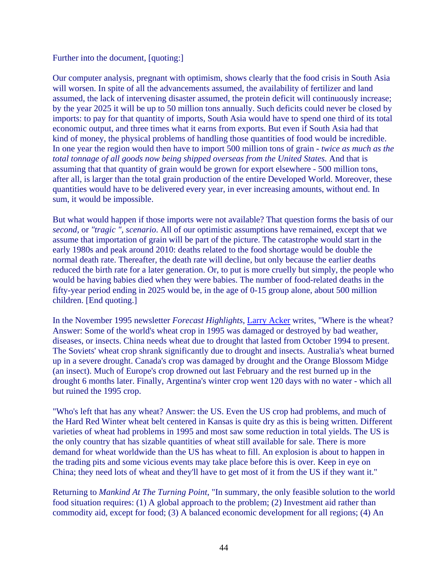## Further into the document, [quoting:]

Our computer analysis, pregnant with optimism, shows clearly that the food crisis in South Asia will worsen. In spite of all the advancements assumed, the availability of fertilizer and land assumed, the lack of intervening disaster assumed, the protein deficit will continuously increase; by the year 2025 it will be up to 50 million tons annually. Such deficits could never be closed by imports: to pay for that quantity of imports, South Asia would have to spend one third of its total economic output, and three times what it earns from exports. But even if South Asia had that kind of money, the physical problems of handling those quantities of food would be incredible. In one year the region would then have to import 500 million tons of grain - *twice as much as the total tonnage of all goods now being shipped overseas from the United States.* And that is assuming that that quantity of grain would be grown for export elsewhere - 500 million tons, after all, is larger than the total grain production of the entire Developed World. Moreover, these quantities would have to be delivered every year, in ever increasing amounts, without end. In sum, it would be impossible.

But what would happen if those imports were not available? That question forms the basis of our *second,* or *"tragic ", scenario*. All of our optimistic assumptions have remained, except that we assume that importation of grain will be part of the picture. The catastrophe would start in the early 1980s and peak around 2010: deaths related to the food shortage would be double the normal death rate. Thereafter, the death rate will decline, but only because the earlier deaths reduced the birth rate for a later generation. Or, to put is more cruelly but simply, the people who would be having babies died when they were babies. The number of food-related deaths in the fifty-year period ending in 2025 would be, in the age of 0-15 group alone, about 500 million children. [End quoting.]

In the November 1995 newsletter *Forecast Highlights*, [Larry Acker](http://www.findbrokers.com/3fforecasts/aboutthe.htm) writes, "Where is the wheat? Answer: Some of the world's wheat crop in 1995 was damaged or destroyed by bad weather, diseases, or insects. China needs wheat due to drought that lasted from October 1994 to present. The Soviets' wheat crop shrank significantly due to drought and insects. Australia's wheat burned up in a severe drought. Canada's crop was damaged by drought and the Orange Blossom Midge (an insect). Much of Europe's crop drowned out last February and the rest burned up in the drought 6 months later. Finally, Argentina's winter crop went 120 days with no water - which all but ruined the 1995 crop.

"Who's left that has any wheat? Answer: the US. Even the US crop had problems, and much of the Hard Red Winter wheat belt centered in Kansas is quite dry as this is being written. Different varieties of wheat had problems in 1995 and most saw some reduction in total yields. The US is the only country that has sizable quantities of wheat still available for sale. There is more demand for wheat worldwide than the US has wheat to fill. An explosion is about to happen in the trading pits and some vicious events may take place before this is over. Keep in eye on China; they need lots of wheat and they'll have to get most of it from the US if they want it."

Returning to *Mankind At The Turning Point*, "In summary, the only feasible solution to the world food situation requires: (1) A global approach to the problem; (2) Investment aid rather than commodity aid, except for food; (3) A balanced economic development for all regions; (4) An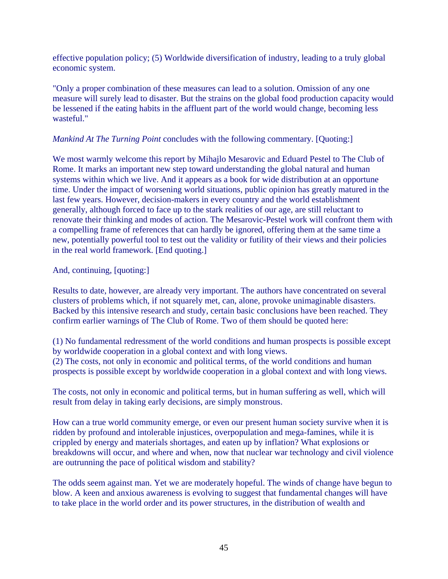effective population policy; (5) Worldwide diversification of industry, leading to a truly global economic system.

"Only a proper combination of these measures can lead to a solution. Omission of any one measure will surely lead to disaster. But the strains on the global food production capacity would be lessened if the eating habits in the affluent part of the world would change, becoming less wasteful."

## *Mankind At The Turning Point* concludes with the following commentary. [Quoting:]

We most warmly welcome this report by Mihajlo Mesarovic and Eduard Pestel to The Club of Rome. It marks an important new step toward understanding the global natural and human systems within which we live. And it appears as a book for wide distribution at an opportune time. Under the impact of worsening world situations, public opinion has greatly matured in the last few years. However, decision-makers in every country and the world establishment generally, although forced to face up to the stark realities of our age, are still reluctant to renovate their thinking and modes of action. The Mesarovic-Pestel work will confront them with a compelling frame of references that can hardly be ignored, offering them at the same time a new, potentially powerful tool to test out the validity or futility of their views and their policies in the real world framework. [End quoting.]

## And, continuing, [quoting:]

Results to date, however, are already very important. The authors have concentrated on several clusters of problems which, if not squarely met, can, alone, provoke unimaginable disasters. Backed by this intensive research and study, certain basic conclusions have been reached. They confirm earlier warnings of The Club of Rome. Two of them should be quoted here:

(1) No fundamental redressment of the world conditions and human prospects is possible except by worldwide cooperation in a global context and with long views.

(2) The costs, not only in economic and political terms, of the world conditions and human prospects is possible except by worldwide cooperation in a global context and with long views.

The costs, not only in economic and political terms, but in human suffering as well, which will result from delay in taking early decisions, are simply monstrous.

How can a true world community emerge, or even our present human society survive when it is ridden by profound and intolerable injustices, overpopulation and mega-famines, while it is crippled by energy and materials shortages, and eaten up by inflation? What explosions or breakdowns will occur, and where and when, now that nuclear war technology and civil violence are outrunning the pace of political wisdom and stability?

The odds seem against man. Yet we are moderately hopeful. The winds of change have begun to blow. A keen and anxious awareness is evolving to suggest that fundamental changes will have to take place in the world order and its power structures, in the distribution of wealth and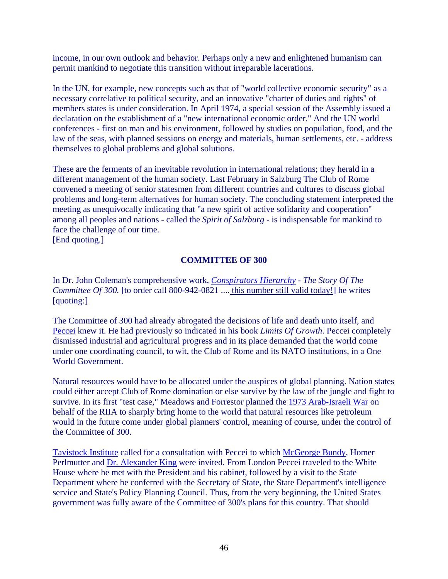income, in our own outlook and behavior. Perhaps only a new and enlightened humanism can permit mankind to negotiate this transition without irreparable lacerations.

In the UN, for example, new concepts such as that of "world collective economic security" as a necessary correlative to political security, and an innovative "charter of duties and rights" of members states is under consideration. In April 1974, a special session of the Assembly issued a declaration on the establishment of a "new international economic order." And the UN world conferences - first on man and his environment, followed by studies on population, food, and the law of the seas, with planned sessions on energy and materials, human settlements, etc. - address themselves to global problems and global solutions.

These are the ferments of an inevitable revolution in international relations; they herald in a different management of the human society. Last February in Salzburg The Club of Rome convened a meeting of senior statesmen from different countries and cultures to discuss global problems and long-term alternatives for human society. The concluding statement interpreted the meeting as unequivocally indicating that "a new spirit of active solidarity and cooperation" among all peoples and nations - called the *Spirit of Salzburg* - is indispensable for mankind to face the challenge of our time.

[End quoting.]

# **COMMITTEE OF 300**

In Dr. John Coleman's comprehensive work, *[Conspirators Hierarchy](http://www.inf-gr.htw-zittau.de/%7Esepiroth/books/k300/300dx.htm) - The Story Of The Committee Of 300.* [to order call 800-942-0821 .... this number still valid today!] he writes [quoting:]

The Committee of 300 had already abrogated the decisions of life and death unto itself, and [Peccei](http://www.cacor.ca/peccei.html) knew it. He had previously so indicated in his book *Limits Of Growth*. Peccei completely dismissed industrial and agricultural progress and in its place demanded that the world come under one coordinating council, to wit, the Club of Rome and its NATO institutions, in a One World Government.

Natural resources would have to be allocated under the auspices of global planning. Nation states could either accept Club of Rome domination or else survive by the law of the jungle and fight to survive. In its first "test case," Meadows and Forrestor planned the [1973 Arab-Israeli War](http://www.arabicnews.com/ansub/Daily/Day/981009/1998100942.html) on behalf of the RIIA to sharply bring home to the world that natural resources like petroleum would in the future come under global planners' control, meaning of course, under the control of the Committee of 300.

[Tavistock Institute](http://www.tavinstitute.org/) called for a consultation with Peccei to which [McGeorge Bundy,](http://www.uwm.edu/People/mbradley/mcgeorgebio.html) Homer Perlmutter and [Dr. Alexander King](http://www.cacor.ca/peccei.html) were invited. From London Peccei traveled to the White House where he met with the President and his cabinet, followed by a visit to the State Department where he conferred with the Secretary of State, the State Department's intelligence service and State's Policy Planning Council. Thus, from the very beginning, the United States government was fully aware of the Committee of 300's plans for this country. That should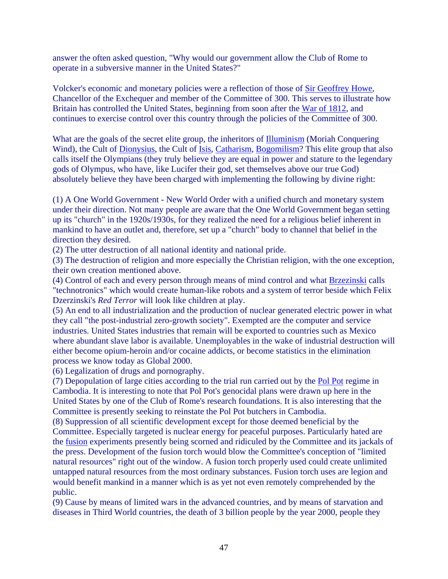answer the often asked question, "Why would our government allow the Club of Rome to operate in a subversive manner in the United States?"

Volcker's economic and monetary policies were a reflection of those of [Sir Geoffrey Howe,](http://www.anpe.co.uk/95/howeg.htm) Chancellor of the Exchequer and member of the Committee of 300. This serves to illustrate how Britain has controlled the United States, beginning from soon after the [War of 1812](http://www.geocities.com/Athens/Forum/9061/USA/nineteen/1812.html), and continues to exercise control over this country through the policies of the Committee of 300.

What are the goals of the secret elite group, the inheritors of [Illuminism](http://cthonia.com/atrium/relig_isms/illuminism.html) (Moriah Conquering Wind), the Cult of [Dionysius,](http://www.newadvent.org/cathen/05010b.htm) the Cult of [Isis,](http://members.aol.com/egyptart/isis.html) [Catharism,](http://www.geocities.com/Paris/Parc/8880/index.html) [Bogomilism](http://www.unet.com.mk/mian/bogomili.htm)? This elite group that also calls itself the Olympians (they truly believe they are equal in power and stature to the legendary gods of Olympus, who have, like Lucifer their god, set themselves above our true God) absolutely believe they have been charged with implementing the following by divine right:

(1) A One World Government - New World Order with a unified church and monetary system under their direction. Not many people are aware that the One World Government began setting up its "church" in the 1920s/1930s, for they realized the need for a religious belief inherent in mankind to have an outlet and, therefore, set up a "church" body to channel that belief in the direction they desired.

(2) The utter destruction of all national identity and national pride.

(3) The destruction of religion and more especially the Christian religion, with the one exception, their own creation mentioned above.

(4) Control of each and every person through means of mind control and what [Brzezinski](http://www.encyclopedia.com/articles/01957.html) calls "technotronics" which would create human-like robots and a system of terror beside which Felix Dzerzinski's *Red Terror* will look like children at play.

(5) An end to all industrialization and the production of nuclear generated electric power in what they call "the post-industrial zero-growth society". Exempted are the computer and service industries. United States industries that remain will be exported to countries such as Mexico where abundant slave labor is available. Unemployables in the wake of industrial destruction will either become opium-heroin and/or cocaine addicts, or become statistics in the elimination process we know today as Global 2000.

(6) Legalization of drugs and pornography.

(7) Depopulation of large cities according to the trial run carried out by the [Pol Pot](http://www.encyclopedia.com/articles/10364.html) regime in Cambodia. It is interesting to note that Pol Pot's genocidal plans were drawn up here in the United States by one of the Club of Rome's research foundations. It is also interesting that the Committee is presently seeking to reinstate the Pol Pot butchers in Cambodia.

(8) Suppression of all scientific development except for those deemed beneficial by the Committee. Especially targeted is nuclear energy for peaceful purposes. Particularly hated are the [fusion](http://fusioned.gat.com/) experiments presently being scorned and ridiculed by the Committee and its jackals of the press. Development of the fusion torch would blow the Committee's conception of "limited natural resources" right out of the window. A fusion torch properly used could create unlimited untapped natural resources from the most ordinary substances. Fusion torch uses are legion and would benefit mankind in a manner which is as yet not even remotely comprehended by the public.

(9) Cause by means of limited wars in the advanced countries, and by means of starvation and diseases in Third World countries, the death of 3 billion people by the year 2000, people they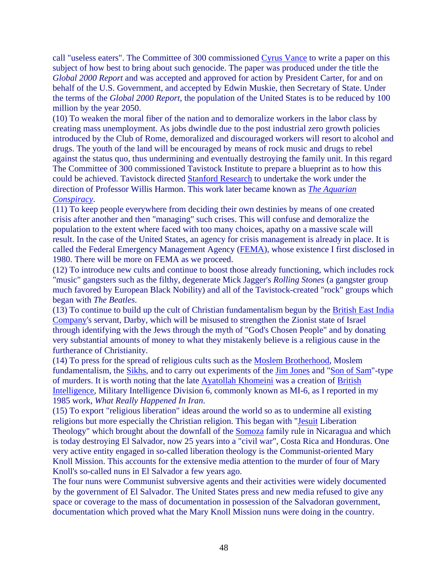call "useless eaters". The Committee of 300 commissioned [Cyrus Vance](http://faculty.virginia.edu/setear/courses/howweget/vance.htm) to write a paper on this subject of how best to bring about such genocide. The paper was produced under the title the *Global 2000 Report* and was accepted and approved for action by President Carter, for and on behalf of the U.S. Government, and accepted by Edwin Muskie, then Secretary of State. Under the terms of the *Global 2000 Report*, the population of the United States is to be reduced by 100 million by the year 2050.

(10) To weaken the moral fiber of the nation and to demoralize workers in the labor class by creating mass unemployment. As jobs dwindle due to the post industrial zero growth policies introduced by the Club of Rome, demoralized and discouraged workers will resort to alcohol and drugs. The youth of the land will be encouraged by means of rock music and drugs to rebel against the status quo, thus undermining and eventually destroying the family unit. In this regard The Committee of 300 commissioned Tavistock Institute to prepare a blueprint as to how this could be achieved. Tavistock directed [Stanford Research](http://www.oppresearch.com/) to undertake the work under the direction of Professor Willis Harmon. This work later became known as *[The Aquarian](http://www.csp.org/chrestomathy/aquarian_conspiracy.html)  [Conspiracy](http://www.csp.org/chrestomathy/aquarian_conspiracy.html)*.

(11) To keep people everywhere from deciding their own destinies by means of one created crisis after another and then "managing" such crises. This will confuse and demoralize the population to the extent where faced with too many choices, apathy on a massive scale will result. In the case of the United States, an agency for crisis management is already in place. It is called the Federal Emergency Management Agency ([FEMA](http://www.fema.gov/about/)), whose existence I first disclosed in 1980. There will be more on FEMA as we proceed.

(12) To introduce new cults and continue to boost those already functioning, which includes rock "music" gangsters such as the filthy, degenerate Mick Jagger's *Rolling Stones* (a gangster group much favored by European Black Nobility) and all of the Tavistock-created "rock" groups which began with *The Beatles*.

(13) To continue to build up the cult of Christian fundamentalism begun by the [British East India](http://www.historyofindia.com/eastind.html)  [Company](http://www.historyofindia.com/eastind.html)'s servant, Darby, which will be misused to strengthen the Zionist state of Israel through identifying with the Jews through the myth of "God's Chosen People" and by donating very substantial amounts of money to what they mistakenly believe is a religious cause in the furtherance of Christianity.

(14) To press for the spread of religious cults such as the [Moslem Brotherhood](http://www.arabicnews.com/ansub/Daily/Day/980729/1998072910.html), Moslem fundamentalism, the [Sikhs,](http://www.srigurugranthsahib.org/) and to carry out experiments of the [Jim Jones](http://www.conspire.com/jones.html) and "[Son of Sam"](http://www.inetworld.net/hutrcc/david.htm)-type of murders. It is worth noting that the late [Ayatollah Khomeini](http://i-cias.com/e.o/khomeini.htm) was a creation of [British](http://www.army.mod.uk/army/organise/intellig/main.htm)  [Intelligence,](http://www.army.mod.uk/army/organise/intellig/main.htm) Military Intelligence Division 6, commonly known as MI-6, as I reported in my 1985 work, *What Really Happened In Iran*.

(15) To export "religious liberation" ideas around the world so as to undermine all existing religions but more especially the Christian religion. This began with ["Jesuit](http://www.fordham.edu/jesutrad/index.html) Liberation Theology" which brought about the downfall of the [Somoza](http://www.encyclopedia.com/articles/12082.html) family rule in Nicaragua and which is today destroying El Salvador, now 25 years into a "civil war", Costa Rica and Honduras. One very active entity engaged in so-called liberation theology is the Communist-oriented Mary Knoll Mission. This accounts for the extensive media attention to the murder of four of Mary Knoll's so-called nuns in El Salvador a few years ago.

The four nuns were Communist subversive agents and their activities were widely documented by the government of El Salvador. The United States press and new media refused to give any space or coverage to the mass of documentation in possession of the Salvadoran government, documentation which proved what the Mary Knoll Mission nuns were doing in the country.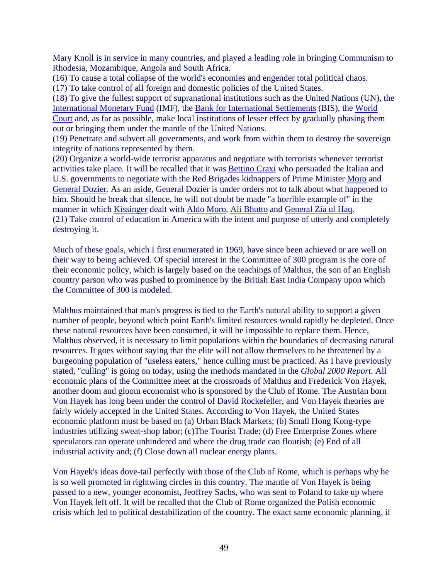Mary Knoll is in service in many countries, and played a leading role in bringing Communism to Rhodesia, Mozambique, Angola and South Africa.

(16) To cause a total collapse of the world's economies and engender total political chaos.

(17) To take control of all foreign and domestic policies of the United States.

(18) To give the fullest support of supranational institutions such as the United Nations (UN), the [International Monetary Fund](http://www.imf.org/) (IMF), the [Bank for International Settlements](http://www.bis.org/) (BIS), the [World](http://www.virtual-institute.de/en/wcd/wcd.cfm?100000000000.cfm)  [Court](http://www.virtual-institute.de/en/wcd/wcd.cfm?100000000000.cfm) and, as far as possible, make local institutions of lesser effect by gradually phasing them out or bringing them under the mantle of the United Nations.

(19) Penetrate and subvert all governments, and work from within them to destroy the sovereign integrity of nations represented by them.

(20) Organize a world-wide terrorist apparatus and negotiate with terrorists whenever terrorist activities take place. It will be recalled that it was [Bettino Craxi](http://cgi.bergen.com/obits/obcraxi20000121c.htm) who persuaded the Italian and U.S. governments to negotiate with the Red Brigades kidnappers of Prime Minister [Moro](http://www.infoplease.com/ce6/people/A0834067.html) and [General Dozier.](http://www2.hickam.af.mil/news/newsarchive/1998/98015.htm) As an aside, General Dozier is under orders not to talk about what happened to him. Should he break that silence, he will not doubt be made "a horrible example of" in the manner in which [Kissinger](http://www.fair.org/extra/best-of-extra/kissinger-conflict.html) dealt with [Aldo Moro](http://www.infoplease.com/ce6/people/A0834067.html), [Ali Bhutto](http://www.encyclopedia.com/articles/01437.html) and [General Zia ul Haq.](http://www.financialexpress.com/ie/daily/19970505/12550483.html) (21) Take control of education in America with the intent and purpose of utterly and completely destroying it.

Much of these goals, which I first enumerated in 1969, have since been achieved or are well on their way to being achieved. Of special interest in the Committee of 300 program is the core of their economic policy, which is largely based on the teachings of Malthus, the son of an English country parson who was pushed to prominence by the British East India Company upon which the Committee of 300 is modeled.

Malthus maintained that man's progress is tied to the Earth's natural ability to support a given number of people, beyond which point Earth's limited resources would rapidly be depleted. Once these natural resources have been consumed, it will be impossible to replace them. Hence, Malthus observed, it is necessary to limit populations within the boundaries of decreasing natural resources. It goes without saying that the elite will not allow themselves to be threatened by a burgeoning population of "useless eaters," hence culling must be practiced. As I have previously stated, "culling" is going on today, using the methods mandated in the *Global 2000 Report*. All economic plans of the Committee meet at the crossroads of Malthus and Frederick Von Hayek, another doom and gloom economist who is sponsored by the Club of Rome. The Austrian born [Von Hayek](http://almaz.com/nobel/economics/1974b.html) has long been under the control of [David Rockefeller](http://www.worldhelloday.org/david_rockefeller.html), and Von Hayek theories are fairly widely accepted in the United States. According to Von Hayek, the United States economic platform must be based on (a) Urban Black Markets; (b) Small Hong Kong-type industries utilizing sweat-shop labor; (c)The Tourist Trade; (d) Free Enterprise Zones where speculators can operate unhindered and where the drug trade can flourish; (e) End of all industrial activity and; (f) Close down all nuclear energy plants.

Von Hayek's ideas dove-tail perfectly with those of the Club of Rome, which is perhaps why he is so well promoted in rightwing circles in this country. The mantle of Von Hayek is being passed to a new, younger economist, Jeoffrey Sachs, who was sent to Poland to take up where Von Hayek left off. It will be recalled that the Club of Rome organized the Polish economic crisis which led to political destabilization of the country. The exact same economic planning, if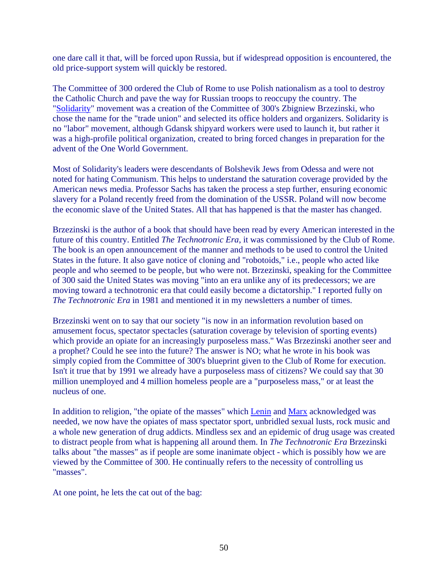one dare call it that, will be forced upon Russia, but if widespread opposition is encountered, the old price-support system will quickly be restored.

The Committee of 300 ordered the Club of Rome to use Polish nationalism as a tool to destroy the Catholic Church and pave the way for Russian troops to reoccupy the country. The "[Solidarity](http://shrike.depaul.edu/%7Ebkapusta/new2.html)" movement was a creation of the Committee of 300's Zbigniew Brzezinski, who chose the name for the "trade union" and selected its office holders and organizers. Solidarity is no "labor" movement, although Gdansk shipyard workers were used to launch it, but rather it was a high-profile political organization, created to bring forced changes in preparation for the advent of the One World Government.

Most of Solidarity's leaders were descendants of Bolshevik Jews from Odessa and were not noted for hating Communism. This helps to understand the saturation coverage provided by the American news media. Professor Sachs has taken the process a step further, ensuring economic slavery for a Poland recently freed from the domination of the USSR. Poland will now become the economic slave of the United States. All that has happened is that the master has changed.

Brzezinski is the author of a book that should have been read by every American interested in the future of this country. Entitled *The Technotronic Era*, it was commissioned by the Club of Rome. The book is an open announcement of the manner and methods to be used to control the United States in the future. It also gave notice of cloning and "robotoids," i.e., people who acted like people and who seemed to be people, but who were not. Brzezinski, speaking for the Committee of 300 said the United States was moving "into an era unlike any of its predecessors; we are moving toward a technotronic era that could easily become a dictatorship." I reported fully on *The Technotronic Era* in 1981 and mentioned it in my newsletters a number of times.

Brzezinski went on to say that our society "is now in an information revolution based on amusement focus, spectator spectacles (saturation coverage by television of sporting events) which provide an opiate for an increasingly purposeless mass." Was Brzezinski another seer and a prophet? Could he see into the future? The answer is NO; what he wrote in his book was simply copied from the Committee of 300's blueprint given to the Club of Rome for execution. Isn't it true that by 1991 we already have a purposeless mass of citizens? We could say that 30 million unemployed and 4 million homeless people are a "purposeless mass," or at least the nucleus of one.

In addition to religion, "the opiate of the masses" which [Lenin](http://www.geocities.com/CapitolHill/2419/lenin.html) and [Marx](http://www.pagesz.net/%7Estevek/intellect/marx.html) acknowledged was needed, we now have the opiates of mass spectator sport, unbridled sexual lusts, rock music and a whole new generation of drug addicts. Mindless sex and an epidemic of drug usage was created to distract people from what is happening all around them. In *The Technotronic Era* Brzezinski talks about "the masses" as if people are some inanimate object - which is possibly how we are viewed by the Committee of 300. He continually refers to the necessity of controlling us "masses".

At one point, he lets the cat out of the bag: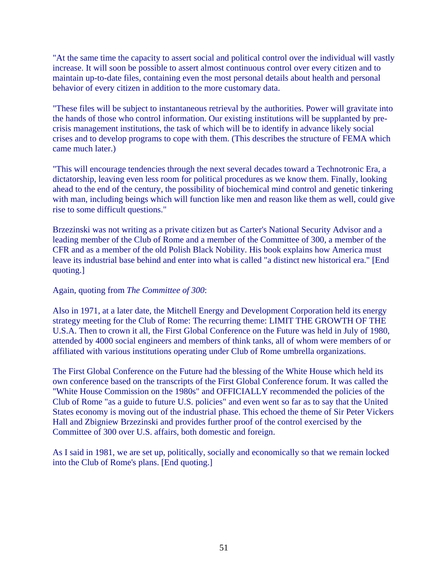"At the same time the capacity to assert social and political control over the individual will vastly increase. It will soon be possible to assert almost continuous control over every citizen and to maintain up-to-date files, containing even the most personal details about health and personal behavior of every citizen in addition to the more customary data.

"These files will be subject to instantaneous retrieval by the authorities. Power will gravitate into the hands of those who control information. Our existing institutions will be supplanted by precrisis management institutions, the task of which will be to identify in advance likely social crises and to develop programs to cope with them. (This describes the structure of FEMA which came much later.)

"This will encourage tendencies through the next several decades toward a Technotronic Era, a dictatorship, leaving even less room for political procedures as we know them. Finally, looking ahead to the end of the century, the possibility of biochemical mind control and genetic tinkering with man, including beings which will function like men and reason like them as well, could give rise to some difficult questions."

Brzezinski was not writing as a private citizen but as Carter's National Security Advisor and a leading member of the Club of Rome and a member of the Committee of 300, a member of the CFR and as a member of the old Polish Black Nobility. His book explains how America must leave its industrial base behind and enter into what is called "a distinct new historical era." [End quoting.]

## Again, quoting from *The Committee of 300*:

Also in 1971, at a later date, the Mitchell Energy and Development Corporation held its energy strategy meeting for the Club of Rome: The recurring theme: LIMIT THE GROWTH OF THE U.S.A. Then to crown it all, the First Global Conference on the Future was held in July of 1980, attended by 4000 social engineers and members of think tanks, all of whom were members of or affiliated with various institutions operating under Club of Rome umbrella organizations.

The First Global Conference on the Future had the blessing of the White House which held its own conference based on the transcripts of the First Global Conference forum. It was called the "White House Commission on the 1980s" and OFFICIALLY recommended the policies of the Club of Rome "as a guide to future U.S. policies" and even went so far as to say that the United States economy is moving out of the industrial phase. This echoed the theme of Sir Peter Vickers Hall and Zbigniew Brzezinski and provides further proof of the control exercised by the Committee of 300 over U.S. affairs, both domestic and foreign.

As I said in 1981, we are set up, politically, socially and economically so that we remain locked into the Club of Rome's plans. [End quoting.]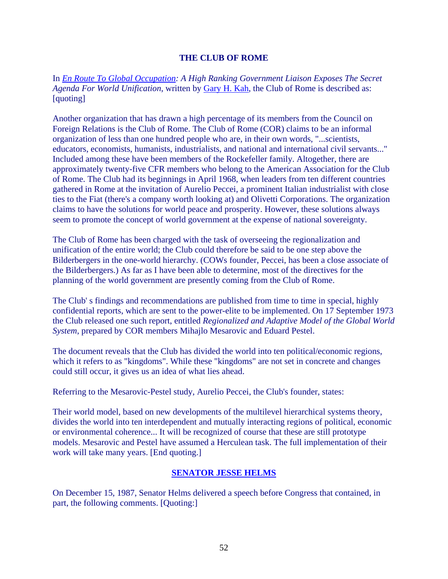## **THE CLUB OF ROME**

In *[En Route To Global Occupation](http://www.amazon.de/exec/obidos/ASIN/0910311978/artvisitwww/302-4347642-7708868): A High Ranking Government Liaison Exposes The Secret Agenda For World Unification*, written by [Gary H. Kah,](http://www.garykah.org/video/video.htm) the Club of Rome is described as: [quoting]

Another organization that has drawn a high percentage of its members from the Council on Foreign Relations is the Club of Rome. The Club of Rome (COR) claims to be an informal organization of less than one hundred people who are, in their own words, "...scientists, educators, economists, humanists, industrialists, and national and international civil servants..." Included among these have been members of the Rockefeller family. Altogether, there are approximately twenty-five CFR members who belong to the American Association for the Club of Rome. The Club had its beginnings in April 1968, when leaders from ten different countries gathered in Rome at the invitation of Aurelio Peccei, a prominent Italian industrialist with close ties to the Fiat (there's a company worth looking at) and Olivetti Corporations. The organization claims to have the solutions for world peace and prosperity. However, these solutions always seem to promote the concept of world government at the expense of national sovereignty.

The Club of Rome has been charged with the task of overseeing the regionalization and unification of the entire world; the Club could therefore be said to be one step above the Bilderbergers in the one-world hierarchy. (COWs founder, Peccei, has been a close associate of the Bilderbergers.) As far as I have been able to determine, most of the directives for the planning of the world government are presently coming from the Club of Rome.

The Club' s findings and recommendations are published from time to time in special, highly confidential reports, which are sent to the power-elite to be implemented. On 17 September 1973 the Club released one such report, entitled *Regionalized and Adaptive Model of the Global World System*, prepared by COR members Mihajlo Mesarovic and Eduard Pestel.

The document reveals that the Club has divided the world into ten political/economic regions, which it refers to as "kingdoms". While these "kingdoms" are not set in concrete and changes could still occur, it gives us an idea of what lies ahead.

Referring to the Mesarovic-Pestel study, Aurelio Peccei, the Club's founder, states:

Their world model, based on new developments of the multilevel hierarchical systems theory, divides the world into ten interdependent and mutually interacting regions of political, economic or environmental coherence... It will be recognized of course that these are still prototype models. Mesarovic and Pestel have assumed a Herculean task. The full implementation of their work will take many years. [End quoting.]

# **[SENATOR JESSE HELMS](http://www.flakmag.com/politics/helms.html)**

On December 15, 1987, Senator Helms delivered a speech before Congress that contained, in part, the following comments. [Quoting:]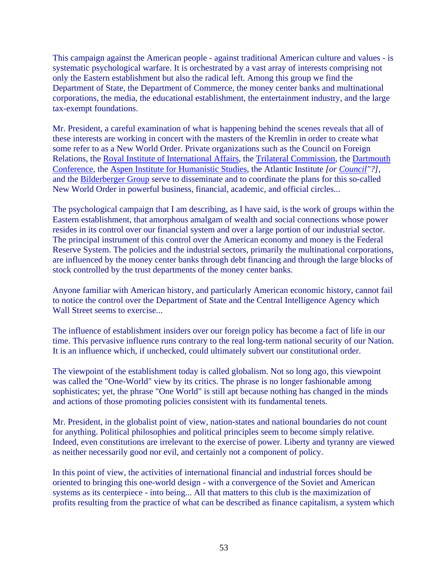This campaign against the American people - against traditional American culture and values - is systematic psychological warfare. It is orchestrated by a vast array of interests comprising not only the Eastern establishment but also the radical left. Among this group we find the Department of State, the Department of Commerce, the money center banks and multinational corporations, the media, the educational establishment, the entertainment industry, and the large tax-exempt foundations.

Mr. President, a careful examination of what is happening behind the scenes reveals that all of these interests are working in concert with the masters of the Kremlin in order to create what some refer to as a New World Order. Private organizations such as the Council on Foreign Relations, the [Royal Institute of International Affairs](http://www.riia.org/who/who.html), the [Trilateral Commission](http://www.trilateral.org/), the [Dartmouth](http://nativenet.uthscsa.edu/archive/ng/95/0019.html)  [Conference](http://nativenet.uthscsa.edu/archive/ng/95/0019.html), the [Aspen Institute for Humanistic Studies,](http://www.aspeninst.org/) the Atlantic Institute *[or Council"?],* and the [Bilderberger Group](http://cypherpunks.venona.com/date/1999/05/msg01076.html) serve to disseminate and to coordinate the plans for this so-called New World Order in powerful business, financial, academic, and official circles...

The psychological campaign that I am describing, as I have said, is the work of groups within the Eastern establishment, that amorphous amalgam of wealth and social connections whose power resides in its control over our financial system and over a large portion of our industrial sector. The principal instrument of this control over the American economy and money is the Federal Reserve System. The policies and the industrial sectors, primarily the multinational corporations, are influenced by the money center banks through debt financing and through the large blocks of stock controlled by the trust departments of the money center banks.

Anyone familiar with American history, and particularly American economic history, cannot fail to notice the control over the Department of State and the Central Intelligence Agency which Wall Street seems to exercise...

The influence of establishment insiders over our foreign policy has become a fact of life in our time. This pervasive influence runs contrary to the real long-term national security of our Nation. It is an influence which, if unchecked, could ultimately subvert our constitutional order.

The viewpoint of the establishment today is called globalism. Not so long ago, this viewpoint was called the "One-World" view by its critics. The phrase is no longer fashionable among sophisticates; yet, the phrase "One World" is still apt because nothing has changed in the minds and actions of those promoting policies consistent with its fundamental tenets.

Mr. President, in the globalist point of view, nation-states and national boundaries do not count for anything. Political philosophies and political principles seem to become simply relative. Indeed, even constitutions are irrelevant to the exercise of power. Liberty and tyranny are viewed as neither necessarily good nor evil, and certainly not a component of policy.

In this point of view, the activities of international financial and industrial forces should be oriented to bringing this one-world design - with a convergence of the Soviet and American systems as its centerpiece - into being... All that matters to this club is the maximization of profits resulting from the practice of what can be described as finance capitalism, a system which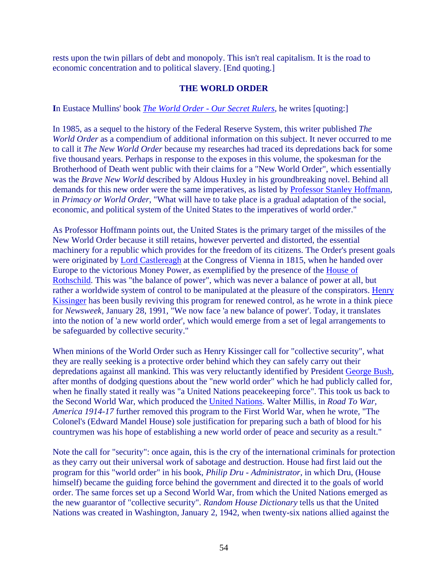rests upon the twin pillars of debt and monopoly. This isn't real capitalism. It is the road to economic concentration and to political slavery. [End quoting.]

## **THE WORLD ORDER**

**I**n Eustace Mullins' book *[The World Order - Our Secret Rulers](http://home.inreach.com/dov/mcatalog.htm)*, he writes [quoting:]

In 1985, as a sequel to the history of the Federal Reserve System, this writer published *The World Order* as a compendium of additional information on this subject. It never occurred to me to call it *The New World Order* because my researches had traced its depredations back for some five thousand years. Perhaps in response to the exposes in this volume, the spokesman for the Brotherhood of Death went public with their claims for a "New World Order", which essentially was the *Brave New World* described by Aldous Huxley in his groundbreaking novel. Behind all demands for this new order were the same imperatives, as listed by [Professor Stanley Hoffmann](http://www.hno.harvard.edu/gazette/1997/01.09/StanleyHoffmann.html), in *Primacy or World Order*, "What will have to take place is a gradual adaptation of the social, economic, and political system of the United States to the imperatives of world order."

As Professor Hoffmann points out, the United States is the primary target of the missiles of the New World Order because it still retains, however perverted and distorted, the essential machinery for a republic which provides for the freedom of its citizens. The Order's present goals were originated by [Lord Castlereagh](http://www.spartacus.schoolnet.co.uk/PRcastlereagh.htm) at the Congress of Vienna in 1815, when he handed over Europe to the victorious Money Power, as exemplified by the presence of the [House of](http://www.businessweek.com/1999/99_49/b3658092.htm)  [Rothschild](http://www.businessweek.com/1999/99_49/b3658092.htm). This was "the balance of power", which was never a balance of power at all, but rather a worldwide system of control to be manipulated at the pleasure of the conspirators. [Henry](http://www.encyclopedia.com/articles/07001.html)  [Kissinger](http://www.encyclopedia.com/articles/07001.html) has been busily reviving this program for renewed control, as he wrote in a think piece for *Newsweek*, January 28, 1991, "We now face 'a new balance of power'. Today, it translates into the notion of 'a new world order', which would emerge from a set of legal arrangements to be safeguarded by collective security."

When minions of the World Order such as Henry Kissinger call for "collective security", what they are really seeking is a protective order behind which they can safely carry out their depredations against all mankind. This was very reluctantly identified by President [George Bush,](http://www.geocities.com/trebor_92627/Bush.htm) after months of dodging questions about the "new world order" which he had publicly called for, when he finally stated it really was "a United Nations peacekeeping force". This took us back to the Second World War, which produced the [United Nations.](http://docs.lib.duke.edu/igo/guides/unindex.html) Walter Millis, in *Road To War, America 1914-17* further removed this program to the First World War, when he wrote, "The Colonel's (Edward Mandel House) sole justification for preparing such a bath of blood for his countrymen was his hope of establishing a new world order of peace and security as a result."

Note the call for "security": once again, this is the cry of the international criminals for protection as they carry out their universal work of sabotage and destruction. House had first laid out the program for this "world order" in his book, *Philip Dru - Administrator*, in which Dru, (House himself) became the guiding force behind the government and directed it to the goals of world order. The same forces set up a Second World War, from which the United Nations emerged as the new guarantor of "collective security". *Random House Dictionary* tells us that the United Nations was created in Washington, January 2, 1942, when twenty-six nations allied against the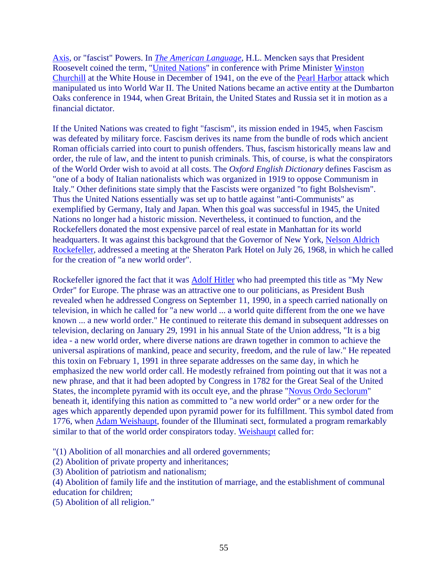[Axis,](http://www.fwkc.com/encyclopedia/low/articles/a/a002001760f.html) or "fascist" Powers. In *[The American Language](http://www.bartleby.com/185/)*, H.L. Mencken says that President Roosevelt coined the term, "[United Nations"](http://www.un.org/Overview/Charter/contents.html) in conference with Prime Minister [Winston](http://www.winstonchurchill.org/)  [Churchill](http://www.winstonchurchill.org/) at the White House in December of 1941, on the eve of the [Pearl Harbor](http://www.ibiblio.org/pha/myths/index.html) attack which manipulated us into World War II. The United Nations became an active entity at the Dumbarton Oaks conference in 1944, when Great Britain, the United States and Russia set it in motion as a financial dictator.

If the United Nations was created to fight "fascism", its mission ended in 1945, when Fascism was defeated by military force. Fascism derives its name from the bundle of rods which ancient Roman officials carried into court to punish offenders. Thus, fascism historically means law and order, the rule of law, and the intent to punish criminals. This, of course, is what the conspirators of the World Order wish to avoid at all costs. The *Oxford English Dictionary* defines Fascism as "one of a body of Italian nationalists which was organized in 1919 to oppose Communism in Italy." Other definitions state simply that the Fascists were organized "to fight Bolshevism". Thus the United Nations essentially was set up to battle against "anti-Communists" as exemplified by Germany, Italy and Japan. When this goal was successful in 1945, the United Nations no longer had a historic mission. Nevertheless, it continued to function, and the Rockefellers donated the most expensive parcel of real estate in Manhattan for its world headquarters. It was against this background that the Governor of New York, [Nelson Aldrich](http://www.rockefeller.edu/archive.ctr/narbiog.html)  [Rockefeller,](http://www.rockefeller.edu/archive.ctr/narbiog.html) addressed a meeting at the Sheraton Park Hotel on July 26, 1968, in which he called for the creation of "a new world order".

Rockefeller ignored the fact that it was [Adolf Hitler](http://www.historyplace.com/worldwar2/riseofhitler/index.htm) who had preempted this title as "My New Order" for Europe. The phrase was an attractive one to our politicians, as President Bush revealed when he addressed Congress on September 11, 1990, in a speech carried nationally on television, in which he called for "a new world ... a world quite different from the one we have known ... a new world order." He continued to reiterate this demand in subsequent addresses on television, declaring on January 29, 1991 in his annual State of the Union address, "It is a big idea - a new world order, where diverse nations are drawn together in common to achieve the universal aspirations of mankind, peace and security, freedom, and the rule of law." He repeated this toxin on February 1, 1991 in three separate addresses on the same day, in which he emphasized the new world order call. He modestly refrained from pointing out that it was not a new phrase, and that it had been adopted by Congress in 1782 for the Great Seal of the United States, the incomplete pyramid with its occult eye, and the phrase ["Novus Ordo Seclorum"](http://www.greatseal.com/symbols/seclorum.html) beneath it, identifying this nation as committed to "a new world order" or a new order for the ages which apparently depended upon pyramid power for its fulfillment. This symbol dated from 1776, when [Adam Weishaupt,](http://www.nii.net/%7Eobie/adam.htm) founder of the Illuminati sect, formulated a program remarkably similar to that of the world order conspirators today. [Weishaupt](http://www.hermetic.com/sabazius/weishaupt.htm) called for:

"(1) Abolition of all monarchies and all ordered governments;

(2) Abolition of private property and inheritances;

(3) Abolition of patriotism and nationalism;

(4) Abolition of family life and the institution of marriage, and the establishment of communal education for children;

(5) Abolition of all religion."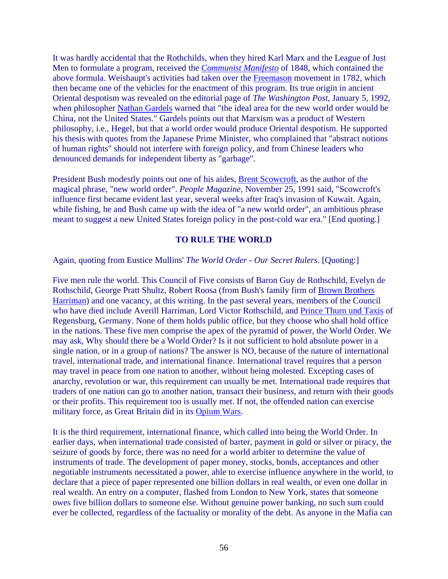It was hardly accidental that the Rothchilds, when they hired Karl Marx and the League of Just Men to formulate a program, received the *[Communist Manifesto](http://www.yclusa.org/readup/manread.html)* of 1848, which contained the above formula. Weishaupt's activities had taken over the [Freemason](http://freemasonry.bc.ca/anti-masonry/anti-masonry_faq.html) movement in 1782, which then became one of the vehicles for the enactment of this program. Its true origin in ancient Oriental despotism was revealed on the editorial page of *The Washington Post*, January 5, 1992, when philosopher [Nathan Gardels](http://www.npq.org/staff/ng.html) warned that "the ideal area for the new world order would be China, not the United States." Gardels points out that Marxism was a product of Western philosophy, i.e., Hegel, but that a world order would produce Oriental despotism. He supported his thesis with quotes from the Japanese Prime Minister, who complained that "abstract notions of human rights" should not interfere with foreign policy, and from Chinese leaders who denounced demands for independent liberty as "garbage".

President Bush modestly points out one of his aides, [Brent Scowcroft,](http://sun3.lib.uci.edu/racyberlib/Peace/interview-brent_scowcroft.html) as the author of the magical phrase, "new world order". *People Magazine*, November 25, 1991 said, "Scowcroft's influence first became evident last year, several weeks after Iraq's invasion of Kuwait. Again, while fishing, he and Bush came up with the idea of "a new world order", an ambitious phrase meant to suggest a new United States foreign policy in the post-cold war era." [End quoting.]

### **TO RULE THE WORLD**

#### Again, quoting from Eustice Mullins' *The World Order - Our Secret Rulers*. [Quoting:]

Five men rule the world. This Council of Five consists of Baron Guy de Rothschild, Evelyn de Rothschild, George Pratt Shultz, Robert Roosa (from Bush's family firm of [Brown Brothers](http://www.bbh.com/index1.html)  [Harriman\)](http://www.bbh.com/index1.html) and one vacancy, at this writing. In the past several years, members of the Council who have died include Averill Harriman, Lord Victor Rothschild, and [Prince Thurn und Taxis](http://expage.com/page/thurns3) of Regensburg, Germany. None of them holds public office, but they choose who shall hold office in the nations. These five men comprise the apex of the pyramid of power, the World Order. We may ask, Why should there be a World Order? Is it not sufficient to hold absolute power in a single nation, or in a group of nations? The answer is NO, because of the nature of international travel, international trade, and international finance. International travel requires that a person may travel in peace from one nation to another, without being molested. Excepting cases of anarchy, revolution or war, this requirement can usually be met. International trade requires that traders of one nation can go to another nation, transact their business, and return with their goods or their profits. This requirement too is usually met. If not, the offended nation can exercise military force, as Great Britain did in its [Opium Wars](http://www.wsu.edu/%7Edee/CHING/OPIUM.HTM).

It is the third requirement, international finance, which called into being the World Order. In earlier days, when international trade consisted of barter, payment in gold or silver or piracy, the seizure of goods by force, there was no need for a world arbiter to determine the value of instruments of trade. The development of paper money, stocks, bonds, acceptances and other negotiable instruments necessitated a power, able to exercise influence anywhere in the world, to declare that a piece of paper represented one billion dollars in real wealth, or even one dollar in real wealth. An entry on a computer, flashed from London to New York, states that someone owes five billion dollars to someone else. Without genuine power banking, no such sum could ever be collected, regardless of the factuality or morality of the debt. As anyone in the Mafia can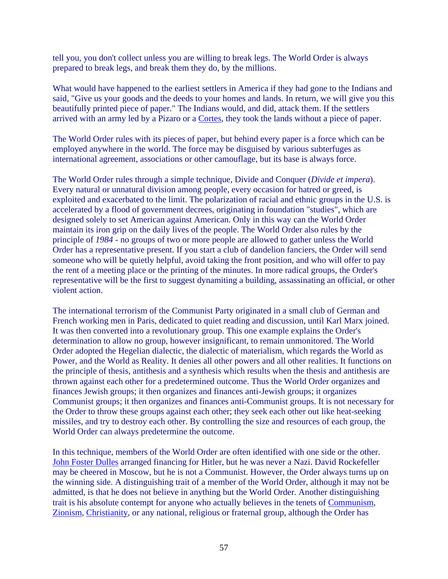tell you, you don't collect unless you are willing to break legs. The World Order is always prepared to break legs, and break them they do, by the millions.

What would have happened to the earliest settlers in America if they had gone to the Indians and said, "Give us your goods and the deeds to your homes and lands. In return, we will give you this beautifully printed piece of paper." The Indians would, and did, attack them. If the settlers arrived with an army led by a Pizaro or a [Cortes,](http://tqjunior.thinkquest.org/6174/Cortes.html) they took the lands without a piece of paper.

The World Order rules with its pieces of paper, but behind every paper is a force which can be employed anywhere in the world. The force may be disguised by various subterfuges as international agreement, associations or other camouflage, but its base is always force.

The World Order rules through a simple technique, Divide and Conquer (*Divide et impera*). Every natural or unnatural division among people, every occasion for hatred or greed, is exploited and exacerbated to the limit. The polarization of racial and ethnic groups in the U.S. is accelerated by a flood of government decrees, originating in foundation "studies", which are designed solely to set American against American. Only in this way can the World Order maintain its iron grip on the daily lives of the people. The World Order also rules by the principle of *1984* - no groups of two or more people are allowed to gather unless the World Order has a representative present. If you start a club of dandelion fanciers, the Order will send someone who will be quietly helpful, avoid taking the front position, and who will offer to pay the rent of a meeting place or the printing of the minutes. In more radical groups, the Order's representative will be the first to suggest dynamiting a building, assassinating an official, or other violent action.

The international terrorism of the Communist Party originated in a small club of German and French working men in Paris, dedicated to quiet reading and discussion, until Karl Marx joined. It was then converted into a revolutionary group. This one example explains the Order's determination to allow no group, however insignificant, to remain unmonitored. The World Order adopted the Hegelian dialectic, the dialectic of materialism, which regards the World as Power, and the World as Reality. It denies all other powers and all other realities. It functions on the principle of thesis, antithesis and a synthesis which results when the thesis and antithesis are thrown against each other for a predetermined outcome. Thus the World Order organizes and finances Jewish groups; it then organizes and finances anti-Jewish groups; it organizes Communist groups; it then organizes and finances anti-Communist groups. It is not necessary for the Order to throw these groups against each other; they seek each other out like heat-seeking missiles, and try to destroy each other. By controlling the size and resources of each group, the World Order can always predetermine the outcome.

In this technique, members of the World Order are often identified with one side or the other. [John Foster Dulles](http://members.iquest.net/%7Egschick/chris/Dulles.htm) arranged financing for Hitler, but he was never a Nazi. David Rockefeller may be cheered in Moscow, but he is not a Communist. However, the Order always turns up on the winning side. A distinguishing trait of a member of the World Order, although it may not be admitted, is that he does not believe in anything but the World Order. Another distinguishing trait is his absolute contempt for anyone who actually believes in the tenets of [Communism,](http://www.gmu.edu/departments/economics/bcaplan/museum/history.htm) [Zionism,](http://www.iahushua.com/JQ/zionism.html) [Christianity,](http://www.infidels.org/library/modern/theism/christianity/) or any national, religious or fraternal group, although the Order has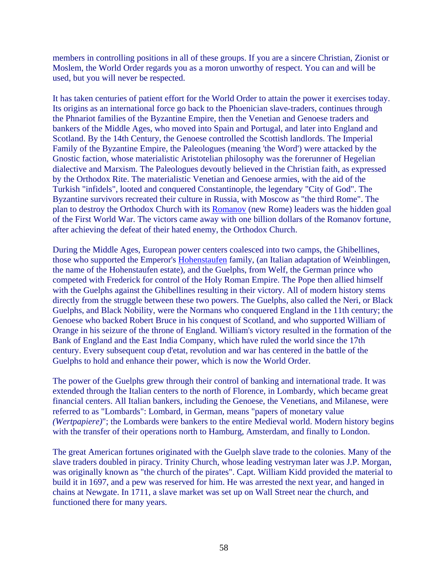members in controlling positions in all of these groups. If you are a sincere Christian, Zionist or Moslem, the World Order regards you as a moron unworthy of respect. You can and will be used, but you will never be respected.

It has taken centuries of patient effort for the World Order to attain the power it exercises today. Its origins as an international force go back to the Phoenician slave-traders, continues through the Phnariot families of the Byzantine Empire, then the Venetian and Genoese traders and bankers of the Middle Ages, who moved into Spain and Portugal, and later into England and Scotland. By the 14th Century, the Genoese controlled the Scottish landlords. The Imperial Family of the Byzantine Empire, the Paleologues (meaning 'the Word') were attacked by the Gnostic faction, whose materialistic Aristotelian philosophy was the forerunner of Hegelian dialective and Marxism. The Paleologues devoutly believed in the Christian faith, as expressed by the Orthodox Rite. The materialistic Venetian and Genoese armies, with the aid of the Turkish "infidels", looted and conquered Constantinople, the legendary "City of God". The Byzantine survivors recreated their culture in Russia, with Moscow as "the third Rome". The plan to destroy the Orthodox Church with its [Romanov](http://www.intlromanovsociety.org/home.htm) (new Rome) leaders was the hidden goal of the First World War. The victors came away with one billion dollars of the Romanov fortune, after achieving the defeat of their hated enemy, the Orthodox Church.

During the Middle Ages, European power centers coalesced into two camps, the Ghibellines, those who supported the Emperor's [Hohenstaufen](http://www.encyclopedia.com/articles/05960.html) family, (an Italian adaptation of Weinblingen, the name of the Hohenstaufen estate), and the Guelphs, from Welf, the German prince who competed with Frederick for control of the Holy Roman Empire. The Pope then allied himself with the Guelphs against the Ghibellines resulting in their victory. All of modern history stems directly from the struggle between these two powers. The Guelphs, also called the Neri, or Black Guelphs, and Black Nobility, were the Normans who conquered England in the 11th century; the Genoese who backed Robert Bruce in his conquest of Scotland, and who supported William of Orange in his seizure of the throne of England. William's victory resulted in the formation of the Bank of England and the East India Company, which have ruled the world since the 17th century. Every subsequent coup d'etat, revolution and war has centered in the battle of the Guelphs to hold and enhance their power, which is now the World Order.

The power of the Guelphs grew through their control of banking and international trade. It was extended through the Italian centers to the north of Florence, in Lombardy, which became great financial centers. All Italian bankers, including the Genoese, the Venetians, and Milanese, were referred to as "Lombards": Lombard, in German, means "papers of monetary value *(Wertpapiere)*"; the Lombards were bankers to the entire Medieval world. Modern history begins with the transfer of their operations north to Hamburg, Amsterdam, and finally to London.

The great American fortunes originated with the Guelph slave trade to the colonies. Many of the slave traders doubled in piracy. Trinity Church, whose leading vestryman later was J.P. Morgan, was originally known as "the church of the pirates". Capt. William Kidd provided the material to build it in 1697, and a pew was reserved for him. He was arrested the next year, and hanged in chains at Newgate. In 1711, a slave market was set up on Wall Street near the church, and functioned there for many years.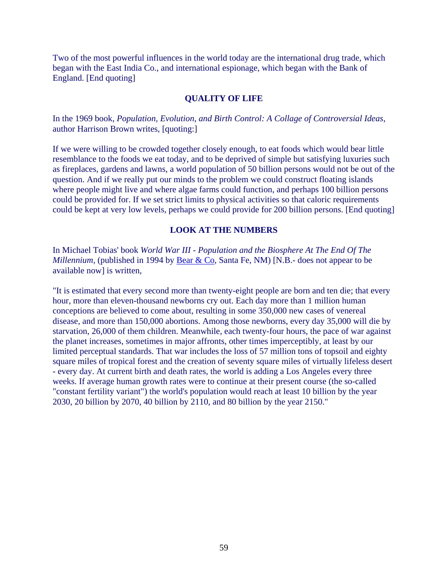Two of the most powerful influences in the world today are the international drug trade, which began with the East India Co., and international espionage, which began with the Bank of England. [End quoting]

### **QUALITY OF LIFE**

In the 1969 book, *Population, Evolution, and Birth Control: A Collage of Controversial Ideas*, author Harrison Brown writes, [quoting:]

If we were willing to be crowded together closely enough, to eat foods which would bear little resemblance to the foods we eat today, and to be deprived of simple but satisfying luxuries such as fireplaces, gardens and lawns, a world population of 50 billion persons would not be out of the question. And if we really put our minds to the problem we could construct floating islands where people might live and where algae farms could function, and perhaps 100 billion persons could be provided for. If we set strict limits to physical activities so that caloric requirements could be kept at very low levels, perhaps we could provide for 200 billion persons. [End quoting]

## **LOOK AT THE NUMBERS**

In Michael Tobias' book *World War III - Population and the Biosphere At The End Of The Millennium,* (published in 1994 by **Bear & Co, Santa Fe, NM)** [N.B.- does not appear to be available nowl is written.

"It is estimated that every second more than twenty-eight people are born and ten die; that every hour, more than eleven-thousand newborns cry out. Each day more than 1 million human conceptions are believed to come about, resulting in some 350,000 new cases of venereal disease, and more than 150,000 abortions. Among those newborns, every day 35,000 will die by starvation, 26,000 of them children. Meanwhile, each twenty-four hours, the pace of war against the planet increases, sometimes in major affronts, other times imperceptibly, at least by our limited perceptual standards. That war includes the loss of 57 million tons of topsoil and eighty square miles of tropical forest and the creation of seventy square miles of virtually lifeless desert - every day. At current birth and death rates, the world is adding a Los Angeles every three weeks. If average human growth rates were to continue at their present course (the so-called "constant fertility variant") the world's population would reach at least 10 billion by the year 2030, 20 billion by 2070, 40 billion by 2110, and 80 billion by the year 2150."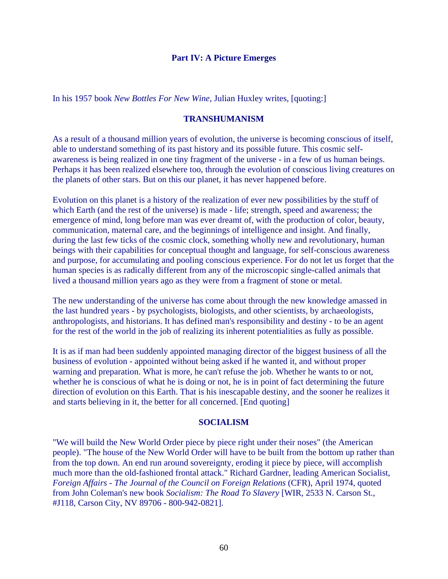### **Part IV: A Picture Emerges**

In his 1957 book *New Bottles For New Wine*, Julian Huxley writes, [quoting:]

### **TRANSHUMANISM**

As a result of a thousand million years of evolution, the universe is becoming conscious of itself, able to understand something of its past history and its possible future. This cosmic selfawareness is being realized in one tiny fragment of the universe - in a few of us human beings. Perhaps it has been realized elsewhere too, through the evolution of conscious living creatures on the planets of other stars. But on this our planet, it has never happened before.

Evolution on this planet is a history of the realization of ever new possibilities by the stuff of which Earth (and the rest of the universe) is made - life; strength, speed and awareness; the emergence of mind, long before man was ever dreamt of, with the production of color, beauty, communication, maternal care, and the beginnings of intelligence and insight. And finally, during the last few ticks of the cosmic clock, something wholly new and revolutionary, human beings with their capabilities for conceptual thought and language, for self-conscious awareness and purpose, for accumulating and pooling conscious experience. For do not let us forget that the human species is as radically different from any of the microscopic single-called animals that lived a thousand million years ago as they were from a fragment of stone or metal.

The new understanding of the universe has come about through the new knowledge amassed in the last hundred years - by psychologists, biologists, and other scientists, by archaeologists, anthropologists, and historians. It has defined man's responsibility and destiny - to be an agent for the rest of the world in the job of realizing its inherent potentialities as fully as possible.

It is as if man had been suddenly appointed managing director of the biggest business of all the business of evolution - appointed without being asked if he wanted it, and without proper warning and preparation. What is more, he can't refuse the job. Whether he wants to or not, whether he is conscious of what he is doing or not, he is in point of fact determining the future direction of evolution on this Earth. That is his inescapable destiny, and the sooner he realizes it and starts believing in it, the better for all concerned. [End quoting]

#### **SOCIALISM**

"We will build the New World Order piece by piece right under their noses" (the American people). "The house of the New World Order will have to be built from the bottom up rather than from the top down. An end run around sovereignty, eroding it piece by piece, will accomplish much more than the old-fashioned frontal attack." Richard Gardner, leading American Socialist, *Foreign Affairs - The Journal of the Council on Foreign Relations* (CFR), April 1974, quoted from John Coleman's new book *Socialism: The Road To Slavery* [WIR, 2533 N. Carson St., #J118, Carson City, NV 89706 - 800-942-0821].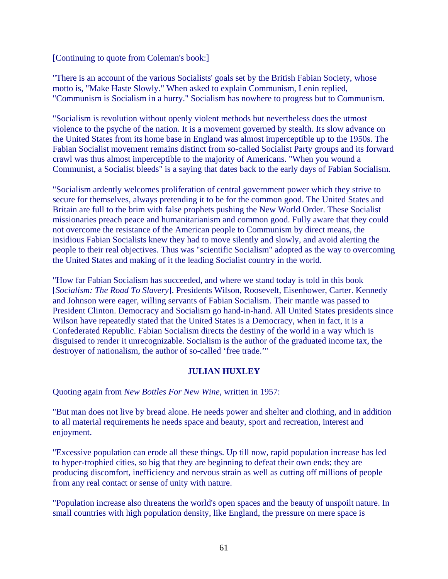[Continuing to quote from Coleman's book:]

"There is an account of the various Socialists' goals set by the British Fabian Society, whose motto is, "Make Haste Slowly." When asked to explain Communism, Lenin replied, "Communism is Socialism in a hurry." Socialism has nowhere to progress but to Communism.

"Socialism is revolution without openly violent methods but nevertheless does the utmost violence to the psyche of the nation. It is a movement governed by stealth. Its slow advance on the United States from its home base in England was almost imperceptible up to the 1950s. The Fabian Socialist movement remains distinct from so-called Socialist Party groups and its forward crawl was thus almost imperceptible to the majority of Americans. "When you wound a Communist, a Socialist bleeds" is a saying that dates back to the early days of Fabian Socialism.

"Socialism ardently welcomes proliferation of central government power which they strive to secure for themselves, always pretending it to be for the common good. The United States and Britain are full to the brim with false prophets pushing the New World Order. These Socialist missionaries preach peace and humanitarianism and common good. Fully aware that they could not overcome the resistance of the American people to Communism by direct means, the insidious Fabian Socialists knew they had to move silently and slowly, and avoid alerting the people to their real objectives. Thus was "scientific Socialism" adopted as the way to overcoming the United States and making of it the leading Socialist country in the world.

"How far Fabian Socialism has succeeded, and where we stand today is told in this book [*Socialism: The Road To Slavery*]. Presidents Wilson, Roosevelt, Eisenhower, Carter. Kennedy and Johnson were eager, willing servants of Fabian Socialism. Their mantle was passed to President Clinton. Democracy and Socialism go hand-in-hand. All United States presidents since Wilson have repeatedly stated that the United States is a Democracy, when in fact, it is a Confederated Republic. Fabian Socialism directs the destiny of the world in a way which is disguised to render it unrecognizable. Socialism is the author of the graduated income tax, the destroyer of nationalism, the author of so-called 'free trade.'"

# **JULIAN HUXLEY**

Quoting again from *New Bottles For New Wine*, written in 1957:

"But man does not live by bread alone. He needs power and shelter and clothing, and in addition to all material requirements he needs space and beauty, sport and recreation, interest and enjoyment.

"Excessive population can erode all these things. Up till now, rapid population increase has led to hyper-trophied cities, so big that they are beginning to defeat their own ends; they are producing discomfort, inefficiency and nervous strain as well as cutting off millions of people from any real contact or sense of unity with nature.

"Population increase also threatens the world's open spaces and the beauty of unspoilt nature. In small countries with high population density, like England, the pressure on mere space is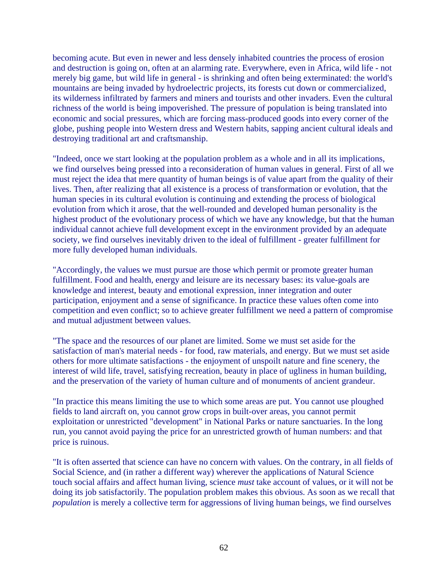becoming acute. But even in newer and less densely inhabited countries the process of erosion and destruction is going on, often at an alarming rate. Everywhere, even in Africa, wild life - not merely big game, but wild life in general - is shrinking and often being exterminated: the world's mountains are being invaded by hydroelectric projects, its forests cut down or commercialized, its wilderness infiltrated by farmers and miners and tourists and other invaders. Even the cultural richness of the world is being impoverished. The pressure of population is being translated into economic and social pressures, which are forcing mass-produced goods into every corner of the globe, pushing people into Western dress and Western habits, sapping ancient cultural ideals and destroying traditional art and craftsmanship.

"Indeed, once we start looking at the population problem as a whole and in all its implications, we find ourselves being pressed into a reconsideration of human values in general. First of all we must reject the idea that mere quantity of human beings is of value apart from the quality of their lives. Then, after realizing that all existence is a process of transformation or evolution, that the human species in its cultural evolution is continuing and extending the process of biological evolution from which it arose, that the well-rounded and developed human personality is the highest product of the evolutionary process of which we have any knowledge, but that the human individual cannot achieve full development except in the environment provided by an adequate society, we find ourselves inevitably driven to the ideal of fulfillment - greater fulfillment for more fully developed human individuals.

"Accordingly, the values we must pursue are those which permit or promote greater human fulfillment. Food and health, energy and leisure are its necessary bases: its value-goals are knowledge and interest, beauty and emotional expression, inner integration and outer participation, enjoyment and a sense of significance. In practice these values often come into competition and even conflict; so to achieve greater fulfillment we need a pattern of compromise and mutual adjustment between values.

"The space and the resources of our planet are limited. Some we must set aside for the satisfaction of man's material needs - for food, raw materials, and energy. But we must set aside others for more ultimate satisfactions - the enjoyment of unspoilt nature and fine scenery, the interest of wild life, travel, satisfying recreation, beauty in place of ugliness in human building, and the preservation of the variety of human culture and of monuments of ancient grandeur.

"In practice this means limiting the use to which some areas are put. You cannot use ploughed fields to land aircraft on, you cannot grow crops in built-over areas, you cannot permit exploitation or unrestricted "development" in National Parks or nature sanctuaries. In the long run, you cannot avoid paying the price for an unrestricted growth of human numbers: and that price is ruinous.

"It is often asserted that science can have no concern with values. On the contrary, in all fields of Social Science, and (in rather a different way) wherever the applications of Natural Science touch social affairs and affect human living, science *must* take account of values, or it will not be doing its job satisfactorily. The population problem makes this obvious. As soon as we recall that *population* is merely a collective term for aggressions of living human beings, we find ourselves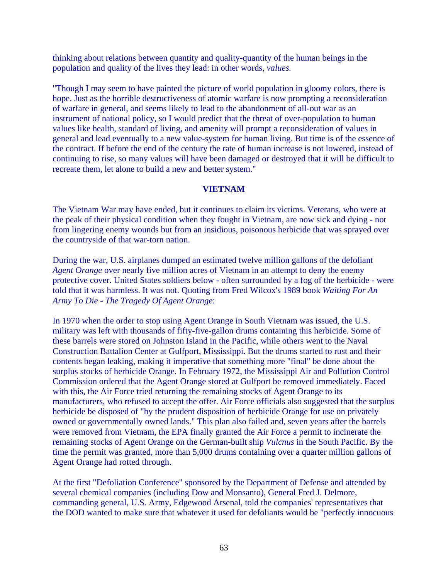thinking about relations between quantity and quality-quantity of the human beings in the population and quality of the lives they lead: in other words, *values.*

"Though I may seem to have painted the picture of world population in gloomy colors, there is hope. Just as the horrible destructiveness of atomic warfare is now prompting a reconsideration of warfare in general, and seems likely to lead to the abandonment of all-out war as an instrument of national policy, so I would predict that the threat of over-population to human values like health, standard of living, and amenity will prompt a reconsideration of values in general and lead eventually to a new value-system for human living. But time is of the essence of the contract. If before the end of the century the rate of human increase is not lowered, instead of continuing to rise, so many values will have been damaged or destroyed that it will be difficult to recreate them, let alone to build a new and better system."

## **VIETNAM**

The Vietnam War may have ended, but it continues to claim its victims. Veterans, who were at the peak of their physical condition when they fought in Vietnam, are now sick and dying - not from lingering enemy wounds but from an insidious, poisonous herbicide that was sprayed over the countryside of that war-torn nation.

During the war, U.S. airplanes dumped an estimated twelve million gallons of the defoliant *Agent Orange* over nearly five million acres of Vietnam in an attempt to deny the enemy protective cover. United States soldiers below - often surrounded by a fog of the herbicide - were told that it was harmless. It was not. Quoting from Fred Wilcox's 1989 book *Waiting For An Army To Die - The Tragedy Of Agent Orange*:

In 1970 when the order to stop using Agent Orange in South Vietnam was issued, the U.S. military was left with thousands of fifty-five-gallon drums containing this herbicide. Some of these barrels were stored on Johnston Island in the Pacific, while others went to the Naval Construction Battalion Center at Gulfport, Mississippi. But the drums started to rust and their contents began leaking, making it imperative that something more "final" be done about the surplus stocks of herbicide Orange. In February 1972, the Mississippi Air and Pollution Control Commission ordered that the Agent Orange stored at Gulfport be removed immediately. Faced with this, the Air Force tried returning the remaining stocks of Agent Orange to its manufacturers, who refused to accept the offer. Air Force officials also suggested that the surplus herbicide be disposed of "by the prudent disposition of herbicide Orange for use on privately owned or governmentally owned lands." This plan also failed and, seven years after the barrels were removed from Vietnam, the EPA finally granted the Air Force a permit to incinerate the remaining stocks of Agent Orange on the German-built ship *Vulcnus* in the South Pacific. By the time the permit was granted, more than 5,000 drums containing over a quarter million gallons of Agent Orange had rotted through.

At the first "Defoliation Conference" sponsored by the Department of Defense and attended by several chemical companies (including Dow and Monsanto), General Fred J. Delmore, commanding general, U.S. Army, Edgewood Arsenal, told the companies' representatives that the DOD wanted to make sure that whatever it used for defoliants would be "perfectly innocuous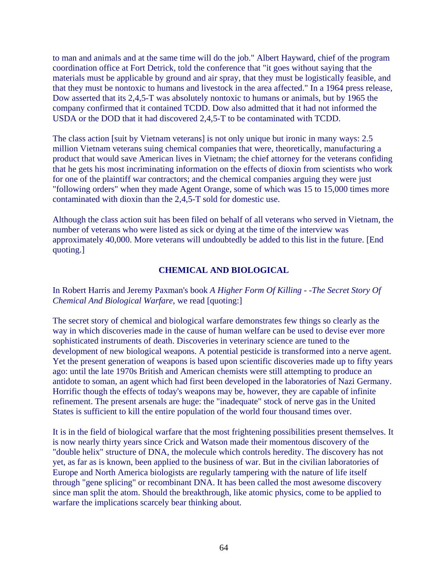to man and animals and at the same time will do the job." Albert Hayward, chief of the program coordination office at Fort Detrick, told the conference that "it goes without saying that the materials must be applicable by ground and air spray, that they must be logistically feasible, and that they must be nontoxic to humans and livestock in the area affected." In a 1964 press release, Dow asserted that its 2,4,5-T was absolutely nontoxic to humans or animals, but by 1965 the company confirmed that it contained TCDD. Dow also admitted that it had not informed the USDA or the DOD that it had discovered 2,4,5-T to be contaminated with TCDD.

The class action [suit by Vietnam veterans] is not only unique but ironic in many ways: 2.5 million Vietnam veterans suing chemical companies that were, theoretically, manufacturing a product that would save American lives in Vietnam; the chief attorney for the veterans confiding that he gets his most incriminating information on the effects of dioxin from scientists who work for one of the plaintiff war contractors; and the chemical companies arguing they were just "following orders" when they made Agent Orange, some of which was 15 to 15,000 times more contaminated with dioxin than the 2,4,5-T sold for domestic use.

Although the class action suit has been filed on behalf of all veterans who served in Vietnam, the number of veterans who were listed as sick or dying at the time of the interview was approximately 40,000. More veterans will undoubtedly be added to this list in the future. [End quoting.]

### **CHEMICAL AND BIOLOGICAL**

In Robert Harris and Jeremy Paxman's book *A Higher Form Of Killing - -The Secret Story Of Chemical And Biological Warfare*, we read [quoting:]

The secret story of chemical and biological warfare demonstrates few things so clearly as the way in which discoveries made in the cause of human welfare can be used to devise ever more sophisticated instruments of death. Discoveries in veterinary science are tuned to the development of new biological weapons. A potential pesticide is transformed into a nerve agent. Yet the present generation of weapons is based upon scientific discoveries made up to fifty years ago: until the late 1970s British and American chemists were still attempting to produce an antidote to soman, an agent which had first been developed in the laboratories of Nazi Germany. Horrific though the effects of today's weapons may be, however, they are capable of infinite refinement. The present arsenals are huge: the "inadequate" stock of nerve gas in the United States is sufficient to kill the entire population of the world four thousand times over.

It is in the field of biological warfare that the most frightening possibilities present themselves. It is now nearly thirty years since Crick and Watson made their momentous discovery of the "double helix" structure of DNA, the molecule which controls heredity. The discovery has not yet, as far as is known, been applied to the business of war. But in the civilian laboratories of Europe and North America biologists are regularly tampering with the nature of life itself through "gene splicing" or recombinant DNA. It has been called the most awesome discovery since man split the atom. Should the breakthrough, like atomic physics, come to be applied to warfare the implications scarcely bear thinking about.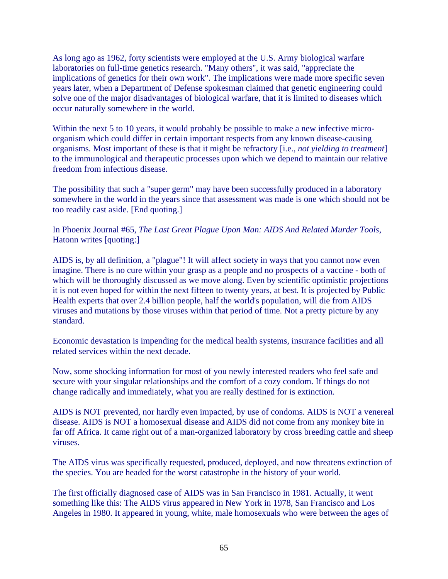As long ago as 1962, forty scientists were employed at the U.S. Army biological warfare laboratories on full-time genetics research. "Many others", it was said, "appreciate the implications of genetics for their own work". The implications were made more specific seven years later, when a Department of Defense spokesman claimed that genetic engineering could solve one of the major disadvantages of biological warfare, that it is limited to diseases which occur naturally somewhere in the world.

Within the next 5 to 10 years, it would probably be possible to make a new infective microorganism which could differ in certain important respects from any known disease-causing organisms. Most important of these is that it might be refractory [i.e., *not yielding to treatment*] to the immunological and therapeutic processes upon which we depend to maintain our relative freedom from infectious disease.

The possibility that such a "super germ" may have been successfully produced in a laboratory somewhere in the world in the years since that assessment was made is one which should not be too readily cast aside. [End quoting.]

In Phoenix Journal #65, *The Last Great Plague Upon Man: AIDS And Related Murder Tools*, Hatonn writes [quoting:]

AIDS is, by all definition, a "plague"! It will affect society in ways that you cannot now even imagine. There is no cure within your grasp as a people and no prospects of a vaccine - both of which will be thoroughly discussed as we move along. Even by scientific optimistic projections it is not even hoped for within the next fifteen to twenty years, at best. It is projected by Public Health experts that over 2.4 billion people, half the world's population, will die from AIDS viruses and mutations by those viruses within that period of time. Not a pretty picture by any standard.

Economic devastation is impending for the medical health systems, insurance facilities and all related services within the next decade.

Now, some shocking information for most of you newly interested readers who feel safe and secure with your singular relationships and the comfort of a cozy condom. If things do not change radically and immediately, what you are really destined for is extinction.

AIDS is NOT prevented, nor hardly even impacted, by use of condoms. AIDS is NOT a venereal disease. AIDS is NOT a homosexual disease and AIDS did not come from any monkey bite in far off Africa. It came right out of a man-organized laboratory by cross breeding cattle and sheep viruses.

The AIDS virus was specifically requested, produced, deployed, and now threatens extinction of the species. You are headed for the worst catastrophe in the history of your world.

The first officially diagnosed case of AIDS was in San Francisco in 1981. Actually, it went something like this: The AIDS virus appeared in New York in 1978, San Francisco and Los Angeles in 1980. It appeared in young, white, male homosexuals who were between the ages of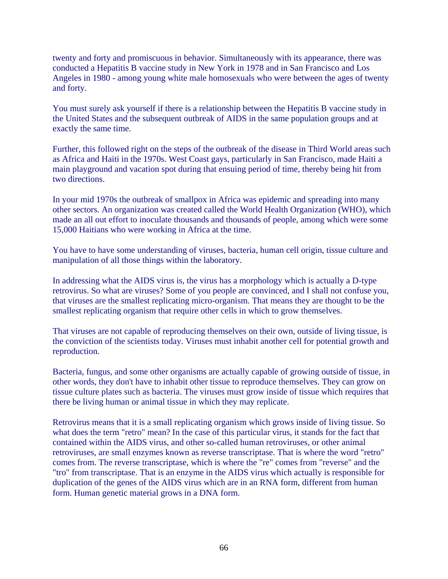twenty and forty and promiscuous in behavior. Simultaneously with its appearance, there was conducted a Hepatitis B vaccine study in New York in 1978 and in San Francisco and Los Angeles in 1980 - among young white male homosexuals who were between the ages of twenty and forty.

You must surely ask yourself if there is a relationship between the Hepatitis B vaccine study in the United States and the subsequent outbreak of AIDS in the same population groups and at exactly the same time.

Further, this followed right on the steps of the outbreak of the disease in Third World areas such as Africa and Haiti in the 1970s. West Coast gays, particularly in San Francisco, made Haiti a main playground and vacation spot during that ensuing period of time, thereby being hit from two directions.

In your mid 1970s the outbreak of smallpox in Africa was epidemic and spreading into many other sectors. An organization was created called the World Health Organization (WHO), which made an all out effort to inoculate thousands and thousands of people, among which were some 15,000 Haitians who were working in Africa at the time.

You have to have some understanding of viruses, bacteria, human cell origin, tissue culture and manipulation of all those things within the laboratory.

In addressing what the AIDS virus is, the virus has a morphology which is actually a D-type retrovirus. So what are viruses? Some of you people are convinced, and I shall not confuse you, that viruses are the smallest replicating micro-organism. That means they are thought to be the smallest replicating organism that require other cells in which to grow themselves.

That viruses are not capable of reproducing themselves on their own, outside of living tissue, is the conviction of the scientists today. Viruses must inhabit another cell for potential growth and reproduction.

Bacteria, fungus, and some other organisms are actually capable of growing outside of tissue, in other words, they don't have to inhabit other tissue to reproduce themselves. They can grow on tissue culture plates such as bacteria. The viruses must grow inside of tissue which requires that there be living human or animal tissue in which they may replicate.

Retrovirus means that it is a small replicating organism which grows inside of living tissue. So what does the term "retro" mean? In the case of this particular virus, it stands for the fact that contained within the AIDS virus, and other so-called human retroviruses, or other animal retroviruses, are small enzymes known as reverse transcriptase. That is where the word "retro" comes from. The reverse transcriptase, which is where the "re" comes from "reverse" and the "tro" from transcriptase. That is an enzyme in the AIDS virus which actually is responsible for duplication of the genes of the AIDS virus which are in an RNA form, different from human form. Human genetic material grows in a DNA form.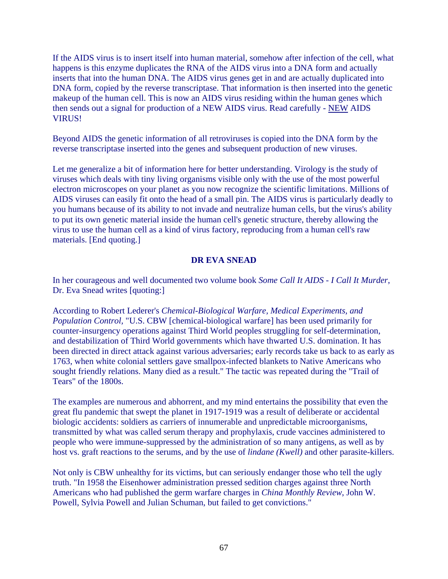If the AIDS virus is to insert itself into human material, somehow after infection of the cell, what happens is this enzyme duplicates the RNA of the AIDS virus into a DNA form and actually inserts that into the human DNA. The AIDS virus genes get in and are actually duplicated into DNA form, copied by the reverse transcriptase. That information is then inserted into the genetic makeup of the human cell. This is now an AIDS virus residing within the human genes which then sends out a signal for production of a NEW AIDS virus. Read carefully - NEW AIDS VIRUS!

Beyond AIDS the genetic information of all retroviruses is copied into the DNA form by the reverse transcriptase inserted into the genes and subsequent production of new viruses.

Let me generalize a bit of information here for better understanding. Virology is the study of viruses which deals with tiny living organisms visible only with the use of the most powerful electron microscopes on your planet as you now recognize the scientific limitations. Millions of AIDS viruses can easily fit onto the head of a small pin. The AIDS virus is particularly deadly to you humans because of its ability to not invade and neutralize human cells, but the virus's ability to put its own genetic material inside the human cell's genetic structure, thereby allowing the virus to use the human cell as a kind of virus factory, reproducing from a human cell's raw materials. [End quoting.]

## **DR EVA SNEAD**

In her courageous and well documented two volume book *Some Call It AIDS - I Call It Murder*, Dr. Eva Snead writes [quoting:]

According to Robert Lederer's *Chemical-Biological Warfare, Medical Experiments, and Population Control,* "U.S. CBW [chemical-biological warfare] has been used primarily for counter-insurgency operations against Third World peoples struggling for self-determination, and destabilization of Third World governments which have thwarted U.S. domination. It has been directed in direct attack against various adversaries; early records take us back to as early as 1763, when white colonial settlers gave smallpox-infected blankets to Native Americans who sought friendly relations. Many died as a result." The tactic was repeated during the "Trail of Tears" of the 1800s.

The examples are numerous and abhorrent, and my mind entertains the possibility that even the great flu pandemic that swept the planet in 1917-1919 was a result of deliberate or accidental biologic accidents: soldiers as carriers of innumerable and unpredictable microorganisms, transmitted by what was called serum therapy and prophylaxis, crude vaccines administered to people who were immune-suppressed by the administration of so many antigens, as well as by host vs. graft reactions to the serums, and by the use of *lindane (Kwell)* and other parasite-killers.

Not only is CBW unhealthy for its victims, but can seriously endanger those who tell the ugly truth. "In 1958 the Eisenhower administration pressed sedition charges against three North Americans who had published the germ warfare charges in *China Monthly Review*, John W. Powell, Sylvia Powell and Julian Schuman, but failed to get convictions."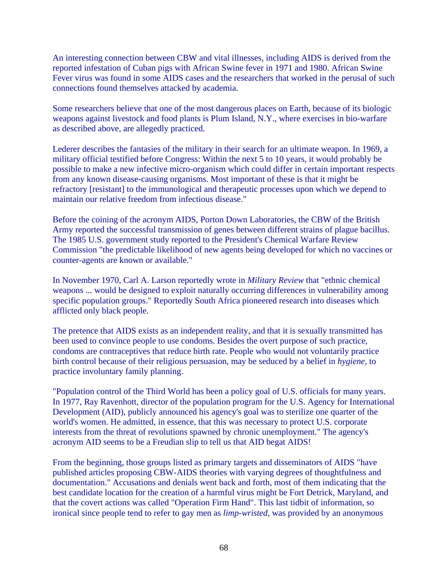An interesting connection between CBW and vital illnesses, including AIDS is derived from the reported infestation of Cuban pigs with African Swine fever in 1971 and 1980. African Swine Fever virus was found in some AIDS cases and the researchers that worked in the perusal of such connections found themselves attacked by academia.

Some researchers believe that one of the most dangerous places on Earth, because of its biologic weapons against livestock and food plants is Plum Island, N.Y., where exercises in bio-warfare as described above, are allegedly practiced.

Lederer describes the fantasies of the military in their search for an ultimate weapon. In 1969, a military official testified before Congress: Within the next 5 to 10 years, it would probably be possible to make a new infective micro-organism which could differ in certain important respects from any known disease-causing organisms. Most important of these is that it might be refractory [resistant] to the immunological and therapeutic processes upon which we depend to maintain our relative freedom from infectious disease."

Before the coining of the acronym AIDS, Porton Down Laboratories, the CBW of the British Army reported the successful transmission of genes between different strains of plague bacillus. The 1985 U.S. government study reported to the President's Chemical Warfare Review Commission "the predictable likelihood of new agents being developed for which no vaccines or counter-agents are known or available."

In November 1970, Carl A. Larson reportedly wrote in *Military Review* that "ethnic chemical weapons ... would be designed to exploit naturally occurring differences in vulnerability among specific population groups." Reportedly South Africa pioneered research into diseases which afflicted only black people.

The pretence that AIDS exists as an independent reality, and that it is sexually transmitted has been used to convince people to use condoms. Besides the overt purpose of such practice, condoms are contraceptives that reduce birth rate. People who would not voluntarily practice birth control because of their religious persuasion, may be seduced by a belief in *hygiene*, to practice involuntary family planning.

"Population control of the Third World has been a policy goal of U.S. officials for many years. In 1977, Ray Ravenhott, director of the population program for the U.S. Agency for International Development (AID), publicly announced his agency's goal was to sterilize one quarter of the world's women. He admitted, in essence, that this was necessary to protect U.S. corporate interests from the threat of revolutions spawned by chronic unemployment." The agency's acronym AID seems to be a Freudian slip to tell us that AID begat AIDS!

From the beginning, those groups listed as primary targets and disseminators of AIDS "have published articles proposing CBW-AIDS theories with varying degrees of thoughtfulness and documentation." Accusations and denials went back and forth, most of them indicating that the best candidate location for the creation of a harmful virus might be Fort Detrick, Maryland, and that the covert actions was called "Operation Firm Hand". This last tidbit of information, so ironical since people tend to refer to gay men as *limp-wristed*, was provided by an anonymous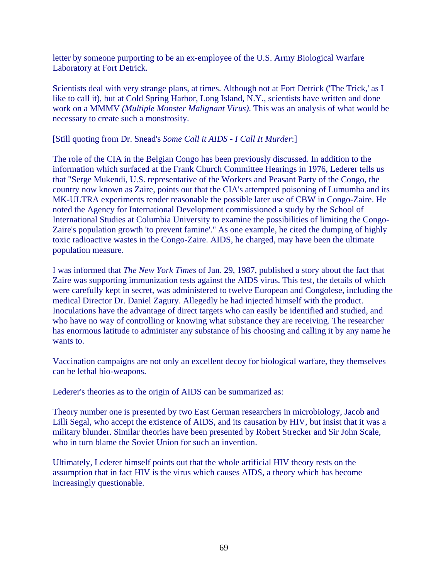letter by someone purporting to be an ex-employee of the U.S. Army Biological Warfare Laboratory at Fort Detrick.

Scientists deal with very strange plans, at times. Although not at Fort Detrick ('The Trick,' as I like to call it), but at Cold Spring Harbor, Long Island, N.Y., scientists have written and done work on a MMMV *(Multiple Monster Malignant Virus)*. This was an analysis of what would be necessary to create such a monstrosity.

[Still quoting from Dr. Snead's *Some Call it AIDS - I Call It Murder*:]

The role of the CIA in the Belgian Congo has been previously discussed. In addition to the information which surfaced at the Frank Church Committee Hearings in 1976, Lederer tells us that "Serge Mukendi, U.S. representative of the Workers and Peasant Party of the Congo, the country now known as Zaire, points out that the CIA's attempted poisoning of Lumumba and its MK-ULTRA experiments render reasonable the possible later use of CBW in Congo-Zaire. He noted the Agency for International Development commissioned a study by the School of International Studies at Columbia University to examine the possibilities of limiting the Congo-Zaire's population growth 'to prevent famine'." As one example, he cited the dumping of highly toxic radioactive wastes in the Congo-Zaire. AIDS, he charged, may have been the ultimate population measure.

I was informed that *The New York Times* of Jan. 29, 1987, published a story about the fact that Zaire was supporting immunization tests against the AIDS virus. This test, the details of which were carefully kept in secret, was administered to twelve European and Congolese, including the medical Director Dr. Daniel Zagury. Allegedly he had injected himself with the product. Inoculations have the advantage of direct targets who can easily be identified and studied, and who have no way of controlling or knowing what substance they are receiving. The researcher has enormous latitude to administer any substance of his choosing and calling it by any name he wants to.

Vaccination campaigns are not only an excellent decoy for biological warfare, they themselves can be lethal bio-weapons.

Lederer's theories as to the origin of AIDS can be summarized as:

Theory number one is presented by two East German researchers in microbiology, Jacob and Lilli Segal, who accept the existence of AIDS, and its causation by HIV, but insist that it was a military blunder. Similar theories have been presented by Robert Strecker and Sir John Scale, who in turn blame the Soviet Union for such an invention.

Ultimately, Lederer himself points out that the whole artificial HIV theory rests on the assumption that in fact HIV is the virus which causes AIDS, a theory which has become increasingly questionable.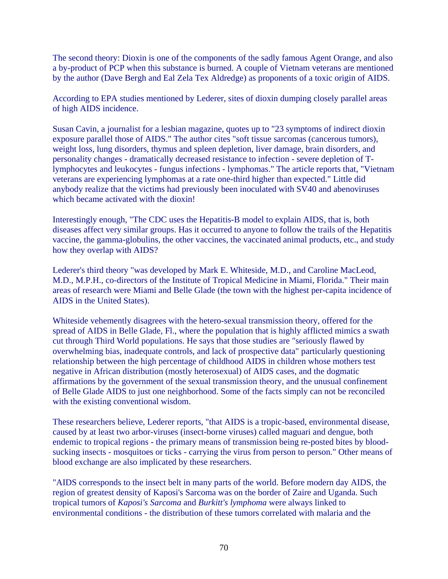The second theory: Dioxin is one of the components of the sadly famous Agent Orange, and also a by-product of PCP when this substance is burned. A couple of Vietnam veterans are mentioned by the author (Dave Bergh and Eal Zela Tex Aldredge) as proponents of a toxic origin of AIDS.

According to EPA studies mentioned by Lederer, sites of dioxin dumping closely parallel areas of high AIDS incidence.

Susan Cavin, a journalist for a lesbian magazine, quotes up to "23 symptoms of indirect dioxin exposure parallel those of AIDS." The author cites "soft tissue sarcomas (cancerous tumors), weight loss, lung disorders, thymus and spleen depletion, liver damage, brain disorders, and personality changes - dramatically decreased resistance to infection - severe depletion of Tlymphocytes and leukocytes - fungus infections - lymphomas." The article reports that, "Vietnam veterans are experiencing lymphomas at a rate one-third higher than expected." Little did anybody realize that the victims had previously been inoculated with SV40 and abenoviruses which became activated with the dioxin!

Interestingly enough, "The CDC uses the Hepatitis-B model to explain AIDS, that is, both diseases affect very similar groups. Has it occurred to anyone to follow the trails of the Hepatitis vaccine, the gamma-globulins, the other vaccines, the vaccinated animal products, etc., and study how they overlap with AIDS?

Lederer's third theory "was developed by Mark E. Whiteside, M.D., and Caroline MacLeod, M.D., M.P.H., co-directors of the Institute of Tropical Medicine in Miami, Florida." Their main areas of research were Miami and Belle Glade (the town with the highest per-capita incidence of AIDS in the United States).

Whiteside vehemently disagrees with the hetero-sexual transmission theory, offered for the spread of AIDS in Belle Glade, Fl., where the population that is highly afflicted mimics a swath cut through Third World populations. He says that those studies are "seriously flawed by overwhelming bias, inadequate controls, and lack of prospective data" particularly questioning relationship between the high percentage of childhood AIDS in children whose mothers test negative in African distribution (mostly heterosexual) of AIDS cases, and the dogmatic affirmations by the government of the sexual transmission theory, and the unusual confinement of Belle Glade AIDS to just one neighborhood. Some of the facts simply can not be reconciled with the existing conventional wisdom.

These researchers believe, Lederer reports, "that AIDS is a tropic-based, environmental disease, caused by at least two arbor-viruses (insect-borne viruses) called maguari and dengue, both endemic to tropical regions - the primary means of transmission being re-posted bites by bloodsucking insects - mosquitoes or ticks - carrying the virus from person to person." Other means of blood exchange are also implicated by these researchers.

"AIDS corresponds to the insect belt in many parts of the world. Before modern day AIDS, the region of greatest density of Kaposi's Sarcoma was on the border of Zaire and Uganda. Such tropical tumors of *Kaposi's Sarcoma* and *Burkitt's lymphoma* were always linked to environmental conditions - the distribution of these tumors correlated with malaria and the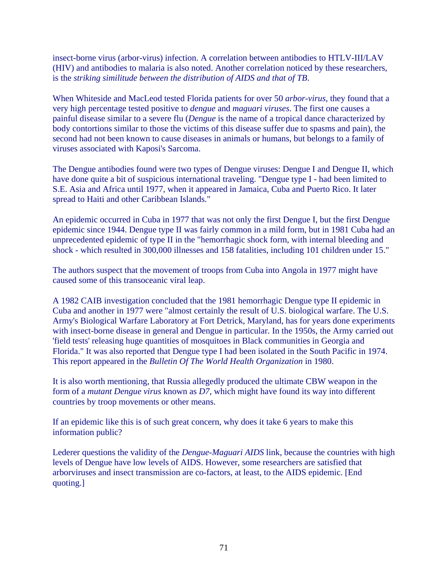insect-borne virus (arbor-virus) infection. A correlation between antibodies to HTLV-III/LAV (HIV) and antibodies to malaria is also noted. Another correlation noticed by these researchers, is the *striking similitude between the distribution of AIDS and that of TB*.

When Whiteside and MacLeod tested Florida patients for over 50 *arbor-virus*, they found that a very high percentage tested positive to *dengue* and *maguari viruses*. The first one causes a painful disease similar to a severe flu (*Dengue* is the name of a tropical dance characterized by body contortions similar to those the victims of this disease suffer due to spasms and pain), the second had not been known to cause diseases in animals or humans, but belongs to a family of viruses associated with Kaposi's Sarcoma.

The Dengue antibodies found were two types of Dengue viruses: Dengue I and Dengue II, which have done quite a bit of suspicious international traveling. "Dengue type I - had been limited to S.E. Asia and Africa until 1977, when it appeared in Jamaica, Cuba and Puerto Rico. It later spread to Haiti and other Caribbean Islands."

An epidemic occurred in Cuba in 1977 that was not only the first Dengue I, but the first Dengue epidemic since 1944. Dengue type II was fairly common in a mild form, but in 1981 Cuba had an unprecedented epidemic of type II in the "hemorrhagic shock form, with internal bleeding and shock - which resulted in 300,000 illnesses and 158 fatalities, including 101 children under 15."

The authors suspect that the movement of troops from Cuba into Angola in 1977 might have caused some of this transoceanic viral leap.

A 1982 CAIB investigation concluded that the 1981 hemorrhagic Dengue type II epidemic in Cuba and another in 1977 were "almost certainly the result of U.S. biological warfare. The U.S. Army's Biological Warfare Laboratory at Fort Detrick, Maryland, has for years done experiments with insect-borne disease in general and Dengue in particular. In the 1950s, the Army carried out 'field tests' releasing huge quantities of mosquitoes in Black communities in Georgia and Florida." It was also reported that Dengue type I had been isolated in the South Pacific in 1974. This report appeared in the *Bulletin Of The World Health Organization* in 1980.

It is also worth mentioning, that Russia allegedly produced the ultimate CBW weapon in the form of a *mutant Dengue virus* known as *D7*, which might have found its way into different countries by troop movements or other means.

If an epidemic like this is of such great concern, why does it take 6 years to make this information public?

Lederer questions the validity of the *Dengue-Maguari AIDS* link, because the countries with high levels of Dengue have low levels of AIDS. However, some researchers are satisfied that arborviruses and insect transmission are co-factors, at least, to the AIDS epidemic. [End quoting.]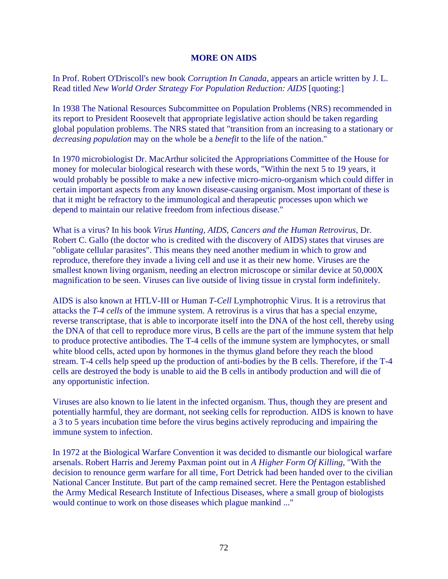### **MORE ON AIDS**

In Prof. Robert O'Driscoll's new book *Corruption In Canada*, appears an article written by J. L. Read titled *New World Order Strategy For Population Reduction: AIDS* [quoting:]

In 1938 The National Resources Subcommittee on Population Problems (NRS) recommended in its report to President Roosevelt that appropriate legislative action should be taken regarding global population problems. The NRS stated that "transition from an increasing to a stationary or *decreasing population* may on the whole be a *benefit* to the life of the nation."

In 1970 microbiologist Dr. MacArthur solicited the Appropriations Committee of the House for money for molecular biological research with these words, "Within the next 5 to 19 years, it would probably be possible to make a new infective micro-micro-organism which could differ in certain important aspects from any known disease-causing organism. Most important of these is that it might be refractory to the immunological and therapeutic processes upon which we depend to maintain our relative freedom from infectious disease."

What is a virus? In his book *Virus Hunting, AIDS, Cancers and the Human Retrovirus*, Dr. Robert C. Gallo (the doctor who is credited with the discovery of AIDS) states that viruses are "obligate cellular parasites". This means they need another medium in which to grow and reproduce, therefore they invade a living cell and use it as their new home. Viruses are the smallest known living organism, needing an electron microscope or similar device at 50,000X magnification to be seen. Viruses can live outside of living tissue in crystal form indefinitely.

AIDS is also known at HTLV-III or Human *T-Cell* Lymphotrophic Virus. It is a retrovirus that attacks the *T-4 cells* of the immune system. A retrovirus is a virus that has a special enzyme, reverse transcriptase, that is able to incorporate itself into the DNA of the host cell, thereby using the DNA of that cell to reproduce more virus, B cells are the part of the immune system that help to produce protective antibodies. The T-4 cells of the immune system are lymphocytes, or small white blood cells, acted upon by hormones in the thymus gland before they reach the blood stream. T-4 cells help speed up the production of anti-bodies by the B cells. Therefore, if the T-4 cells are destroyed the body is unable to aid the B cells in antibody production and will die of any opportunistic infection.

Viruses are also known to lie latent in the infected organism. Thus, though they are present and potentially harmful, they are dormant, not seeking cells for reproduction. AIDS is known to have a 3 to 5 years incubation time before the virus begins actively reproducing and impairing the immune system to infection.

In 1972 at the Biological Warfare Convention it was decided to dismantle our biological warfare arsenals. Robert Harris and Jeremy Paxman point out in *A Higher Form Of Killing*, "With the decision to renounce germ warfare for all time, Fort Detrick had been handed over to the civilian National Cancer Institute. But part of the camp remained secret. Here the Pentagon established the Army Medical Research Institute of Infectious Diseases, where a small group of biologists would continue to work on those diseases which plague mankind ..."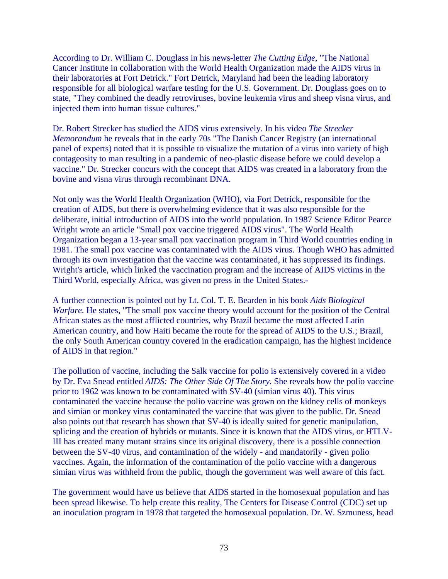According to Dr. William C. Douglass in his news-letter *The Cutting Edge*, "The National Cancer Institute in collaboration with the World Health Organization made the AIDS virus in their laboratories at Fort Detrick." Fort Detrick, Maryland had been the leading laboratory responsible for all biological warfare testing for the U.S. Government. Dr. Douglass goes on to state, "They combined the deadly retroviruses, bovine leukemia virus and sheep visna virus, and injected them into human tissue cultures."

Dr. Robert Strecker has studied the AIDS virus extensively. In his video *The Strecker Memorandum* he reveals that in the early 70s "The Danish Cancer Registry (an international panel of experts) noted that it is possible to visualize the mutation of a virus into variety of high contageosity to man resulting in a pandemic of neo-plastic disease before we could develop a vaccine." Dr. Strecker concurs with the concept that AIDS was created in a laboratory from the bovine and visna virus through recombinant DNA.

Not only was the World Health Organization (WHO), via Fort Detrick, responsible for the creation of AIDS, but there is overwhelming evidence that it was also responsible for the deliberate, initial introduction of AIDS into the world population. In 1987 Science Editor Pearce Wright wrote an article "Small pox vaccine triggered AIDS virus". The World Health Organization began a 13-year small pox vaccination program in Third World countries ending in 1981. The small pox vaccine was contaminated with the AIDS virus. Though WHO has admitted through its own investigation that the vaccine was contaminated, it has suppressed its findings. Wright's article, which linked the vaccination program and the increase of AIDS victims in the Third World, especially Africa, was given no press in the United States.-

A further connection is pointed out by Lt. Col. T. E. Bearden in his book *Aids Biological Warfare.* He states, "The small pox vaccine theory would account for the position of the Central African states as the most afflicted countries, why Brazil became the most affected Latin American country, and how Haiti became the route for the spread of AIDS to the U.S.; Brazil, the only South American country covered in the eradication campaign, has the highest incidence of AIDS in that region."

The pollution of vaccine, including the Salk vaccine for polio is extensively covered in a video by Dr. Eva Snead entitled *AIDS: The Other Side Of The Story.* She reveals how the polio vaccine prior to 1962 was known to be contaminated with SV-40 (simian virus 40). This virus contaminated the vaccine because the polio vaccine was grown on the kidney cells of monkeys and simian or monkey virus contaminated the vaccine that was given to the public. Dr. Snead also points out that research has shown that SV-40 is ideally suited for genetic manipulation, splicing and the creation of hybrids or mutants. Since it is known that the AIDS virus, or HTLV-III has created many mutant strains since its original discovery, there is a possible connection between the SV-40 virus, and contamination of the widely - and mandatorily - given polio vaccines. Again, the information of the contamination of the polio vaccine with a dangerous simian virus was withheld from the public, though the government was well aware of this fact.

The government would have us believe that AIDS started in the homosexual population and has been spread likewise. To help create this reality, The Centers for Disease Control (CDC) set up an inoculation program in 1978 that targeted the homosexual population. Dr. W. Szmuness, head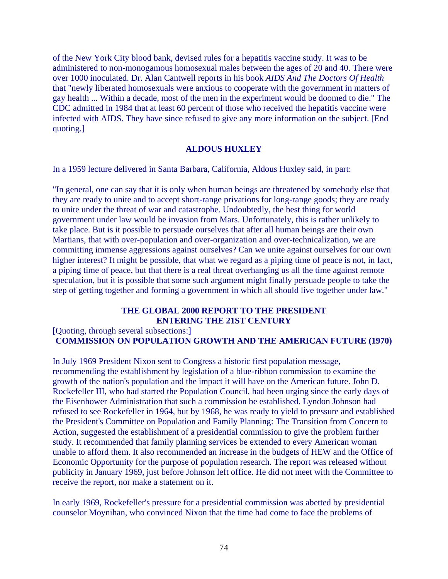of the New York City blood bank, devised rules for a hepatitis vaccine study. It was to be administered to non-monogamous homosexual males between the ages of 20 and 40. There were over 1000 inoculated. Dr. Alan Cantwell reports in his book *AIDS And The Doctors Of Health* that "newly liberated homosexuals were anxious to cooperate with the government in matters of gay health ... Within a decade, most of the men in the experiment would be doomed to die." The CDC admitted in 1984 that at least 60 percent of those who received the hepatitis vaccine were infected with AIDS. They have since refused to give any more information on the subject. [End quoting.]

#### **ALDOUS HUXLEY**

In a 1959 lecture delivered in Santa Barbara, California, Aldous Huxley said, in part:

"In general, one can say that it is only when human beings are threatened by somebody else that they are ready to unite and to accept short-range privations for long-range goods; they are ready to unite under the threat of war and catastrophe. Undoubtedly, the best thing for world government under law would be invasion from Mars. Unfortunately, this is rather unlikely to take place. But is it possible to persuade ourselves that after all human beings are their own Martians, that with over-population and over-organization and over-technicalization, we are committing immense aggressions against ourselves? Can we unite against ourselves for our own higher interest? It might be possible, that what we regard as a piping time of peace is not, in fact, a piping time of peace, but that there is a real threat overhanging us all the time against remote speculation, but it is possible that some such argument might finally persuade people to take the step of getting together and forming a government in which all should live together under law."

#### **THE GLOBAL 2000 REPORT TO THE PRESIDENT ENTERING THE 21ST CENTURY**

[Quoting, through several subsections:] **COMMISSION ON POPULATION GROWTH AND THE AMERICAN FUTURE (1970)**

In July 1969 President Nixon sent to Congress a historic first population message, recommending the establishment by legislation of a blue-ribbon commission to examine the growth of the nation's population and the impact it will have on the American future. John D. Rockefeller III, who had started the Population Council, had been urging since the early days of the Eisenhower Administration that such a commission be established. Lyndon Johnson had refused to see Rockefeller in 1964, but by 1968, he was ready to yield to pressure and established the President's Committee on Population and Family Planning: The Transition from Concern to Action, suggested the establishment of a presidential commission to give the problem further study. It recommended that family planning services be extended to every American woman unable to afford them. It also recommended an increase in the budgets of HEW and the Office of Economic Opportunity for the purpose of population research. The report was released without publicity in January 1969, just before Johnson left office. He did not meet with the Committee to receive the report, nor make a statement on it.

In early 1969, Rockefeller's pressure for a presidential commission was abetted by presidential counselor Moynihan, who convinced Nixon that the time had come to face the problems of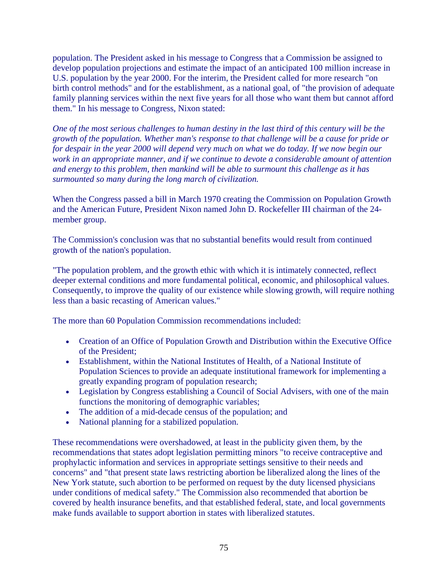population. The President asked in his message to Congress that a Commission be assigned to develop population projections and estimate the impact of an anticipated 100 million increase in U.S. population by the year 2000. For the interim, the President called for more research "on birth control methods" and for the establishment, as a national goal, of "the provision of adequate family planning services within the next five years for all those who want them but cannot afford them." In his message to Congress, Nixon stated:

*One of the most serious challenges to human destiny in the last third of this century will be the growth of the population. Whether man's response to that challenge will be a cause for pride or for despair in the year 2000 will depend very much on what we do today. If we now begin our work in an appropriate manner, and if we continue to devote a considerable amount of attention and energy to this problem, then mankind will be able to surmount this challenge as it has surmounted so many during the long march of civilization.*

When the Congress passed a bill in March 1970 creating the Commission on Population Growth and the American Future, President Nixon named John D. Rockefeller III chairman of the 24 member group.

The Commission's conclusion was that no substantial benefits would result from continued growth of the nation's population.

"The population problem, and the growth ethic with which it is intimately connected, reflect deeper external conditions and more fundamental political, economic, and philosophical values. Consequently, to improve the quality of our existence while slowing growth, will require nothing less than a basic recasting of American values."

The more than 60 Population Commission recommendations included:

- Creation of an Office of Population Growth and Distribution within the Executive Office of the President;
- Establishment, within the National Institutes of Health, of a National Institute of Population Sciences to provide an adequate institutional framework for implementing a greatly expanding program of population research;
- Legislation by Congress establishing a Council of Social Advisers, with one of the main functions the monitoring of demographic variables;
- The addition of a mid-decade census of the population; and
- National planning for a stabilized population.

These recommendations were overshadowed, at least in the publicity given them, by the recommendations that states adopt legislation permitting minors "to receive contraceptive and prophylactic information and services in appropriate settings sensitive to their needs and concerns" and "that present state laws restricting abortion be liberalized along the lines of the New York statute, such abortion to be performed on request by the duty licensed physicians under conditions of medical safety." The Commission also recommended that abortion be covered by health insurance benefits, and that established federal, state, and local governments make funds available to support abortion in states with liberalized statutes.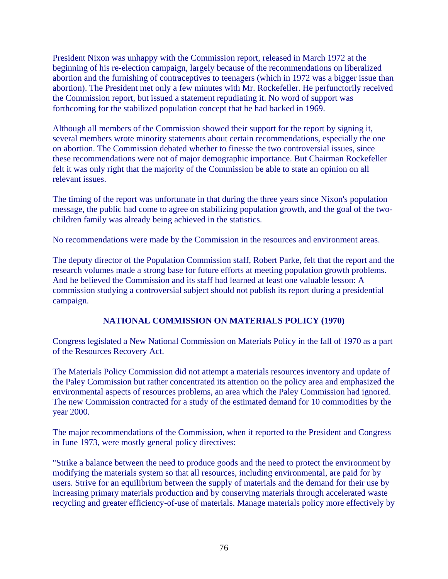President Nixon was unhappy with the Commission report, released in March 1972 at the beginning of his re-election campaign, largely because of the recommendations on liberalized abortion and the furnishing of contraceptives to teenagers (which in 1972 was a bigger issue than abortion). The President met only a few minutes with Mr. Rockefeller. He perfunctorily received the Commission report, but issued a statement repudiating it. No word of support was forthcoming for the stabilized population concept that he had backed in 1969.

Although all members of the Commission showed their support for the report by signing it, several members wrote minority statements about certain recommendations, especially the one on abortion. The Commission debated whether to finesse the two controversial issues, since these recommendations were not of major demographic importance. But Chairman Rockefeller felt it was only right that the majority of the Commission be able to state an opinion on all relevant issues.

The timing of the report was unfortunate in that during the three years since Nixon's population message, the public had come to agree on stabilizing population growth, and the goal of the twochildren family was already being achieved in the statistics.

No recommendations were made by the Commission in the resources and environment areas.

The deputy director of the Population Commission staff, Robert Parke, felt that the report and the research volumes made a strong base for future efforts at meeting population growth problems. And he believed the Commission and its staff had learned at least one valuable lesson: A commission studying a controversial subject should not publish its report during a presidential campaign.

# **NATIONAL COMMISSION ON MATERIALS POLICY (1970)**

Congress legislated a New National Commission on Materials Policy in the fall of 1970 as a part of the Resources Recovery Act.

The Materials Policy Commission did not attempt a materials resources inventory and update of the Paley Commission but rather concentrated its attention on the policy area and emphasized the environmental aspects of resources problems, an area which the Paley Commission had ignored. The new Commission contracted for a study of the estimated demand for 10 commodities by the year 2000.

The major recommendations of the Commission, when it reported to the President and Congress in June 1973, were mostly general policy directives:

"Strike a balance between the need to produce goods and the need to protect the environment by modifying the materials system so that all resources, including environmental, are paid for by users. Strive for an equilibrium between the supply of materials and the demand for their use by increasing primary materials production and by conserving materials through accelerated waste recycling and greater efficiency-of-use of materials. Manage materials policy more effectively by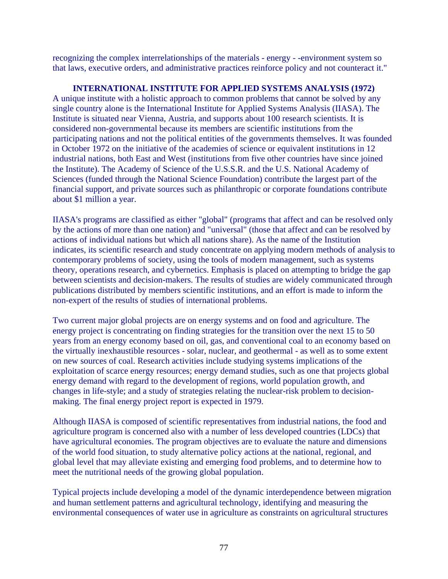recognizing the complex interrelationships of the materials - energy - -environment system so that laws, executive orders, and administrative practices reinforce policy and not counteract it."

#### **INTERNATIONAL INSTITUTE FOR APPLIED SYSTEMS ANALYSIS (1972)**

A unique institute with a holistic approach to common problems that cannot be solved by any single country alone is the International Institute for Applied Systems Analysis (IIASA). The Institute is situated near Vienna, Austria, and supports about 100 research scientists. It is considered non-governmental because its members are scientific institutions from the participating nations and not the political entities of the governments themselves. It was founded in October 1972 on the initiative of the academies of science or equivalent institutions in 12 industrial nations, both East and West (institutions from five other countries have since joined the Institute). The Academy of Science of the U.S.S.R. and the U.S. National Academy of Sciences (funded through the National Science Foundation) contribute the largest part of the financial support, and private sources such as philanthropic or corporate foundations contribute about \$1 million a year.

IIASA's programs are classified as either "global" (programs that affect and can be resolved only by the actions of more than one nation) and "universal" (those that affect and can be resolved by actions of individual nations but which all nations share). As the name of the Institution indicates, its scientific research and study concentrate on applying modern methods of analysis to contemporary problems of society, using the tools of modern management, such as systems theory, operations research, and cybernetics. Emphasis is placed on attempting to bridge the gap between scientists and decision-makers. The results of studies are widely communicated through publications distributed by members scientific institutions, and an effort is made to inform the non-expert of the results of studies of international problems.

Two current major global projects are on energy systems and on food and agriculture. The energy project is concentrating on finding strategies for the transition over the next 15 to 50 years from an energy economy based on oil, gas, and conventional coal to an economy based on the virtually inexhaustible resources - solar, nuclear, and geothermal - as well as to some extent on new sources of coal. Research activities include studying systems implications of the exploitation of scarce energy resources; energy demand studies, such as one that projects global energy demand with regard to the development of regions, world population growth, and changes in life-style; and a study of strategies relating the nuclear-risk problem to decisionmaking. The final energy project report is expected in 1979.

Although IIASA is composed of scientific representatives from industrial nations, the food and agriculture program is concerned also with a number of less developed countries (LDCs) that have agricultural economies. The program objectives are to evaluate the nature and dimensions of the world food situation, to study alternative policy actions at the national, regional, and global level that may alleviate existing and emerging food problems, and to determine how to meet the nutritional needs of the growing global population.

Typical projects include developing a model of the dynamic interdependence between migration and human settlement patterns and agricultural technology, identifying and measuring the environmental consequences of water use in agriculture as constraints on agricultural structures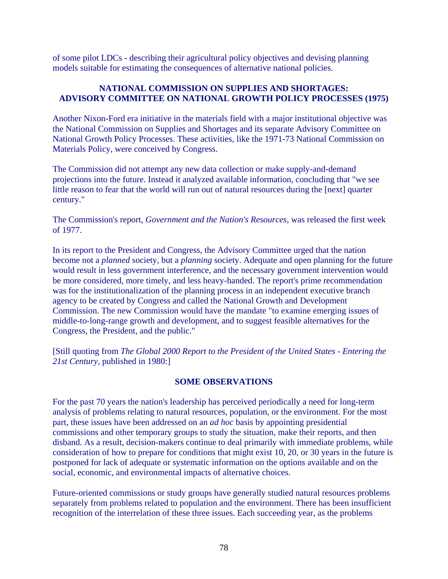of some pilot LDCs - describing their agricultural policy objectives and devising planning models suitable for estimating the consequences of alternative national policies.

### **NATIONAL COMMISSION ON SUPPLIES AND SHORTAGES: ADVISORY COMMITTEE ON NATIONAL GROWTH POLICY PROCESSES (1975)**

Another Nixon-Ford era initiative in the materials field with a major institutional objective was the National Commission on Supplies and Shortages and its separate Advisory Committee on National Growth Policy Processes. These activities, like the 1971-73 National Commission on Materials Policy, were conceived by Congress.

The Commission did not attempt any new data collection or make supply-and-demand projections into the future. Instead it analyzed available information, concluding that "we see little reason to fear that the world will run out of natural resources during the [next] quarter century."

The Commission's report, *Government and the Nation's Resources*, was released the first week of 1977.

In its report to the President and Congress, the Advisory Committee urged that the nation become not a *planned* society, but a *planning* society. Adequate and open planning for the future would result in less government interference, and the necessary government intervention would be more considered, more timely, and less heavy-handed. The report's prime recommendation was for the institutionalization of the planning process in an independent executive branch agency to be created by Congress and called the National Growth and Development Commission. The new Commission would have the mandate "to examine emerging issues of middle-to-long-range growth and development, and to suggest feasible alternatives for the Congress, the President, and the public."

[Still quoting from *The Global 2000 Report to the President of the United States - Entering the 21st Century,* published in 1980:]

#### **SOME OBSERVATIONS**

For the past 70 years the nation's leadership has perceived periodically a need for long-term analysis of problems relating to natural resources, population, or the environment. For the most part, these issues have been addressed on an *ad hoc* basis by appointing presidential commissions and other temporary groups to study the situation, make their reports, and then disband. As a result, decision-makers continue to deal primarily with immediate problems, while consideration of how to prepare for conditions that might exist 10, 20, or 30 years in the future is postponed for lack of adequate or systematic information on the options available and on the social, economic, and environmental impacts of alternative choices.

Future-oriented commissions or study groups have generally studied natural resources problems separately from problems related to population and the environment. There has been insufficient recognition of the interrelation of these three issues. Each succeeding year, as the problems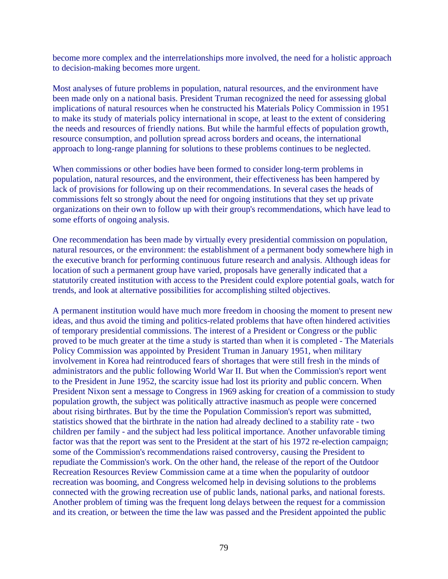become more complex and the interrelationships more involved, the need for a holistic approach to decision-making becomes more urgent.

Most analyses of future problems in population, natural resources, and the environment have been made only on a national basis. President Truman recognized the need for assessing global implications of natural resources when he constructed his Materials Policy Commission in 1951 to make its study of materials policy international in scope, at least to the extent of considering the needs and resources of friendly nations. But while the harmful effects of population growth, resource consumption, and pollution spread across borders and oceans, the international approach to long-range planning for solutions to these problems continues to be neglected.

When commissions or other bodies have been formed to consider long-term problems in population, natural resources, and the environment, their effectiveness has been hampered by lack of provisions for following up on their recommendations. In several cases the heads of commissions felt so strongly about the need for ongoing institutions that they set up private organizations on their own to follow up with their group's recommendations, which have lead to some efforts of ongoing analysis.

One recommendation has been made by virtually every presidential commission on population, natural resources, or the environment: the establishment of a permanent body somewhere high in the executive branch for performing continuous future research and analysis. Although ideas for location of such a permanent group have varied, proposals have generally indicated that a statutorily created institution with access to the President could explore potential goals, watch for trends, and look at alternative possibilities for accomplishing stilted objectives.

A permanent institution would have much more freedom in choosing the moment to present new ideas, and thus avoid the timing and politics-related problems that have often hindered activities of temporary presidential commissions. The interest of a President or Congress or the public proved to be much greater at the time a study is started than when it is completed - The Materials Policy Commission was appointed by President Truman in January 1951, when military involvement in Korea had reintroduced fears of shortages that were still fresh in the minds of administrators and the public following World War II. But when the Commission's report went to the President in June 1952, the scarcity issue had lost its priority and public concern. When President Nixon sent a message to Congress in 1969 asking for creation of a commission to study population growth, the subject was politically attractive inasmuch as people were concerned about rising birthrates. But by the time the Population Commission's report was submitted, statistics showed that the birthrate in the nation had already declined to a stability rate - two children per family - and the subject had less political importance. Another unfavorable timing factor was that the report was sent to the President at the start of his 1972 re-election campaign; some of the Commission's recommendations raised controversy, causing the President to repudiate the Commission's work. On the other hand, the release of the report of the Outdoor Recreation Resources Review Commission came at a time when the popularity of outdoor recreation was booming, and Congress welcomed help in devising solutions to the problems connected with the growing recreation use of public lands, national parks, and national forests. Another problem of timing was the frequent long delays between the request for a commission and its creation, or between the time the law was passed and the President appointed the public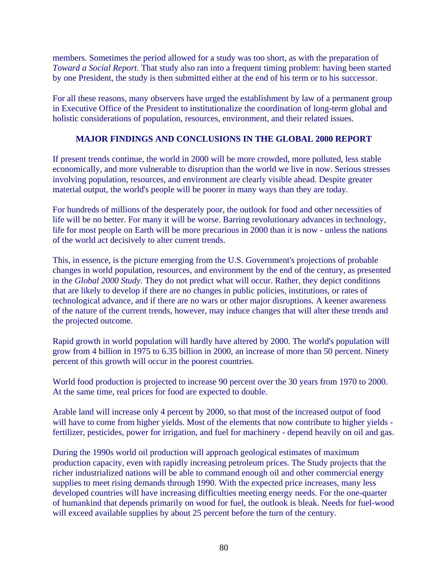members. Sometimes the period allowed for a study was too short, as with the preparation of *Toward a Social Report*. That study also ran into a frequent timing problem: having been started by one President, the study is then submitted either at the end of his term or to his successor.

For all these reasons, many observers have urged the establishment by law of a permanent group in Executive Office of the President to institutionalize the coordination of long-term global and holistic considerations of population, resources, environment, and their related issues.

## **MAJOR FINDINGS AND CONCLUSIONS IN THE GLOBAL 2000 REPORT**

If present trends continue, the world in 2000 will be more crowded, more polluted, less stable economically, and more vulnerable to disruption than the world we live in now. Serious stresses involving population, resources, and environment are clearly visible ahead. Despite greater material output, the world's people will be poorer in many ways than they are today.

For hundreds of millions of the desperately poor, the outlook for food and other necessities of life will be no better. For many it will be worse. Barring revolutionary advances in technology, life for most people on Earth will be more precarious in 2000 than it is now - unless the nations of the world act decisively to alter current trends.

This, in essence, is the picture emerging from the U.S. Government's projections of probable changes in world population, resources, and environment by the end of the century, as presented in the *Global 2000 Study*. They do not predict what will occur. Rather, they depict conditions that are likely to develop if there are no changes in public policies, institutions, or rates of technological advance, and if there are no wars or other major disruptions. A keener awareness of the nature of the current trends, however, may induce changes that will alter these trends and the projected outcome.

Rapid growth in world population will hardly have altered by 2000. The world's population will grow from 4 billion in 1975 to 6.35 billion in 2000, an increase of more than 50 percent. Ninety percent of this growth will occur in the poorest countries.

World food production is projected to increase 90 percent over the 30 years from 1970 to 2000. At the same time, real prices for food are expected to double.

Arable land will increase only 4 percent by 2000, so that most of the increased output of food will have to come from higher yields. Most of the elements that now contribute to higher yields fertilizer, pesticides, power for irrigation, and fuel for machinery - depend heavily on oil and gas.

During the 1990s world oil production will approach geological estimates of maximum production capacity, even with rapidly increasing petroleum prices. The Study projects that the richer industrialized nations will be able to command enough oil and other commercial energy supplies to meet rising demands through 1990. With the expected price increases, many less developed countries will have increasing difficulties meeting energy needs. For the one-quarter of humankind that depends primarily on wood for fuel, the outlook is bleak. Needs for fuel-wood will exceed available supplies by about 25 percent before the turn of the century.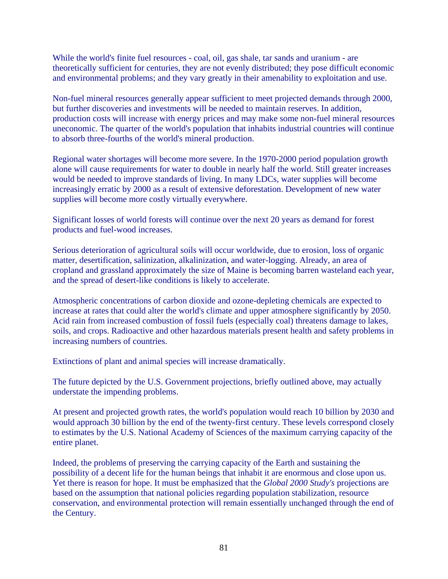While the world's finite fuel resources - coal, oil, gas shale, tar sands and uranium - are theoretically sufficient for centuries, they are not evenly distributed; they pose difficult economic and environmental problems; and they vary greatly in their amenability to exploitation and use.

Non-fuel mineral resources generally appear sufficient to meet projected demands through 2000, but further discoveries and investments will be needed to maintain reserves. In addition, production costs will increase with energy prices and may make some non-fuel mineral resources uneconomic. The quarter of the world's population that inhabits industrial countries will continue to absorb three-fourths of the world's mineral production.

Regional water shortages will become more severe. In the 1970-2000 period population growth alone will cause requirements for water to double in nearly half the world. Still greater increases would be needed to improve standards of living. In many LDCs, water supplies will become increasingly erratic by 2000 as a result of extensive deforestation. Development of new water supplies will become more costly virtually everywhere.

Significant losses of world forests will continue over the next 20 years as demand for forest products and fuel-wood increases.

Serious deterioration of agricultural soils will occur worldwide, due to erosion, loss of organic matter, desertification, salinization, alkalinization, and water-logging. Already, an area of cropland and grassland approximately the size of Maine is becoming barren wasteland each year, and the spread of desert-like conditions is likely to accelerate.

Atmospheric concentrations of carbon dioxide and ozone-depleting chemicals are expected to increase at rates that could alter the world's climate and upper atmosphere significantly by 2050. Acid rain from increased combustion of fossil fuels (especially coal) threatens damage to lakes, soils, and crops. Radioactive and other hazardous materials present health and safety problems in increasing numbers of countries.

Extinctions of plant and animal species will increase dramatically.

The future depicted by the U.S. Government projections, briefly outlined above, may actually understate the impending problems.

At present and projected growth rates, the world's population would reach 10 billion by 2030 and would approach 30 billion by the end of the twenty-first century. These levels correspond closely to estimates by the U.S. National Academy of Sciences of the maximum carrying capacity of the entire planet.

Indeed, the problems of preserving the carrying capacity of the Earth and sustaining the possibility of a decent life for the human beings that inhabit it are enormous and close upon us. Yet there is reason for hope. It must be emphasized that the *Global 2000 Study's* projections are based on the assumption that national policies regarding population stabilization, resource conservation, and environmental protection will remain essentially unchanged through the end of the Century.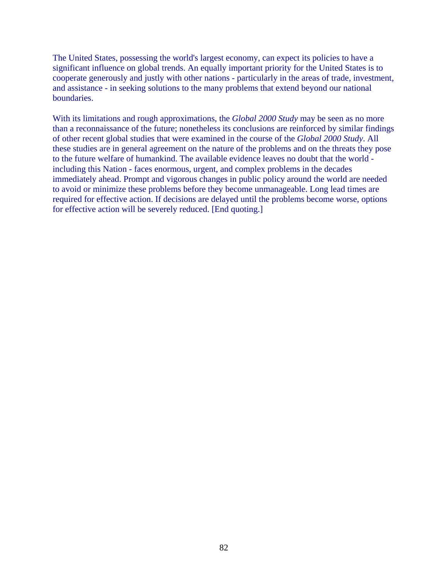The United States, possessing the world's largest economy, can expect its policies to have a significant influence on global trends. An equally important priority for the United States is to cooperate generously and justly with other nations - particularly in the areas of trade, investment, and assistance - in seeking solutions to the many problems that extend beyond our national boundaries.

With its limitations and rough approximations, the *Global 2000 Study* may be seen as no more than a reconnaissance of the future; nonetheless its conclusions are reinforced by similar findings of other recent global studies that were examined in the course of the *Global 2000 Study*. All these studies are in general agreement on the nature of the problems and on the threats they pose to the future welfare of humankind. The available evidence leaves no doubt that the world including this Nation - faces enormous, urgent, and complex problems in the decades immediately ahead. Prompt and vigorous changes in public policy around the world are needed to avoid or minimize these problems before they become unmanageable. Long lead times are required for effective action. If decisions are delayed until the problems become worse, options for effective action will be severely reduced. [End quoting.]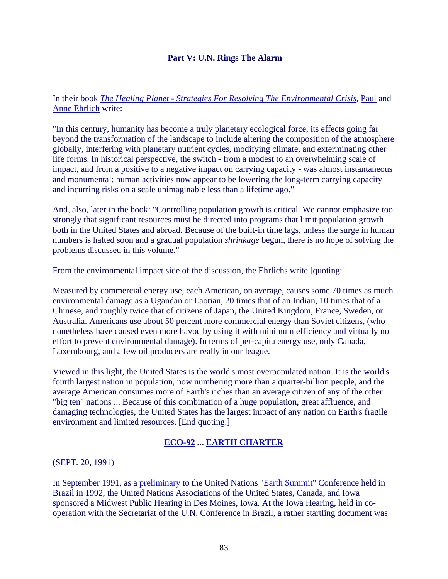### **Part V: U.N. Rings The Alarm**

In their book *[The Healing Planet - Strategies For Resolving The Environmental Crisis](http://www.amazon.com/exec/obidos/tg/stores/detail/-/books/0201632241/reviews/102-2634798-0808142)*, [Paul](http://www.overpopulation.com/paul_ehrlich.html) and [Anne Ehrlich](http://dieoff.org/page27.htm) write:

"In this century, humanity has become a truly planetary ecological force, its effects going far beyond the transformation of the landscape to include altering the composition of the atmosphere globally, interfering with planetary nutrient cycles, modifying climate, and exterminating other life forms. In historical perspective, the switch - from a modest to an overwhelming scale of impact, and from a positive to a negative impact on carrying capacity - was almost instantaneous and monumental: human activities now appear to be lowering the long-term carrying capacity and incurring risks on a scale unimaginable less than a lifetime ago."

And, also, later in the book: "Controlling population growth is critical. We cannot emphasize too strongly that significant resources must be directed into programs that limit population growth both in the United States and abroad. Because of the built-in time lags, unless the surge in human numbers is halted soon and a gradual population *shrinkage* begun, there is no hope of solving the problems discussed in this volume."

From the environmental impact side of the discussion, the Ehrlichs write [quoting:]

Measured by commercial energy use, each American, on average, causes some 70 times as much environmental damage as a Ugandan or Laotian, 20 times that of an Indian, 10 times that of a Chinese, and roughly twice that of citizens of Japan, the United Kingdom, France, Sweden, or Australia. Americans use about 50 percent more commercial energy than Soviet citizens, (who nonetheless have caused even more havoc by using it with minimum efficiency and virtually no effort to prevent environmental damage). In terms of per-capita energy use, only Canada, Luxembourg, and a few oil producers are really in our league.

Viewed in this light, the United States is the world's most overpopulated nation. It is the world's fourth largest nation in population, now numbering more than a quarter-billion people, and the average American consumes more of Earth's riches than an average citizen of any of the other "big ten" nations ... Because of this combination of a huge population, great affluence, and damaging technologies, the United States has the largest impact of any nation on Earth's fragile environment and limited resources. [End quoting.]

### **[ECO-92](http://www.wealth4freedom.com/truth/chapter6.htm) ... [EARTH CHARTER](http://www.sierraclub.ca/national/earth-charter/earth-charter-final.html)**

(SEPT. 20, 1991)

In September 1991, as a [preliminary](http://wealth4freedom.com/population.html) to the United Nations ["Earth Summit](http://www.ecouncil.ac.cr/ftp/riodoc.htm)" Conference held in Brazil in 1992, the United Nations Associations of the United States, Canada, and Iowa sponsored a Midwest Public Hearing in Des Moines, Iowa. At the Iowa Hearing, held in cooperation with the Secretariat of the U.N. Conference in Brazil, a rather startling document was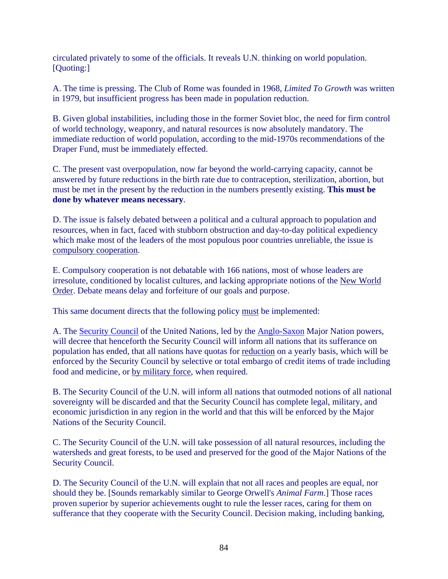circulated privately to some of the officials. It reveals U.N. thinking on world population. [Quoting:]

A. The time is pressing. The Club of Rome was founded in 1968, *Limited To Growth* was written in 1979, but insufficient progress has been made in population reduction.

B. Given global instabilities, including those in the former Soviet bloc, the need for firm control of world technology, weaponry, and natural resources is now absolutely mandatory. The immediate reduction of world population, according to the mid-1970s recommendations of the Draper Fund, must be immediately effected.

C. The present vast overpopulation, now far beyond the world-carrying capacity, cannot be answered by future reductions in the birth rate due to contraception, sterilization, abortion, but must be met in the present by the reduction in the numbers presently existing. **This must be done by whatever means necessary**.

D. The issue is falsely debated between a political and a cultural approach to population and resources, when in fact, faced with stubborn obstruction and day-to-day political expediency which make most of the leaders of the most populous poor countries unreliable, the issue is compulsory cooperation.

E. Compulsory cooperation is not debatable with 166 nations, most of whose leaders are irresolute, conditioned by localist cultures, and lacking appropriate notions of the New World Order. Debate means delay and forfeiture of our goals and purpose.

This same document directs that the following policy must be implemented:

A. The [Security Council](http://www.un.org/Overview/Organs/sc.html) of the United Nations, led by the [Anglo-Saxon](http://www.georgetown.edu/labyrinth/subjects/british_isles/anglo-saxon/anglo-saxon.html) Major Nation powers, will decree that henceforth the Security Council will inform all nations that its sufferance on population has ended, that all nations have quotas for reduction on a yearly basis, which will be enforced by the Security Council by selective or total embargo of credit items of trade including food and medicine, or by military force, when required.

B. The Security Council of the U.N. will inform all nations that outmoded notions of all national sovereignty will be discarded and that the Security Council has complete legal, military, and economic jurisdiction in any region in the world and that this will be enforced by the Major Nations of the Security Council.

C. The Security Council of the U.N. will take possession of all natural resources, including the watersheds and great forests, to be used and preserved for the good of the Major Nations of the Security Council.

D. The Security Council of the U.N. will explain that not all races and peoples are equal, nor should they be. [Sounds remarkably similar to George Orwell's *Animal Farm*.] Those races proven superior by superior achievements ought to rule the lesser races, caring for them on sufferance that they cooperate with the Security Council. Decision making, including banking,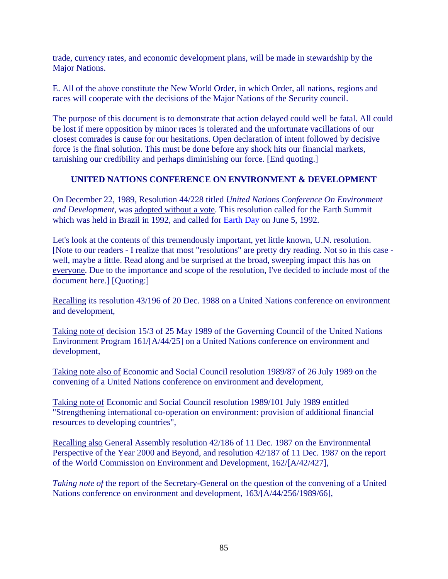trade, currency rates, and economic development plans, will be made in stewardship by the Major Nations.

E. All of the above constitute the New World Order, in which Order, all nations, regions and races will cooperate with the decisions of the Major Nations of the Security council.

The purpose of this document is to demonstrate that action delayed could well be fatal. All could be lost if mere opposition by minor races is tolerated and the unfortunate vacillations of our closest comrades is cause for our hesitations. Open declaration of intent followed by decisive force is the final solution. This must be done before any shock hits our financial markets, tarnishing our credibility and perhaps diminishing our force. [End quoting.]

### **UNITED NATIONS CONFERENCE ON ENVIRONMENT & DEVELOPMENT**

On December 22, 1989, Resolution 44/228 titled *United Nations Conference On Environment and Development*, was adopted without a vote. This resolution called for the Earth Summit which was held in Brazil in 1992, and called for [Earth Day](http://www.earthsite.org/day.htm) on June 5, 1992.

Let's look at the contents of this tremendously important, yet little known, U.N. resolution. [Note to our readers - I realize that most "resolutions" are pretty dry reading. Not so in this case well, maybe a little. Read along and be surprised at the broad, sweeping impact this has on everyone. Due to the importance and scope of the resolution, I've decided to include most of the document here.] [Quoting:]

Recalling its resolution 43/196 of 20 Dec. 1988 on a United Nations conference on environment and development,

Taking note of decision 15/3 of 25 May 1989 of the Governing Council of the United Nations Environment Program 161/[A/44/25] on a United Nations conference on environment and development,

Taking note also of Economic and Social Council resolution 1989/87 of 26 July 1989 on the convening of a United Nations conference on environment and development,

Taking note of Economic and Social Council resolution 1989/101 July 1989 entitled "Strengthening international co-operation on environment: provision of additional financial resources to developing countries",

Recalling also General Assembly resolution 42/186 of 11 Dec. 1987 on the Environmental Perspective of the Year 2000 and Beyond, and resolution 42/187 of 11 Dec. 1987 on the report of the World Commission on Environment and Development, 162/[A/42/427],

*Taking note of* the report of the Secretary-General on the question of the convening of a United Nations conference on environment and development, 163/[A/44/256/1989/66],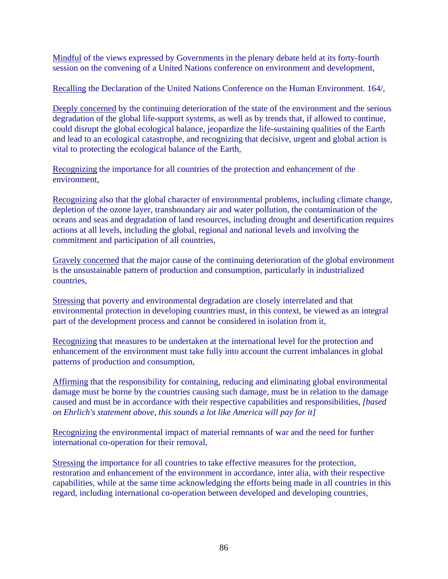Mindful of the views expressed by Governments in the plenary debate held at its forty-fourth session on the convening of a United Nations conference on environment and development,

Recalling the Declaration of the United Nations Conference on the Human Environment. 164/,

Deeply concerned by the continuing deterioration of the state of the environment and the serious degradation of the global life-support systems, as well as by trends that, if allowed to continue, could disrupt the global ecological balance, jeopardize the life-sustaining qualities of the Earth and lead to an ecological catastrophe, and recognizing that decisive, urgent and global action is vital to protecting the ecological balance of the Earth,

Recognizing the importance for all countries of the protection and enhancement of the environment,

Recognizing also that the global character of environmental problems, including climate change, depletion of the ozone layer, transboundary air and water pollution, the contamination of the oceans and seas and degradation of land resources, including drought and desertification requires actions at all levels, including the global, regional and national levels and involving the commitment and participation of all countries,

Gravely concerned that the major cause of the continuing deterioration of the global environment is the unsustainable pattern of production and consumption, particularly in industrialized countries,

Stressing that poverty and environmental degradation are closely interrelated and that environmental protection in developing countries must, in this context, be viewed as an integral part of the development process and cannot be considered in isolation from it,

Recognizing that measures to be undertaken at the international level for the protection and enhancement of the environment must take fully into account the current imbalances in global patterns of production and consumption,

Affirming that the responsibility for containing, reducing and eliminating global environmental damage must be borne by the countries causing such damage, must be in relation to the damage caused and must be in accordance with their respective capabilities and responsibilities, *[based on Ehrlich's statement above, this sounds a lot like America will pay for it]*

Recognizing the environmental impact of material remnants of war and the need for further international co-operation for their removal,

Stressing the importance for all countries to take effective measures for the protection, restoration and enhancement of the environment in accordance, inter alia, with their respective capabilities, while at the same time acknowledging the efforts being made in all countries in this regard, including international co-operation between developed and developing countries,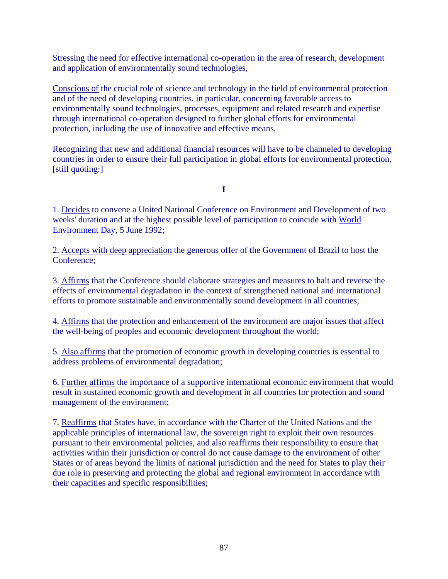Stressing the need for effective international co-operation in the area of research, development and application of environmentally sound technologies,

Conscious of the crucial role of science and technology in the field of environmental protection and of the need of developing countries, in particular, concerning favorable access to environmentally sound technologies, processes, equipment and related research and expertise through international co-operation designed to further global efforts for environmental protection, including the use of innovative and effective means,

Recognizing that new and additional financial resources will have to be channeled to developing countries in order to ensure their full participation in global efforts for environmental protection, [still quoting:]

**I**

1. Decides to convene a United National Conference on Environment and Development of two weeks' duration and at the highest possible level of participation to coincide with [World](http://www.epa.gov/INFOTERRA/wed.htm) [Environment Day,](http://www.epa.gov/INFOTERRA/wed.htm) 5 June 1992;

2. Accepts with deep appreciation the generous offer of the Government of Brazil to host the Conference;

3. Affirms that the Conference should elaborate strategies and measures to halt and reverse the effects of environmental degradation in the context of strengthened national and international efforts to promote sustainable and environmentally sound development in all countries;

4. Affirms that the protection and enhancement of the environment are major issues that affect the well-being of peoples and economic development throughout the world;

5. Also affirms that the promotion of economic growth in developing countries is essential to address problems of environmental degradation;

6. Further affirms the importance of a supportive international economic environment that would result in sustained economic growth and development in all countries for protection and sound management of the environment;

7. Reaffirms that States have, in accordance with the Charter of the United Nations and the applicable principles of international law, the sovereign right to exploit their own resources pursuant to their environmental policies, and also reaffirms their responsibility to ensure that activities within their jurisdiction or control do not cause damage to the environment of other States or of areas beyond the limits of national jurisdiction and the need for States to play their due role in preserving and protecting the global and regional environment in accordance with their capacities and specific responsibilities;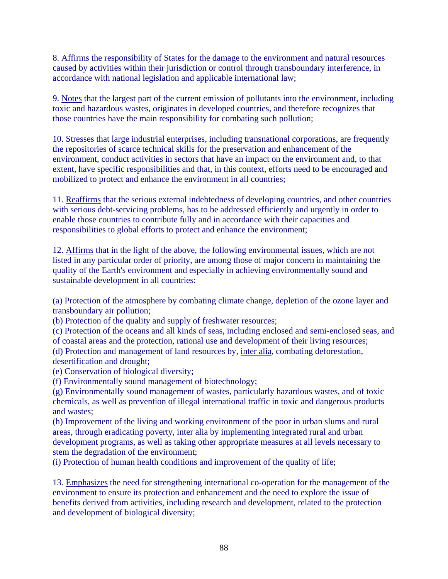8. Affirms the responsibility of States for the damage to the environment and natural resources caused by activities within their jurisdiction or control through transboundary interference, in accordance with national legislation and applicable international law;

9. Notes that the largest part of the current emission of pollutants into the environment, including toxic and hazardous wastes, originates in developed countries, and therefore recognizes that those countries have the main responsibility for combating such pollution;

10. Stresses that large industrial enterprises, including transnational corporations, are frequently the repositories of scarce technical skills for the preservation and enhancement of the environment, conduct activities in sectors that have an impact on the environment and, to that extent, have specific responsibilities and that, in this context, efforts need to be encouraged and mobilized to protect and enhance the environment in all countries;

11. Reaffirms that the serious external indebtedness of developing countries, and other countries with serious debt-servicing problems, has to be addressed efficiently and urgently in order to enable those countries to contribute fully and in accordance with their capacities and responsibilities to global efforts to protect and enhance the environment;

12. Affirms that in the light of the above, the following environmental issues, which are not listed in any particular order of priority, are among those of major concern in maintaining the quality of the Earth's environment and especially in achieving environmentally sound and sustainable development in all countries:

(a) Protection of the atmosphere by combating climate change, depletion of the ozone layer and transboundary air pollution;

(b) Protection of the quality and supply of freshwater resources;

(c) Protection of the oceans and all kinds of seas, including enclosed and semi-enclosed seas, and of coastal areas and the protection, rational use and development of their living resources;

(d) Protection and management of land resources by, inter alia, combating deforestation, desertification and drought;

(e) Conservation of biological diversity;

(f) Environmentally sound management of biotechnology;

(g) Environmentally sound management of wastes, particularly hazardous wastes, and of toxic chemicals, as well as prevention of illegal international traffic in toxic and dangerous products and wastes;

(h) Improvement of the living and working environment of the poor in urban slums and rural areas, through eradicating poverty, inter alia by implementing integrated rural and urban development programs, as well as taking other appropriate measures at all levels necessary to stem the degradation of the environment;

(i) Protection of human health conditions and improvement of the quality of life;

13. Emphasizes the need for strengthening international co-operation for the management of the environment to ensure its protection and enhancement and the need to explore the issue of benefits derived from activities, including research and development, related to the protection and development of biological diversity;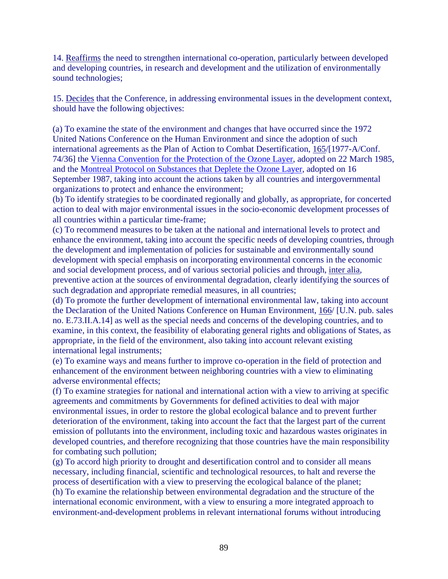14. Reaffirms the need to strengthen international co-operation, particularly between developed and developing countries, in research and development and the utilization of environmentally sound technologies;

15. Decides that the Conference, in addressing environmental issues in the development context, should have the following objectives:

(a) To examine the state of the environment and changes that have occurred since the 1972 United Nations Conference on the Human Environment and since the adoption of such international agreements as the Plan of Action to Combat Desertification, 165/[1977-A/Conf. 74/36] the [Vienna Convention for the Protection of the Ozone Layer,](http://www.greenpeace.org/%7Eintlaw/vien-htm.html) adopted on 22 March 1985, and the [Montreal Protocol on Substances that Deplete the Ozone Layer](http://www.greenpeace.org/%7Eintlaw/mont-htm.html), adopted on 16 September 1987, taking into account the actions taken by all countries and intergovernmental organizations to protect and enhance the environment;

(b) To identify strategies to be coordinated regionally and globally, as appropriate, for concerted action to deal with major environmental issues in the socio-economic development processes of all countries within a particular time-frame;

(c) To recommend measures to be taken at the national and international levels to protect and enhance the environment, taking into account the specific needs of developing countries, through the development and implementation of policies for sustainable and environmentally sound development with special emphasis on incorporating environmental concerns in the economic and social development process, and of various sectorial policies and through, inter alia, preventive action at the sources of environmental degradation, clearly identifying the sources of such degradation and appropriate remedial measures, in all countries;

(d) To promote the further development of international environmental law, taking into account the Declaration of the United Nations Conference on Human Environment, 166/ [U.N. pub. sales no. E.73.II.A.14] as well as the special needs and concerns of the developing countries, and to examine, in this context, the feasibility of elaborating general rights and obligations of States, as appropriate, in the field of the environment, also taking into account relevant existing international legal instruments;

(e) To examine ways and means further to improve co-operation in the field of protection and enhancement of the environment between neighboring countries with a view to eliminating adverse environmental effects;

(f) To examine strategies for national and international action with a view to arriving at specific agreements and commitments by Governments for defined activities to deal with major environmental issues, in order to restore the global ecological balance and to prevent further deterioration of the environment, taking into account the fact that the largest part of the current emission of pollutants into the environment, including toxic and hazardous wastes originates in developed countries, and therefore recognizing that those countries have the main responsibility for combating such pollution;

(g) To accord high priority to drought and desertification control and to consider all means necessary, including financial, scientific and technological resources, to halt and reverse the process of desertification with a view to preserving the ecological balance of the planet; (h) To examine the relationship between environmental degradation and the structure of the international economic environment, with a view to ensuring a more integrated approach to environment-and-development problems in relevant international forums without introducing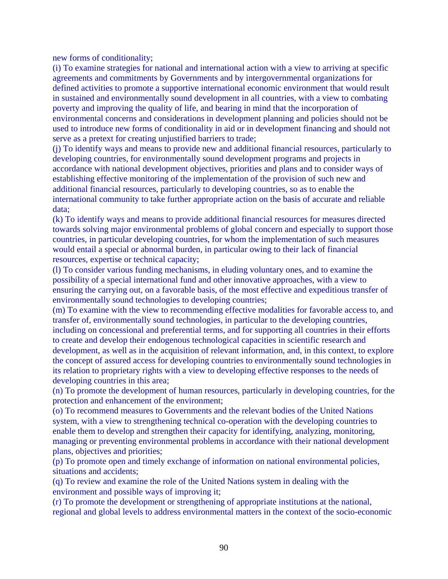new forms of conditionality;

(i) To examine strategies for national and international action with a view to arriving at specific agreements and commitments by Governments and by intergovernmental organizations for defined activities to promote a supportive international economic environment that would result in sustained and environmentally sound development in all countries, with a view to combating poverty and improving the quality of life, and bearing in mind that the incorporation of environmental concerns and considerations in development planning and policies should not be used to introduce new forms of conditionality in aid or in development financing and should not serve as a pretext for creating unjustified barriers to trade;

(j) To identify ways and means to provide new and additional financial resources, particularly to developing countries, for environmentally sound development programs and projects in accordance with national development objectives, priorities and plans and to consider ways of establishing effective monitoring of the implementation of the provision of such new and additional financial resources, particularly to developing countries, so as to enable the international community to take further appropriate action on the basis of accurate and reliable data;

(k) To identify ways and means to provide additional financial resources for measures directed towards solving major environmental problems of global concern and especially to support those countries, in particular developing countries, for whom the implementation of such measures would entail a special or abnormal burden, in particular owing to their lack of financial resources, expertise or technical capacity;

(l) To consider various funding mechanisms, in eluding voluntary ones, and to examine the possibility of a special international fund and other innovative approaches, with a view to ensuring the carrying out, on a favorable basis, of the most effective and expeditious transfer of environmentally sound technologies to developing countries;

(m) To examine with the view to recommending effective modalities for favorable access to, and transfer of, environmentally sound technologies, in particular to the developing countries, including on concessional and preferential terms, and for supporting all countries in their efforts to create and develop their endogenous technological capacities in scientific research and development, as well as in the acquisition of relevant information, and, in this context, to explore the concept of assured access for developing countries to environmentally sound technologies in its relation to proprietary rights with a view to developing effective responses to the needs of developing countries in this area;

(n) To promote the development of human resources, particularly in developing countries, for the protection and enhancement of the environment;

(o) To recommend measures to Governments and the relevant bodies of the United Nations system, with a view to strengthening technical co-operation with the developing countries to enable them to develop and strengthen their capacity for identifying, analyzing, monitoring, managing or preventing environmental problems in accordance with their national development plans, objectives and priorities;

(p) To promote open and timely exchange of information on national environmental policies, situations and accidents;

(q) To review and examine the role of the United Nations system in dealing with the environment and possible ways of improving it;

(r) To promote the development or strengthening of appropriate institutions at the national, regional and global levels to address environmental matters in the context of the socio-economic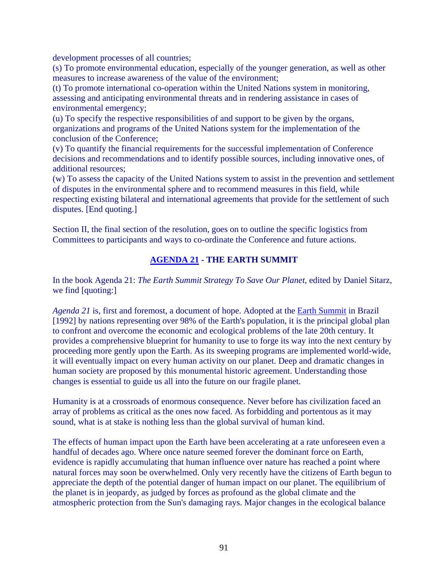development processes of all countries;

(s) To promote environmental education, especially of the younger generation, as well as other measures to increase awareness of the value of the environment;

(t) To promote international co-operation within the United Nations system in monitoring, assessing and anticipating environmental threats and in rendering assistance in cases of environmental emergency;

(u) To specify the respective responsibilities of and support to be given by the organs, organizations and programs of the United Nations system for the implementation of the conclusion of the Conference;

(v) To quantify the financial requirements for the successful implementation of Conference decisions and recommendations and to identify possible sources, including innovative ones, of additional resources;

(w) To assess the capacity of the United Nations system to assist in the prevention and settlement of disputes in the environmental sphere and to recommend measures in this field, while respecting existing bilateral and international agreements that provide for the settlement of such disputes. [End quoting.]

Section II, the final section of the resolution, goes on to outline the specific logistics from Committees to participants and ways to co-ordinate the Conference and future actions.

# **[AGENDA 21](http://www.un.org/esa/earthsummit) - THE EARTH SUMMIT**

In the book Agenda 21: *The Earth Summit Strategy To Save Our Planet*, edited by Daniel Sitarz, we find [quoting:]

*Agenda 21* is, first and foremost, a document of hope. Adopted at the [Earth Summit](http://www.georgetown.edu/centers/woodstock/report/r-fea28.htm) in Brazil [1992] by nations representing over 98% of the Earth's population, it is the principal global plan to confront and overcome the economic and ecological problems of the late 20th century. It provides a comprehensive blueprint for humanity to use to forge its way into the next century by proceeding more gently upon the Earth. As its sweeping programs are implemented world-wide, it will eventually impact on every human activity on our planet. Deep and dramatic changes in human society are proposed by this monumental historic agreement. Understanding those changes is essential to guide us all into the future on our fragile planet.

Humanity is at a crossroads of enormous consequence. Never before has civilization faced an array of problems as critical as the ones now faced. As forbidding and portentous as it may sound, what is at stake is nothing less than the global survival of human kind.

The effects of human impact upon the Earth have been accelerating at a rate unforeseen even a handful of decades ago. Where once nature seemed forever the dominant force on Earth, evidence is rapidly accumulating that human influence over nature has reached a point where natural forces may soon be overwhelmed. Only very recently have the citizens of Earth begun to appreciate the depth of the potential danger of human impact on our planet. The equilibrium of the planet is in jeopardy, as judged by forces as profound as the global climate and the atmospheric protection from the Sun's damaging rays. Major changes in the ecological balance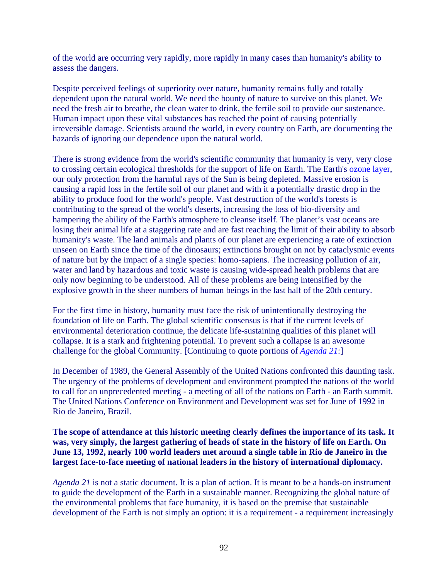of the world are occurring very rapidly, more rapidly in many cases than humanity's ability to assess the dangers.

Despite perceived feelings of superiority over nature, humanity remains fully and totally dependent upon the natural world. We need the bounty of nature to survive on this planet. We need the fresh air to breathe, the clean water to drink, the fertile soil to provide our sustenance. Human impact upon these vital substances has reached the point of causing potentially irreversible damage. Scientists around the world, in every country on Earth, are documenting the hazards of ignoring our dependence upon the natural world.

There is strong evidence from the world's scientific community that humanity is very, very close to crossing certain ecological thresholds for the support of life on Earth. The Earth's [ozone layer](http://vest.gu.se:70/1s/ozone), our only protection from the harmful rays of the Sun is being depleted. Massive erosion is causing a rapid loss in the fertile soil of our planet and with it a potentially drastic drop in the ability to produce food for the world's people. Vast destruction of the world's forests is contributing to the spread of the world's deserts, increasing the loss of bio-diversity and hampering the ability of the Earth's atmosphere to cleanse itself. The planet's vast oceans are losing their animal life at a staggering rate and are fast reaching the limit of their ability to absorb humanity's waste. The land animals and plants of our planet are experiencing a rate of extinction unseen on Earth since the time of the dinosaurs; extinctions brought on not by cataclysmic events of nature but by the impact of a single species: homo-sapiens. The increasing pollution of air, water and land by hazardous and toxic waste is causing wide-spread health problems that are only now beginning to be understood. All of these problems are being intensified by the explosive growth in the sheer numbers of human beings in the last half of the 20th century.

For the first time in history, humanity must face the risk of unintentionally destroying the foundation of life on Earth. The global scientific consensus is that if the current levels of environmental deterioration continue, the delicate life-sustaining qualities of this planet will collapse. It is a stark and frightening potential. To prevent such a collapse is an awesome challenge for the global Community. [Continuing to quote portions of *[Agenda 21](http://www.igc.apc.org/habitat/agenda21/index.html)*:]

In December of 1989, the General Assembly of the United Nations confronted this daunting task. The urgency of the problems of development and environment prompted the nations of the world to call for an unprecedented meeting - a meeting of all of the nations on Earth - an Earth summit. The United Nations Conference on Environment and Development was set for June of 1992 in Rio de Janeiro, Brazil.

**The scope of attendance at this historic meeting clearly defines the importance of its task. It was, very simply, the largest gathering of heads of state in the history of life on Earth. On June 13, 1992, nearly 100 world leaders met around a single table in Rio de Janeiro in the largest face-to-face meeting of national leaders in the history of international diplomacy.**

*Agenda 21* is not a static document. It is a plan of action. It is meant to be a hands-on instrument to guide the development of the Earth in a sustainable manner. Recognizing the global nature of the environmental problems that face humanity, it is based on the premise that sustainable development of the Earth is not simply an option: it is a requirement - a requirement increasingly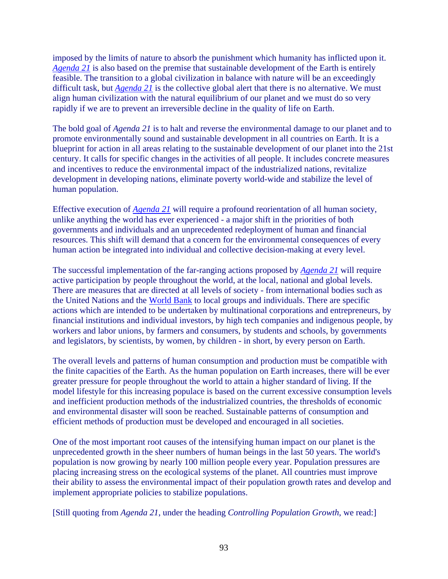imposed by the limits of nature to absorb the punishment which humanity has inflicted upon it. *[Agenda 21](http://www.un.org/esa/earthsummit/ga97nat.htm)* is also based on the premise that sustainable development of the Earth is entirely feasible. The transition to a global civilization in balance with nature will be an exceedingly difficult task, but *[Agenda 21](http://iisd1.iisd.ca/rio+5/agenda/roadto.htm)* is the collective global alert that there is no alternative. We must align human civilization with the natural equilibrium of our planet and we must do so very rapidly if we are to prevent an irreversible decline in the quality of life on Earth.

The bold goal of *Agenda 21* is to halt and reverse the environmental damage to our planet and to promote environmentally sound and sustainable development in all countries on Earth. It is a blueprint for action in all areas relating to the sustainable development of our planet into the 21st century. It calls for specific changes in the activities of all people. It includes concrete measures and incentives to reduce the environmental impact of the industrialized nations, revitalize development in developing nations, eliminate poverty world-wide and stabilize the level of human population.

Effective execution of *[Agenda 21](http://www.un.org/esa/agenda21/natlinfo/)* will require a profound reorientation of all human society, unlike anything the world has ever experienced - a major shift in the priorities of both governments and individuals and an unprecedented redeployment of human and financial resources. This shift will demand that a concern for the environmental consequences of every human action be integrated into individual and collective decision-making at every level.

The successful implementation of the far-ranging actions proposed by *[Agenda 21](http://ecoethics.net/ops/ops-006.htm)* will require active participation by people throughout the world, at the local, national and global levels. There are measures that are directed at all levels of society - from international bodies such as the United Nations and the [World Bank](http://www.worldbank.org/) to local groups and individuals. There are specific actions which are intended to be undertaken by multinational corporations and entrepreneurs, by financial institutions and individual investors, by high tech companies and indigenous people, by workers and labor unions, by farmers and consumers, by students and schools, by governments and legislators, by scientists, by women, by children - in short, by every person on Earth.

The overall levels and patterns of human consumption and production must be compatible with the finite capacities of the Earth. As the human population on Earth increases, there will be ever greater pressure for people throughout the world to attain a higher standard of living. If the model lifestyle for this increasing populace is based on the current excessive consumption levels and inefficient production methods of the industrialized countries, the thresholds of economic and environmental disaster will soon be reached. Sustainable patterns of consumption and efficient methods of production must be developed and encouraged in all societies.

One of the most important root causes of the intensifying human impact on our planet is the unprecedented growth in the sheer numbers of human beings in the last 50 years. The world's population is now growing by nearly 100 million people every year. Population pressures are placing increasing stress on the ecological systems of the planet. All countries must improve their ability to assess the environmental impact of their population growth rates and develop and implement appropriate policies to stabilize populations.

[Still quoting from *Agenda 21*, under the heading *Controlling Population Growth*, we read:]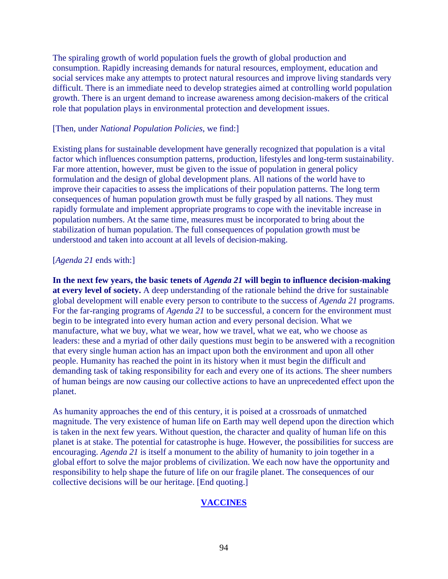The spiraling growth of world population fuels the growth of global production and consumption. Rapidly increasing demands for natural resources, employment, education and social services make any attempts to protect natural resources and improve living standards very difficult. There is an immediate need to develop strategies aimed at controlling world population growth. There is an urgent demand to increase awareness among decision-makers of the critical role that population plays in environmental protection and development issues.

#### [Then, under *National Population Policies*, we find:]

Existing plans for sustainable development have generally recognized that population is a vital factor which influences consumption patterns, production, lifestyles and long-term sustainability. Far more attention, however, must be given to the issue of population in general policy formulation and the design of global development plans. All nations of the world have to improve their capacities to assess the implications of their population patterns. The long term consequences of human population growth must be fully grasped by all nations. They must rapidly formulate and implement appropriate programs to cope with the inevitable increase in population numbers. At the same time, measures must be incorporated to bring about the stabilization of human population. The full consequences of population growth must be understood and taken into account at all levels of decision-making.

#### [*Agenda 21* ends with:]

**In the next few years, the basic tenets of** *Agenda 21* **will begin to influence decision-making at every level of society.** A deep understanding of the rationale behind the drive for sustainable global development will enable every person to contribute to the success of *Agenda 21* programs. For the far-ranging programs of *Agenda 21* to be successful, a concern for the environment must begin to be integrated into every human action and every personal decision. What we manufacture, what we buy, what we wear, how we travel, what we eat, who we choose as leaders: these and a myriad of other daily questions must begin to be answered with a recognition that every single human action has an impact upon both the environment and upon all other people. Humanity has reached the point in its history when it must begin the difficult and demanding task of taking responsibility for each and every one of its actions. The sheer numbers of human beings are now causing our collective actions to have an unprecedented effect upon the planet.

As humanity approaches the end of this century, it is poised at a crossroads of unmatched magnitude. The very existence of human life on Earth may well depend upon the direction which is taken in the next few years. Without question, the character and quality of human life on this planet is at stake. The potential for catastrophe is huge. However, the possibilities for success are encouraging. *Agenda 21* is itself a monument to the ability of humanity to join together in a global effort to solve the major problems of civilization. We each now have the opportunity and responsibility to help shape the future of life on our fragile planet. The consequences of our collective decisions will be our heritage. [End quoting.]

# **[VACCINES](http://members.aol.com/Tauwillow/index.htm)**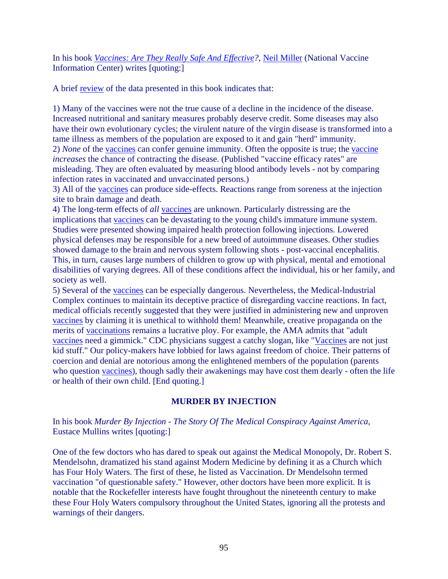In his book *[Vaccines: Are They Really Safe And Effective?](http://herbsfirst.com/discriptions/Vaccines.html)*, [Neil Miller](http://www.songsforhispeople.org/vaccine.html) (National Vaccine Information Center) writes [quoting:]

A brief [review](http://www.linkny.com/%7Ecivitas/page204.html) of the data presented in this book indicates that:

1) Many of the vaccines were not the true cause of a decline in the incidence of the disease. Increased nutritional and sanitary measures probably deserve credit. Some diseases may also have their own evolutionary cycles; the virulent nature of the virgin disease is transformed into a tame illness as members of the population are exposed to it and gain "herd" immunity. 2) *None* of the [vaccines](http://gulfwarvets.com/board/board/messages/2668.html) can confer genuine immunity. Often the opposite is true; the [vaccine](http://www.geocities.com/HotSprings/1158/NOSODES.HTM) *increases* the chance of contracting the disease. (Published "vaccine efficacy rates" are misleading. They are often evaluated by measuring blood antibody levels - not by comparing infection rates in vaccinated and unvaccinated persons.)

3) All of the [vaccines](http://www.nccn.net/%7Ewwithin/vaccine.htm) can produce side-effects. Reactions range from soreness at the injection site to brain damage and death.

4) The long-term effects of *all* [vaccines](http://www.webaxs.net/%7Enoel/vaccine.htm) are unknown. Particularly distressing are the implications that [vaccines](http://childvaccinesinjury.homestead.com/Links.html) can be devastating to the young child's immature immune system. Studies were presented showing impaired health protection following injections. Lowered physical defenses may be responsible for a new breed of autoimmune diseases. Other studies showed damage to the brain and nervous system following shots - post-vaccinal encephalitis. This, in turn, causes large numbers of children to grow up with physical, mental and emotional disabilities of varying degrees. All of these conditions affect the individual, his or her family, and society as well.

5) Several of the [vaccines](http://www.whale.to/vaccines.html) can be especially dangerous. Nevertheless, the Medical-lndustrial Complex continues to maintain its deceptive practice of disregarding vaccine reactions. In fact, medical officials recently suggested that they were justified in administering new and unproven [vaccines](http://www.compassionatesouls.com/chickenpox.html) by claiming it is unethical to withhold them! Meanwhile, creative propaganda on the merits of [vaccinations](http://home.sprynet.com/%7Egyrene/ribbon.htm) remains a lucrative ploy. For example, the AMA admits that "adult [vaccines](http://www.mindspring.com/%7Eschlafly/vac/vacclink.htm) need a gimmick." CDC physicians suggest a catchy slogan, like ["Vaccines](http://home.iae.nl/users/lightnet/health/vaccination.htm) are not just kid stuff." Our policy-makers have lobbied for laws against freedom of choice. Their patterns of coercion and denial are notorious among the enlightened members of the population (parents who question [vaccines\)](http://www.access1.net/via/PETS/pets.htm), though sadly their awakenings may have cost them dearly - often the life or health of their own child. [End quoting.]

#### **MURDER BY INJECTION**

In his book *Murder By Injection - The Story Of The Medical Conspiracy Against America*, Eustace Mullins writes [quoting:]

One of the few doctors who has dared to speak out against the Medical Monopoly, Dr. Robert S. Mendelsohn, dramatized his stand against Modern Medicine by defining it as a Church which has Four Holy Waters. The first of these, he listed as Vaccination. Dr Mendelsohn termed vaccination "of questionable safety." However, other doctors have been more explicit. It is notable that the Rockefeller interests have fought throughout the nineteenth century to make these Four Holy Waters compulsory throughout the United States, ignoring all the protests and warnings of their dangers.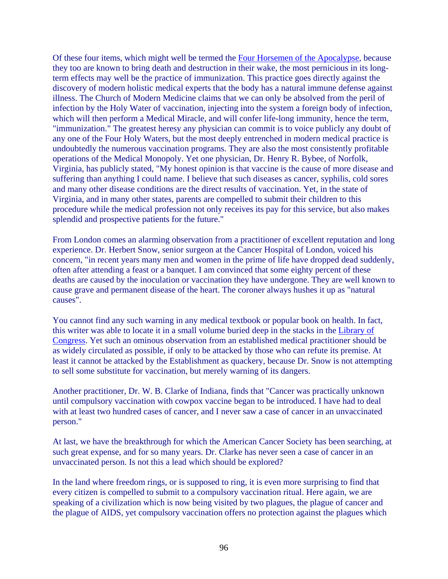Of these four items, which might well be termed the [Four Horsemen of the Apocalypse,](http://www.graceandtruth.net/tracts/fourhorsemenapocalypse.htm) because they too are known to bring death and destruction in their wake, the most pernicious in its longterm effects may well be the practice of immunization. This practice goes directly against the discovery of modern holistic medical experts that the body has a natural immune defense against illness. The Church of Modern Medicine claims that we can only be absolved from the peril of infection by the Holy Water of vaccination, injecting into the system a foreign body of infection, which will then perform a Medical Miracle, and will confer life-long immunity, hence the term, "immunization." The greatest heresy any physician can commit is to voice publicly any doubt of any one of the Four Holy Waters, but the most deeply entrenched in modern medical practice is undoubtedly the numerous vaccination programs. They are also the most consistently profitable operations of the Medical Monopoly. Yet one physician, Dr. Henry R. Bybee, of Norfolk, Virginia, has publicly stated, "My honest opinion is that vaccine is the cause of more disease and suffering than anything I could name. I believe that such diseases as cancer, syphilis, cold sores and many other disease conditions are the direct results of vaccination. Yet, in the state of Virginia, and in many other states, parents are compelled to submit their children to this procedure while the medical profession not only receives its pay for this service, but also makes splendid and prospective patients for the future."

From London comes an alarming observation from a practitioner of excellent reputation and long experience. Dr. Herbert Snow, senior surgeon at the Cancer Hospital of London, voiced his concern, "in recent years many men and women in the prime of life have dropped dead suddenly, often after attending a feast or a banquet. I am convinced that some eighty percent of these deaths are caused by the inoculation or vaccination they have undergone. They are well known to cause grave and permanent disease of the heart. The coroner always hushes it up as "natural causes".

You cannot find any such warning in any medical textbook or popular book on health. In fact, this writer was able to locate it in a small volume buried deep in the stacks in the [Library of](http://www.loc.gov/)  [Congress.](http://www.loc.gov/) Yet such an ominous observation from an established medical practitioner should be as widely circulated as possible, if only to be attacked by those who can refute its premise. At least it cannot be attacked by the Establishment as quackery, because Dr. Snow is not attempting to sell some substitute for vaccination, but merely warning of its dangers.

Another practitioner, Dr. W. B. Clarke of Indiana, finds that "Cancer was practically unknown until compulsory vaccination with cowpox vaccine began to be introduced. I have had to deal with at least two hundred cases of cancer, and I never saw a case of cancer in an unvaccinated person."

At last, we have the breakthrough for which the American Cancer Society has been searching, at such great expense, and for so many years. Dr. Clarke has never seen a case of cancer in an unvaccinated person. Is not this a lead which should be explored?

In the land where freedom rings, or is supposed to ring, it is even more surprising to find that every citizen is compelled to submit to a compulsory vaccination ritual. Here again, we are speaking of a civilization which is now being visited by two plagues, the plague of cancer and the plague of AIDS, yet compulsory vaccination offers no protection against the plagues which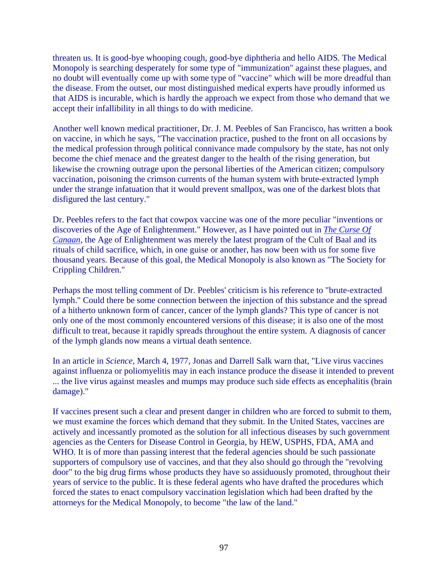threaten us. It is good-bye whooping cough, good-bye diphtheria and hello AIDS. The Medical Monopoly is searching desperately for some type of "immunization" against these plagues, and no doubt will eventually come up with some type of "vaccine" which will be more dreadful than the disease. From the outset, our most distinguished medical experts have proudly informed us that AIDS is incurable, which is hardly the approach we expect from those who demand that we accept their infallibility in all things to do with medicine.

Another well known medical practitioner, Dr. J. M. Peebles of San Francisco, has written a book on vaccine, in which he says, "The vaccination practice, pushed to the front on all occasions by the medical profession through political connivance made compulsory by the state, has not only become the chief menace and the greatest danger to the health of the rising generation, but likewise the crowning outrage upon the personal liberties of the American citizen; compulsory vaccination, poisoning the crimson currents of the human system with brute-extracted lymph under the strange infatuation that it would prevent smallpox, was one of the darkest blots that disfigured the last century."

Dr. Peebles refers to the fact that cowpox vaccine was one of the more peculiar "inventions or discoveries of the Age of Enlightenment." However, as I have pointed out in *[The Curse Of](http://www.consumerhealthbooks.com/ctlg/3052.html)  [Canaan](http://www.consumerhealthbooks.com/ctlg/3052.html)*, the Age of Enlightenment was merely the latest program of the Cult of Baal and its rituals of child sacrifice, which, in one guise or another, has now been with us for some five thousand years. Because of this goal, the Medical Monopoly is also known as "The Society for Crippling Children."

Perhaps the most telling comment of Dr. Peebles' criticism is his reference to "brute-extracted lymph." Could there be some connection between the injection of this substance and the spread of a hitherto unknown form of cancer, cancer of the lymph glands? This type of cancer is not only one of the most commonly encountered versions of this disease; it is also one of the most difficult to treat, because it rapidly spreads throughout the entire system. A diagnosis of cancer of the lymph glands now means a virtual death sentence.

In an article in *Science*, March 4, 1977, Jonas and Darrell Salk warn that, "Live virus vaccines against influenza or poliomyelitis may in each instance produce the disease it intended to prevent ... the live virus against measles and mumps may produce such side effects as encephalitis (brain damage)."

If vaccines present such a clear and present danger in children who are forced to submit to them, we must examine the forces which demand that they submit. In the United States, vaccines are actively and incessantly promoted as the solution for all infectious diseases by such government agencies as the Centers for Disease Control in Georgia, by HEW, USPHS, FDA, AMA and WHO. It is of more than passing interest that the federal agencies should be such passionate supporters of compulsory use of vaccines, and that they also should go through the "revolving door" to the big drug firms whose products they have so assiduously promoted, throughout their years of service to the public. It is these federal agents who have drafted the procedures which forced the states to enact compulsory vaccination legislation which had been drafted by the attorneys for the Medical Monopoly, to become "the law of the land."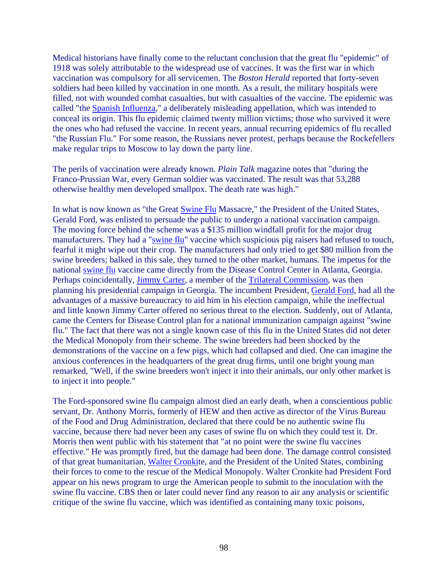Medical historians have finally come to the reluctant conclusion that the great flu "epidemic" of 1918 was solely attributable to the widespread use of vaccines. It was the first war in which vaccination was compulsory for all servicemen. The *Boston Herald* reported that forty-seven soldiers had been killed by vaccination in one month. As a result, the military hospitals were filled, not with wounded combat casualties, but with casualties of the vaccine. The epidemic was called "the [Spanish Influenza,](http://www.haverford.edu/biology/edwards/disease/viral_essays/cummingsvirus.htm)" a deliberately misleading appellation, which was intended to conceal its origin. This flu epidemic claimed twenty million victims; those who survived it were the ones who had refused the vaccine. In recent years, annual recurring epidemics of flu recalled "the Russian Flu." For some reason, the Russians never protest, perhaps because the Rockefellers make regular trips to Moscow to lay down the party line.

The perils of vaccination were already known. *Plain Talk* magazine notes that "during the Franco-Prussian War, every German soldier was vaccinated. The result was that 53,288 otherwise healthy men developed smallpox. The death rate was high."

In what is now known as "the Great [Swine Flu](http://www.press.uchicago.edu/cgi-bin/hfs.cgi/99/johns_hopkins/81047590.ctl) Massacre," the President of the United States, Gerald Ford, was enlisted to persuade the public to undergo a national vaccination campaign. The moving force behind the scheme was a \$135 million windfall profit for the major drug manufacturers. They had a "[swine flu](http://www.hsph.harvard.edu/Organizations/ddil/swineflu.html)" vaccine which suspicious pig raisers had refused to touch, fearful it might wipe out their crop. The manufacturers had only tried to get \$80 million from the swine breeders; balked in this sale, they turned to the other market, humans. The impetus for the national [swine flu](http://www.haverford.edu/biology/edwards/disease/viral_essays/warnervirus.htm) vaccine came directly from the Disease Control Center in Atlanta, Georgia. Perhaps coincidentally, [Jimmy Carter,](http://www.interlink-cafe.com/uspresidents/39th.htm) a member of the Trilateral Commission, was then planning his presidential campaign in Georgia. The incumbent President, [Gerald Ford,](http://www.pbs.org/newshour/character/essays/ford.html) had all the advantages of a massive bureaucracy to aid him in his election campaign, while the ineffectual and little known Jimmy Carter offered no serious threat to the election. Suddenly, out of Atlanta, came the Centers for Disease Control plan for a national immunization campaign against "swine flu." The fact that there was not a single known case of this flu in the United States did not deter the Medical Monopoly from their scheme. The swine breeders had been shocked by the demonstrations of the vaccine on a few pigs, which had collapsed and died. One can imagine the anxious conferences in the headquarters of the great drug firms, until one bright young man remarked, "Well, if the swine breeders won't inject it into their animals, our only other market is to inject it into people."

The Ford-sponsored swine flu campaign almost died an early death, when a conscientious public servant, Dr. Anthony Morris, formerly of HEW and then active as director of the Virus Bureau of the Food and Drug Administration, declared that there could be no authentic swine flu vaccine, because there had never been any cases of swine flu on which they could test it. Dr. Morris then went public with his statement that "at no point were the swine flu vaccines effective." He was promptly fired, but the damage had been done. The damage control consisted of that great humanitarian, [Walter Cronki](http://lonestar.utsa.edu/jchampag/cronkite.html)te, and the President of the United States, combining their forces to come to the rescue of the Medical Monopoly. Walter Cronkite had President Ford appear on his news program to urge the American people to submit to the inoculation with the swine flu vaccine. CBS then or later could never find any reason to air any analysis or scientific critique of the swine flu vaccine, which was identified as containing many toxic poisons,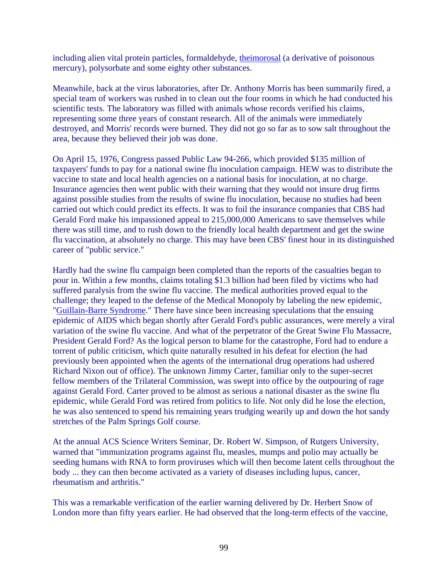including alien vital protein particles, formaldehyde, [theimorosal](http://www.ummah.net.pk/dajjal/vaccine1.html) (a derivative of poisonous mercury), polysorbate and some eighty other substances.

Meanwhile, back at the virus laboratories, after Dr. Anthony Morris has been summarily fired, a special team of workers was rushed in to clean out the four rooms in which he had conducted his scientific tests. The laboratory was filled with animals whose records verified his claims, representing some three years of constant research. All of the animals were immediately destroyed, and Morris' records were burned. They did not go so far as to sow salt throughout the area, because they believed their job was done.

On April 15, 1976, Congress passed Public Law 94-266, which provided \$135 million of taxpayers' funds to pay for a national swine flu inoculation campaign. HEW was to distribute the vaccine to state and local health agencies on a national basis for inoculation, at no charge. Insurance agencies then went public with their warning that they would not insure drug firms against possible studies from the results of swine flu inoculation, because no studies had been carried out which could predict its effects. It was to foil the insurance companies that CBS had Gerald Ford make his impassioned appeal to 215,000,000 Americans to save themselves while there was still time, and to rush down to the friendly local health department and get the swine flu vaccination, at absolutely no charge. This may have been CBS' finest hour in its distinguished career of "public service."

Hardly had the swine flu campaign been completed than the reports of the casualties began to pour in. Within a few months, claims totaling \$1.3 billion had been filed by victims who had suffered paralysis from the swine flu vaccine. The medical authorities proved equal to the challenge; they leaped to the defense of the Medical Monopoly by labeling the new epidemic, "[Guillain-Barre Syndrome](http://www.adsnet.com/jsteinhi/html/gbs/gbsmain.html)." There have since been increasing speculations that the ensuing epidemic of AIDS which began shortly after Gerald Ford's public assurances, were merely a viral variation of the swine flu vaccine. And what of the perpetrator of the Great Swine Flu Massacre, President Gerald Ford? As the logical person to blame for the catastrophe, Ford had to endure a torrent of public criticism, which quite naturally resulted in his defeat for election (he had previously been appointed when the agents of the international drug operations had ushered Richard Nixon out of office). The unknown Jimmy Carter, familiar only to the super-secret fellow members of the Trilateral Commission, was swept into office by the outpouring of rage against Gerald Ford. Carter proved to be almost as serious a national disaster as the swine flu epidemic, while Gerald Ford was retired from politics to life. Not only did he lose the election, he was also sentenced to spend his remaining years trudging wearily up and down the hot sandy stretches of the Palm Springs Golf course.

At the annual ACS Science Writers Seminar, Dr. Robert W. Simpson, of Rutgers University, warned that "immunization programs against flu, measles, mumps and polio may actually be seeding humans with RNA to form proviruses which will then become latent cells throughout the body ... they can then become activated as a variety of diseases including lupus, cancer, rheumatism and arthritis."

This was a remarkable verification of the earlier warning delivered by Dr. Herbert Snow of London more than fifty years earlier. He had observed that the long-term effects of the vaccine,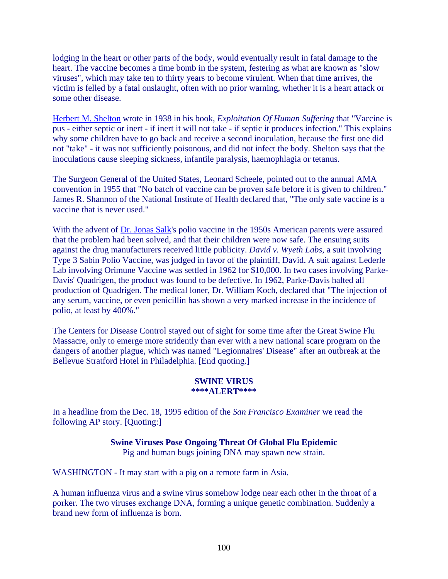lodging in the heart or other parts of the body, would eventually result in fatal damage to the heart. The vaccine becomes a time bomb in the system, festering as what are known as "slow viruses", which may take ten to thirty years to become virulent. When that time arrives, the victim is felled by a fatal onslaught, often with no prior warning, whether it is a heart attack or some other disease.

[Herbert M. Shelton](http://www.rawfood.com/shelton.html) wrote in 1938 in his book, *Exploitation Of Human Suffering* that "Vaccine is pus - either septic or inert - if inert it will not take - if septic it produces infection." This explains why some children have to go back and receive a second inoculation, because the first one did not "take" - it was not sufficiently poisonous, and did not infect the body. Shelton says that the inoculations cause sleeping sickness, infantile paralysis, haemophlagia or tetanus.

The Surgeon General of the United States, Leonard Scheele, pointed out to the annual AMA convention in 1955 that "No batch of vaccine can be proven safe before it is given to children." James R. Shannon of the National Institute of Health declared that, "The only safe vaccine is a vaccine that is never used."

With the advent of [Dr. Jonas Salk](http://www.time.com/time/time100/scientist/profile/salk.html)'s polio vaccine in the 1950s American parents were assured that the problem had been solved, and that their children were now safe. The ensuing suits against the drug manufacturers received little publicity. *David v. Wyeth Labs*, a suit involving Type 3 Sabin Polio Vaccine, was judged in favor of the plaintiff, David. A suit against Lederle Lab involving Orimune Vaccine was settled in 1962 for \$10,000. In two cases involving Parke-Davis' Quadrigen, the product was found to be defective. In 1962, Parke-Davis halted all production of Quadrigen. The medical loner, Dr. William Koch, declared that "The injection of any serum, vaccine, or even penicillin has shown a very marked increase in the incidence of polio, at least by 400%."

The Centers for Disease Control stayed out of sight for some time after the Great Swine Flu Massacre, only to emerge more stridently than ever with a new national scare program on the dangers of another plague, which was named "Legionnaires' Disease" after an outbreak at the Bellevue Stratford Hotel in Philadelphia. [End quoting.]

#### **SWINE VIRUS \*\*\*\*ALERT\*\*\*\***

In a headline from the Dec. 18, 1995 edition of the *San Francisco Examiner* we read the following AP story. [Quoting:]

### **Swine Viruses Pose Ongoing Threat Of Global Flu Epidemic**

Pig and human bugs joining DNA may spawn new strain.

WASHINGTON - It may start with a pig on a remote farm in Asia.

A human influenza virus and a swine virus somehow lodge near each other in the throat of a porker. The two viruses exchange DNA, forming a unique genetic combination. Suddenly a brand new form of influenza is born.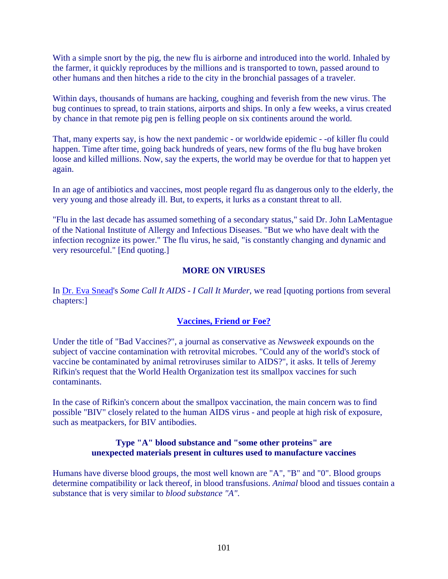With a simple snort by the pig, the new flu is airborne and introduced into the world. Inhaled by the farmer, it quickly reproduces by the millions and is transported to town, passed around to other humans and then hitches a ride to the city in the bronchial passages of a traveler.

Within days, thousands of humans are hacking, coughing and feverish from the new virus. The bug continues to spread, to train stations, airports and ships. In only a few weeks, a virus created by chance in that remote pig pen is felling people on six continents around the world.

That, many experts say, is how the next pandemic - or worldwide epidemic - -of killer flu could happen. Time after time, going back hundreds of years, new forms of the flu bug have broken loose and killed millions. Now, say the experts, the world may be overdue for that to happen yet again.

In an age of antibiotics and vaccines, most people regard flu as dangerous only to the elderly, the very young and those already ill. But, to experts, it lurks as a constant threat to all.

"Flu in the last decade has assumed something of a secondary status," said Dr. John LaMentague of the National Institute of Allergy and Infectious Diseases. "But we who have dealt with the infection recognize its power." The flu virus, he said, "is constantly changing and dynamic and very resourceful." [End quoting.]

#### **MORE ON VIRUSES**

In [Dr. Eva Snead](http://www.aumpublications.qpg.com/)'s *Some Call It AIDS - I Call It Murder*, we read [quoting portions from several chapters:]

### **[Vaccines, Friend or Foe?](http://www.garynull.com/issues/Vaccines/VaccinationActionFile.htm%22)**

Under the title of "Bad Vaccines?", a journal as conservative as *Newsweek* expounds on the subject of vaccine contamination with retrovital microbes. "Could any of the world's stock of vaccine be contaminated by animal retroviruses similar to AIDS?", it asks. It tells of Jeremy Rifkin's request that the World Health Organization test its smallpox vaccines for such contaminants.

In the case of Rifkin's concern about the smallpox vaccination, the main concern was to find possible "BIV" closely related to the human AIDS virus - and people at high risk of exposure, such as meatpackers, for BIV antibodies.

#### **Type "A" blood substance and "some other proteins" are unexpected materials present in cultures used to manufacture vaccines**

Humans have diverse blood groups, the most well known are "A", "B" and "0". Blood groups determine compatibility or lack thereof, in blood transfusions. *Animal* blood and tissues contain a substance that is very similar to *blood substance "A"*.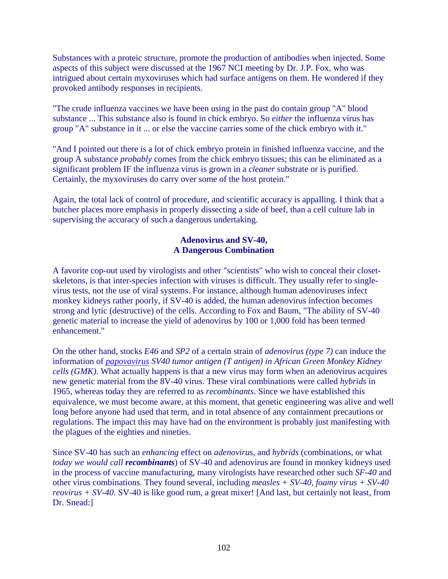Substances with a proteic structure, promote the production of antibodies when injected. Some aspects of this subject were discussed at the 1967 NCI meeting by Dr. J.P. Fox, who was intrigued about certain myxoviruses which had surface antigens on them. He wondered if they provoked antibody responses in recipients.

"The crude influenza vaccines we have been using in the past do contain group "A" blood substance ... This substance also is found in chick embryo. So *either* the influenza virus has group "A" substance in it ... or else the vaccine carries some of the chick embryo with it."

"And I pointed out there is a lot of chick embryo protein in finished influenza vaccine, and the group A substance *probably* comes from the chick embryo tissues; this can be eliminated as a significant problem IF the influenza virus is grown in a *cleaner* substrate or is purified. Certainly, the myxoviruses do carry over some of the host protein."

Again, the total lack of control of procedure, and scientific accuracy is appalling. I think that a butcher places more emphasis in properly dissecting a side of beef, than a cell culture lab in supervising the accuracy of such a dangerous undertaking.

# **Adenovirus and SV-40, A Dangerous Combination**

A favorite cop-out used by virologists and other "scientists" who wish to conceal their closetskeletons, is that inter-species infection with viruses is difficult. They usually refer to singlevirus tests, not the use of viral systems. For instance, although human adenoviruses infect monkey kidneys rather poorly, if SV-40 is added, the human adenovirus infection becomes strong and lytic (destructive) of the cells. According to Fox and Baum, "The ability of SV-40 genetic material to increase the yield of adenovirus by 100 or 1,000 fold has been termed enhancement."

On the other hand, stocks *E46* and *SP2* of a certain strain of *adenovirus (type 7)* can induce the information of *[papovavirus](http://206.124.248.65/default.asp?req=http://206.124.248.65/pubs/aidsline/1991/aug/M9180340.html) SV40 tumor antigen (T antigen) in African Green Monkey Kidney cells (GMK)*. What actually happens is that a new virus may form when an adenovirus acquires new genetic material from the 8V-40 virus. These viral combinations were called *hybrids* in 1965, whereas today they are referred to as *recombinants*. Since we have established this equivalence, we must become aware, at this moment, that genetic engineering was alive and well long before anyone had used that term, and in total absence of any containment precautions or regulations. The impact this may have had on the environment is probably just manifesting with the plagues of the eighties and nineties.

Since SV-40 has such an *enhancing* effect on *adenovirus*, and *hybrids* (combinations, or what *today we would call recombinants*) of SV-40 and adenovirus are found in monkey kidneys used in the process of vaccine manufacturing, many virologists have researched other such *SF-40* and other virus combinations. They found several, including *measles + SV-40, foamy virus + SV-40 reovirus + SV-40*. SV-40 is like good rum, a great mixer! [And last, but certainly not least, from Dr. Snead:]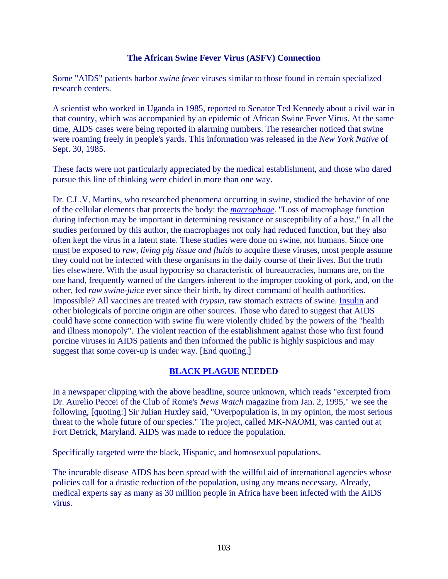#### **The African Swine Fever Virus (ASFV) Connection**

Some "AIDS" patients harbor *swine fever* viruses similar to those found in certain specialized research centers.

A scientist who worked in Uganda in 1985, reported to Senator Ted Kennedy about a civil war in that country, which was accompanied by an epidemic of African Swine Fever Virus. At the same time, AIDS cases were being reported in alarming numbers. The researcher noticed that swine were roaming freely in people's yards. This information was released in the *New York Native* of Sept. 30, 1985.

These facts were not particularly appreciated by the medical establishment, and those who dared pursue this line of thinking were chided in more than one way.

Dr. C.L.V. Martins, who researched phenomena occurring in swine, studied the behavior of one of the cellular elements that protects the body: the *[macrophage](http://wsrv.clas.virginia.edu/%7Erjh9u/macro.html)*. "Loss of macrophage function during infection may be important in determining resistance or susceptibility of a host." In all the studies performed by this author, the macrophages not only had reduced function, but they also often kept the virus in a latent state. These studies were done on swine, not humans. Since one must be exposed to *raw, living pig tissue and fluids* to acquire these viruses, most people assume they could not be infected with these organisms in the daily course of their lives. But the truth lies elsewhere. With the usual hypocrisy so characteristic of bureaucracies, humans are, on the one hand, frequently warned of the dangers inherent to the improper cooking of pork, and, on the other, fed *raw swine-juice* ever since their birth, by direct command of health authorities. Impossible? All vaccines are treated with *trypsin*, raw stomach extracts of swine. [Insulin](http://web.idirect.com/%7Ediscover/) and other biologicals of porcine origin are other sources. Those who dared to suggest that AIDS could have some connection with swine flu were violently chided by the powers of the "health and illness monopoly". The violent reaction of the establishment against those who first found porcine viruses in AIDS patients and then informed the public is highly suspicious and may suggest that some cover-up is under way. [End quoting.]

#### **[BLACK PLAGUE](http://www.byu.edu/ipt/projects/middleages/LifeTimes/Plague.html) NEEDED**

In a newspaper clipping with the above headline, source unknown, which reads "excerpted from Dr. Aurelio Peccei of the Club of Rome's *News Watch* magazine from Jan. 2, 1995," we see the following, [quoting:] Sir Julian Huxley said, "Overpopulation is, in my opinion, the most serious threat to the whole future of our species." The project, called MK-NAOMI, was carried out at Fort Detrick, Maryland. AIDS was made to reduce the population.

Specifically targeted were the black, Hispanic, and homosexual populations.

The incurable disease AIDS has been spread with the willful aid of international agencies whose policies call for a drastic reduction of the population, using any means necessary. Already, medical experts say as many as 30 million people in Africa have been infected with the AIDS virus.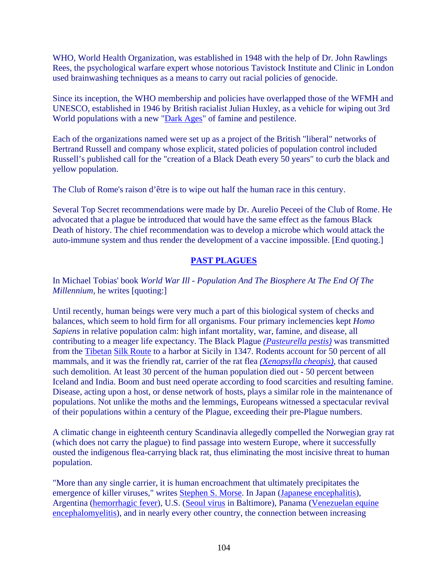WHO, World Health Organization, was established in 1948 with the help of Dr. John Rawlings Rees, the psychological warfare expert whose notorious Tavistock Institute and Clinic in London used brainwashing techniques as a means to carry out racial policies of genocide.

Since its inception, the WHO membership and policies have overlapped those of the WFMH and UNESCO, established in 1946 by British racialist Julian Huxley, as a vehicle for wiping out 3rd World populations with a new ["Dark Ages"](http://www.geocities.com/%7Ebetapisces/kingart/arthur6.htm) of famine and pestilence.

Each of the organizations named were set up as a project of the British "liberal" networks of Bertrand Russell and company whose explicit, stated policies of population control included Russell's published call for the "creation of a Black Death every 50 years" to curb the black and yellow population.

The Club of Rome's raison d'être is to wipe out half the human race in this century.

Several Top Secret recommendations were made by Dr. Aurelio Peceei of the Club of Rome. He advocated that a plague be introduced that would have the same effect as the famous Black Death of history. The chief recommendation was to develop a microbe which would attack the auto-immune system and thus render the development of a vaccine impossible. [End quoting.]

## **[PAST PLAGUES](http://www2.itexas.net/%7Ejburks/plague.htm%22)**

In Michael Tobias' book *World War Ill - Population And The Biosphere At The End Of The Millennium,* he writes [quoting:]

Until recently, human beings were very much a part of this biological system of checks and balances, which seem to hold firm for all organisms. Four primary inclemencies kept *Homo Sapiens* in relative population calm: high infant mortality, war, famine, and disease, all contributing to a meager life expectancy. The Black Plague *[\(Pasteurella pestis\)](http://yiqid.lcsd.wednet.edu/stu/Ray_M/The_Black_plague.html)* was transmitted from the [Tibetan](http://www.humboldt.edu/%7Egeog309i/ideas/raysilk.html) [Silk Route](http://www.china.trav.net/china/attractions/silkrd4.html) to a harbor at Sicily in 1347. Rodents account for 50 percent of all mammals, and it was the friendly rat, carrier of the rat flea *[\(Xenopsylla cheopis\)](http://www.cdc.gov/ncidod/dvbid/cheob6x4.htm)*, that caused such demolition. At least 30 percent of the human population died out - 50 percent between Iceland and India. Boom and bust need operate according to food scarcities and resulting famine. Disease, acting upon a host, or dense network of hosts, plays a similar role in the maintenance of populations. Not unlike the moths and the lemmings, Europeans witnessed a spectacular revival of their populations within a century of the Plague, exceeding their pre-Plague numbers.

A climatic change in eighteenth century Scandinavia allegedly compelled the Norwegian gray rat (which does not carry the plague) to find passage into western Europe, where it successfully ousted the indigenous flea-carrying black rat, thus eliminating the most incisive threat to human population.

"More than any single carrier, it is human encroachment that ultimately precipitates the emergence of killer viruses," writes [Stephen S. Morse.](http://www.netstoreusa.com/sabooks/019/0195104846.shtml) In Japan ([Japanese encephalitis\)](http://www.res.bbsrc.ac.uk/mirror/auz/ICTVdB/26014000.htm), Argentina [\(hemorrhagic fever](http://www.bartleby.com/65/he/hemorfev.html)), U.S. ([Seoul virus](http://www.res.bbsrc.ac.uk/mirror/auz/ICTVdB/11020100.htm) in Baltimore), Panama [\(Venezuelan equine](http://geo.arc.nasa.gov/esdstaff/health/projects/vee/veerpt1.html)  [encephalomyelitis](http://geo.arc.nasa.gov/esdstaff/health/projects/vee/veerpt1.html)), and in nearly every other country, the connection between increasing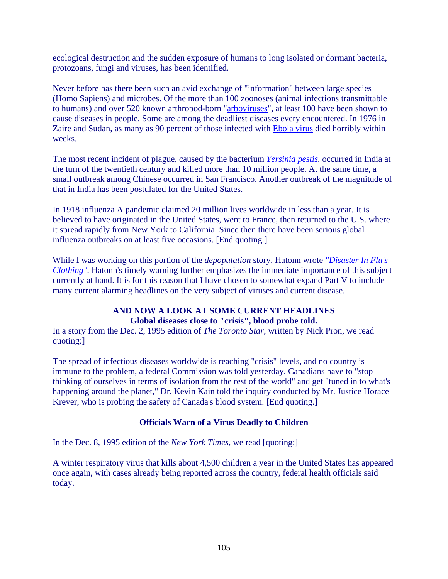ecological destruction and the sudden exposure of humans to long isolated or dormant bacteria, protozoans, fungi and viruses, has been identified.

Never before has there been such an avid exchange of "information" between large species (Homo Sapiens) and microbes. Of the more than 100 zoonoses (animal infections transmittable to humans) and over 520 known arthropod-born ["arboviruses"](http://www.cdc.gov/ncidod/dvbid/arbobr.htm), at least 100 have been shown to cause diseases in people. Some are among the deadliest diseases every encountered. In 1976 in Zaire and Sudan, as many as 90 percent of those infected with [Ebola virus](http://www.who.int/emc/diseases/ebola/ebolapic.html) died horribly within weeks.

The most recent incident of plague, caused by the bacterium *[Yersinia pestis](http://www.kcom.edu/faculty/chamberlain/Website/lectures/lecture/plague.htm)*, occurred in India at the turn of the twentieth century and killed more than 10 million people. At the same time, a small outbreak among Chinese occurred in San Francisco. Another outbreak of the magnitude of that in India has been postulated for the United States.

In 1918 influenza A pandemic claimed 20 million lives worldwide in less than a year. It is believed to have originated in the United States, went to France, then returned to the U.S. where it spread rapidly from New York to California. Since then there have been serious global influenza outbreaks on at least five occasions. [End quoting.]

While I was working on this portion of the *depopulation* story, Hatonn wrote *["Disaster In Flu's](http://geocities.com/missionstmichael/Flu.html)  [Clothing"](http://geocities.com/missionstmichael/Flu.html)*. Hatonn's timely warning further emphasizes the immediate importance of this subject currently at hand. It is for this reason that I have chosen to somewhat expand Part V to include many current alarming headlines on the very subject of viruses and current disease.

### **AND NOW A LOOK AT SOME CURRENT HEADLINES**

#### **Global diseases close to "crisis", blood probe told.**

In a story from the Dec. 2, 1995 edition of *The Toronto Star*, written by Nick Pron, we read quoting:]

The spread of infectious diseases worldwide is reaching "crisis" levels, and no country is immune to the problem, a federal Commission was told yesterday. Canadians have to "stop thinking of ourselves in terms of isolation from the rest of the world" and get "tuned in to what's happening around the planet," Dr. Kevin Kain told the inquiry conducted by Mr. Justice Horace Krever, who is probing the safety of Canada's blood system. [End quoting.]

### **Officials Warn of a Virus Deadly to Children**

In the Dec. 8, 1995 edition of the *New York Times*, we read [quoting:]

A winter respiratory virus that kills about 4,500 children a year in the United States has appeared once again, with cases already being reported across the country, federal health officials said today.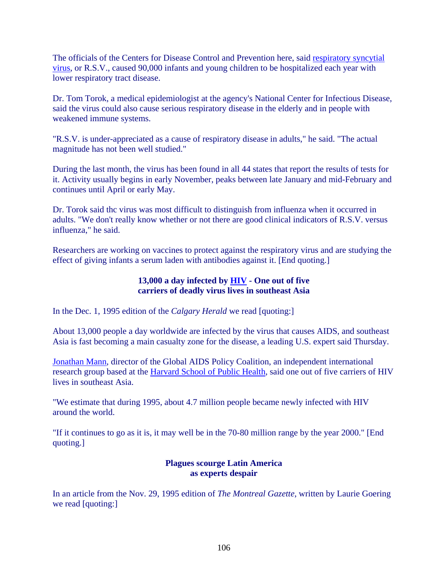The officials of the Centers for Disease Control and Prevention here, said [respiratory syncytial](http://www.icnpharm.com/pharma/whatrsv.htm)  [virus](http://www.icnpharm.com/pharma/whatrsv.htm), or R.S.V., caused 90,000 infants and young children to be hospitalized each year with lower respiratory tract disease.

Dr. Tom Torok, a medical epidemiologist at the agency's National Center for Infectious Disease, said the virus could also cause serious respiratory disease in the elderly and in people with weakened immune systems.

"R.S.V. is under-appreciated as a cause of respiratory disease in adults," he said. "The actual magnitude has not been well studied."

During the last month, the virus has been found in all 44 states that report the results of tests for it. Activity usually begins in early November, peaks between late January and mid-February and continues until April or early May.

Dr. Torok said thc virus was most difficult to distinguish from influenza when it occurred in adults. "We don't really know whether or not there are good clinical indicators of R.S.V. versus influenza," he said.

Researchers are working on vaccines to protect against the respiratory virus and are studying the effect of giving infants a serum laden with antibodies against it. [End quoting.]

### **13,000 a day infected by [HIV](http://hiv-web.lanl.gov/) - One out of five carriers of deadly virus lives in southeast Asia**

In the Dec. 1, 1995 edition of the *Calgary Herald* we read [quoting:]

About 13,000 people a day worldwide are infected by the virus that causes AIDS, and southeast Asia is fast becoming a main casualty zone for the disease, a leading U.S. expert said Thursday.

[Jonathan Mann,](http://www.civic.net/civic-values.archive/199809/msg00005.html) director of the Global AIDS Policy Coalition, an independent international research group based at the [Harvard School of Public Health,](http://www.hsph.harvard.edu/) said one out of five carriers of HIV lives in southeast Asia.

"We estimate that during 1995, about 4.7 million people became newly infected with HIV around the world.

"If it continues to go as it is, it may well be in the 70-80 million range by the year 2000." [End quoting.]

### **Plagues scourge Latin America as experts despair**

In an article from the Nov. 29, 1995 edition of *The Montreal Gazette*, written by Laurie Goering we read [quoting:]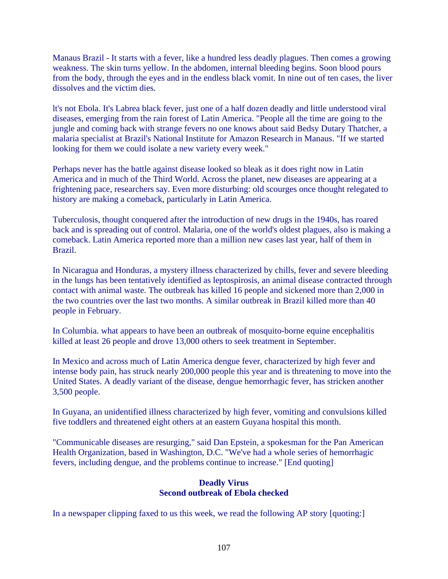Manaus Brazil - It starts with a fever, like a hundred less deadly plagues. Then comes a growing weakness. The skin turns yellow. In the abdomen, internal bleeding begins. Soon blood pours from the body, through the eyes and in the endless black vomit. In nine out of ten cases, the liver dissolves and the victim dies.

lt's not Ebola. It's Labrea black fever, just one of a half dozen deadly and little understood viral diseases, emerging from the rain forest of Latin America. "People all the time are going to the jungle and coming back with strange fevers no one knows about said Bedsy Dutary Thatcher, a malaria specialist at Brazil's National Institute for Amazon Research in Manaus. "If we started looking for them we could isolate a new variety every week."

Perhaps never has the battle against disease looked so bleak as it does right now in Latin America and in much of the Third World. Across the planet, new diseases are appearing at a frightening pace, researchers say. Even more disturbing: old scourges once thought relegated to history are making a comeback, particularly in Latin America.

Tuberculosis, thought conquered after the introduction of new drugs in the 1940s, has roared back and is spreading out of control. Malaria, one of the world's oldest plagues, also is making a comeback. Latin America reported more than a million new cases last year, half of them in Brazil.

In Nicaragua and Honduras, a mystery illness characterized by chills, fever and severe bleeding in the lungs has been tentatively identified as leptospirosis, an animal disease contracted through contact with animal waste. The outbreak has killed 16 people and sickened more than 2,000 in the two countries over the last two months. A similar outbreak in Brazil killed more than 40 people in February.

In Columbia. what appears to have been an outbreak of mosquito-borne equine encephalitis killed at least 26 people and drove 13,000 others to seek treatment in September.

In Mexico and across much of Latin America dengue fever, characterized by high fever and intense body pain, has struck nearly 200,000 people this year and is threatening to move into the United States. A deadly variant of the disease, dengue hemorrhagic fever, has stricken another 3,500 people.

In Guyana, an unidentified illness characterized by high fever, vomiting and convulsions killed five toddlers and threatened eight others at an eastern Guyana hospital this month.

"Communicable diseases are resurging," said Dan Epstein, a spokesman for the Pan American Health Organization, based in Washington, D.C. "We've had a whole series of hemorrhagic fevers, including dengue, and the problems continue to increase." [End quoting]

#### **Deadly Virus Second outbreak of Ebola checked**

In a newspaper clipping faxed to us this week, we read the following AP story [quoting:]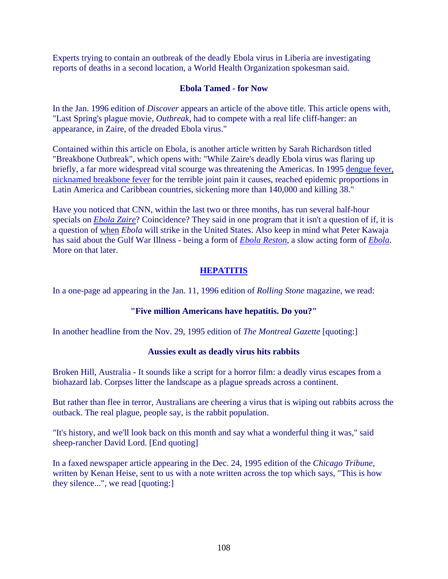Experts trying to contain an outbreak of the deadly Ebola virus in Liberia are investigating reports of deaths in a second location, a World Health Organization spokesman said.

### **Ebola Tamed - for Now**

In the Jan. 1996 edition of *Discover* appears an article of the above title. This article opens with, "Last Spring's plague movie, *Outbreak*, had to compete with a real life cliff-hanger: an appearance, in Zaire, of the dreaded Ebola virus."

Contained within this article on Ebola, is another article written by Sarah Richardson titled "Breakbone Outbreak", which opens with: "While Zaire's deadly Ebola virus was flaring up briefly, a far more widespread vital scourge was threatening the Americas. In 1995 [dengue fever,](http://www.lambtonhealth.on.ca/immunization/travel/dengue.htm)  [nicknamed breakbone fever](http://www.lambtonhealth.on.ca/immunization/travel/dengue.htm) for the terrible joint pain it causes, reached epidemic proportions in Latin America and Caribbean countries, sickening more than 140,000 and killing 38."

Have you noticed that CNN, within the last two or three months, has run several half-hour specials on *[Ebola Zaire](http://geo.arc.nasa.gov/sge/health/projects/ebola/ebola.html)*? Coincidence? They said in one program that it isn't a question of if, it is a question of when *Ebola* will strike in the United States. Also keep in mind what Peter Kawaja has said about the Gulf War Illness - being a form of *[Ebola Reston](http://www.who.int/disease-outbreak-news/n1996/april/n30apr1996.html)*, a slow acting form of *[Ebola](http://www.newsmax.com/archives/articles/2000/11/29/123520.shtml%22)*. More on that later.

## **[HEPATITIS](http://www.hepatitismag.com/)**

In a one-page ad appearing in the Jan. 11, 1996 edition of *Rolling Stone* magazine, we read:

### **"Five million Americans have hepatitis. Do you?"**

In another headline from the Nov. 29, 1995 edition of *The Montreal Gazette* [quoting:]

### **Aussies exult as deadly virus hits rabbits**

Broken Hill, Australia - It sounds like a script for a horror film: a deadly virus escapes from a biohazard lab. Corpses litter the landscape as a plague spreads across a continent.

But rather than flee in terror, Australians are cheering a virus that is wiping out rabbits across the outback. The real plague, people say, is the rabbit population.

"It's history, and we'll look back on this month and say what a wonderful thing it was," said sheep-rancher David Lord. [End quoting]

In a faxed newspaper article appearing in the Dec. 24, 1995 edition of the *Chicago Tribune*, written by Kenan Heise, sent to us with a note written across the top which says, "This is how they silence...", we read [quoting:]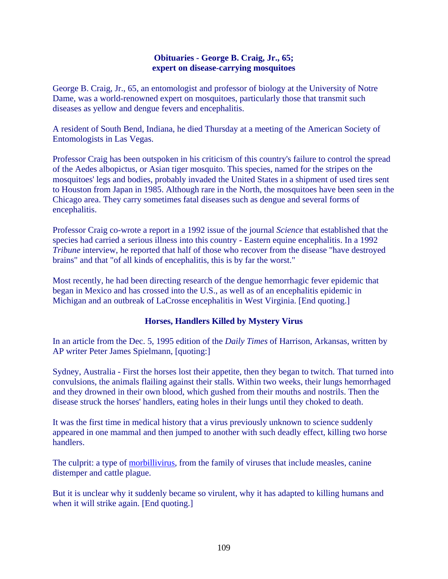#### **Obituaries - George B. Craig, Jr., 65; expert on disease-carrying mosquitoes**

George B. Craig, Jr., 65, an entomologist and professor of biology at the University of Notre Dame, was a world-renowned expert on mosquitoes, particularly those that transmit such diseases as yellow and dengue fevers and encephalitis.

A resident of South Bend, Indiana, he died Thursday at a meeting of the American Society of Entomologists in Las Vegas.

Professor Craig has been outspoken in his criticism of this country's failure to control the spread of the Aedes albopictus, or Asian tiger mosquito. This species, named for the stripes on the mosquitoes' legs and bodies, probably invaded the United States in a shipment of used tires sent to Houston from Japan in 1985. Although rare in the North, the mosquitoes have been seen in the Chicago area. They carry sometimes fatal diseases such as dengue and several forms of encephalitis.

Professor Craig co-wrote a report in a 1992 issue of the journal *Science* that established that the species had carried a serious illness into this country - Eastern equine encephalitis. In a 1992 *Tribune* interview, he reported that half of those who recover from the disease "have destroyed brains" and that "of all kinds of encephalitis, this is by far the worst."

Most recently, he had been directing research of the dengue hemorrhagic fever epidemic that began in Mexico and has crossed into the U.S., as well as of an encephalitis epidemic in Michigan and an outbreak of LaCrosse encephalitis in West Virginia. [End quoting.]

#### **Horses, Handlers Killed by Mystery Virus**

In an article from the Dec. 5, 1995 edition of the *Daily Times* of Harrison, Arkansas, written by AP writer Peter James Spielmann, [quoting:]

Sydney, Australia - First the horses lost their appetite, then they began to twitch. That turned into convulsions, the animals flailing against their stalls. Within two weeks, their lungs hemorrhaged and they drowned in their own blood, which gushed from their mouths and nostrils. Then the disease struck the horses' handlers, eating holes in their lungs until they choked to death.

It was the first time in medical history that a virus previously unknown to science suddenly appeared in one mammal and then jumped to another with such deadly effect, killing two horse handlers.

The culprit: a type of [morbillivirus,](http://www.qub.ac.uk/bb/pearle/morbil/MINDEX.HTM) from the family of viruses that include measles, canine distemper and cattle plague.

But it is unclear why it suddenly became so virulent, why it has adapted to killing humans and when it will strike again. [End quoting.]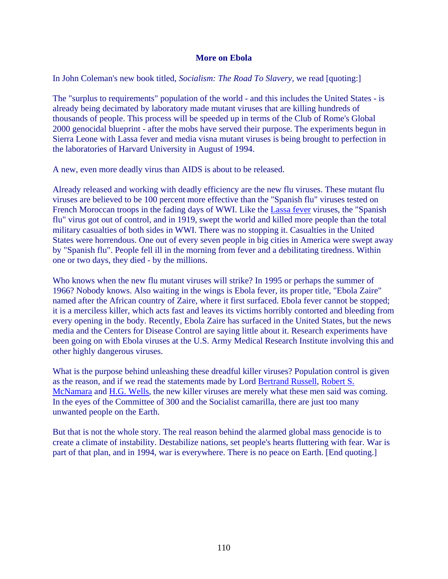#### **More on Ebola**

In John Coleman's new book titled, *Socialism: The Road To Slavery*, we read [quoting:]

The "surplus to requirements" population of the world - and this includes the United States - is already being decimated by laboratory made mutant viruses that are killing hundreds of thousands of people. This process will be speeded up in terms of the Club of Rome's Global 2000 genocidal blueprint - after the mobs have served their purpose. The experiments begun in Sierra Leone with Lassa fever and media visna mutant viruses is being brought to perfection in the laboratories of Harvard University in August of 1994.

A new, even more deadly virus than AIDS is about to be released.

Already released and working with deadly efficiency are the new flu viruses. These mutant flu viruses are believed to be 100 percent more effective than the "Spanish flu" viruses tested on French Moroccan troops in the fading days of WWI. Like the [Lassa fever](http://www.diseaseworld.com/lassa.htm) viruses, the "Spanish flu" virus got out of control, and in 1919, swept the world and killed more people than the total military casualties of both sides in WWI. There was no stopping it. Casualties in the United States were horrendous. One out of every seven people in big cities in America were swept away by "Spanish flu". People fell ill in the morning from fever and a debilitating tiredness. Within one or two days, they died - by the millions.

Who knows when the new flu mutant viruses will strike? In 1995 or perhaps the summer of 1966? Nobody knows. Also waiting in the wings is Ebola fever, its proper title, "Ebola Zaire" named after the African country of Zaire, where it first surfaced. Ebola fever cannot be stopped; it is a merciless killer, which acts fast and leaves its victims horribly contorted and bleeding from every opening in the body. Recently, Ebola Zaire has surfaced in the United States, but the news media and the Centers for Disease Control are saying little about it. Research experiments have been going on with Ebola viruses at the U.S. Army Medical Research Institute involving this and other highly dangerous viruses.

What is the purpose behind unleashing these dreadful killer viruses? Population control is given as the reason, and if we read the statements made by Lord [Bertrand Russell](http://www.users.drew.edu/%7Ejlenz/brtexts.html), [Robert S.](http://www.usis-israel.org.il/publish/press/whouse/archive/1997/october/wh21022.htm) [McNamara](http://www.usis-israel.org.il/publish/press/whouse/archive/1997/october/wh21022.htm) and [H.G. Wells,](http://www.kirjasto.sci.fi/hgwells.htm) the new killer viruses are merely what these men said was coming. In the eyes of the Committee of 300 and the Socialist camarilla, there are just too many unwanted people on the Earth.

But that is not the whole story. The real reason behind the alarmed global mass genocide is to create a climate of instability. Destabilize nations, set people's hearts fluttering with fear. War is part of that plan, and in 1994, war is everywhere. There is no peace on Earth. [End quoting.]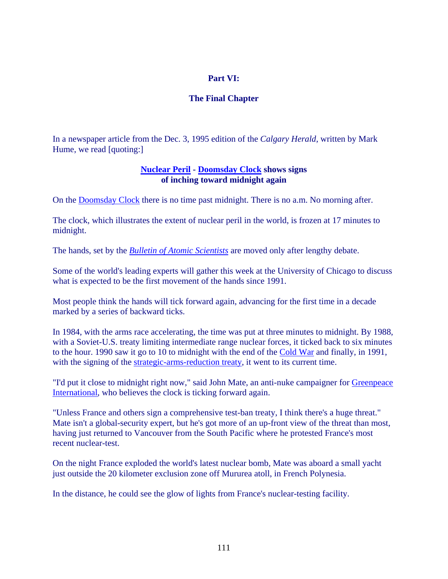### **Part VI:**

### **The Final Chapter**

In a newspaper article from the Dec. 3, 1995 edition of the *Calgary Herald*, written by Mark Hume, we read [quoting:]

#### **[Nuclear Peril](http://www.bullatomsci.org/issues/1999/nd99/nd99norris.html) - [Doomsday Clock](http://www.bullatomsci.org/clock/doomsdayclock.html) shows signs of inching toward midnight again**

On the [Doomsday Clock](http://www.bullatomsci.org/clock/nd95moore1.html) there is no time past midnight. There is no a.m. No morning after.

The clock, which illustrates the extent of nuclear peril in the world, is frozen at 17 minutes to midnight.

The hands, set by the *[Bulletin of Atomic Scientists](http://www.bullatomsci.org/clock.html)* are moved only after lengthy debate.

Some of the world's leading experts will gather this week at the University of Chicago to discuss what is expected to be the first movement of the hands since 1991.

Most people think the hands will tick forward again, advancing for the first time in a decade marked by a series of backward ticks.

In 1984, with the arms race accelerating, the time was put at three minutes to midnight. By 1988, with a Soviet-U.S. treaty limiting intermediate range nuclear forces, it ticked back to six minutes to the hour. 1990 saw it go to 10 to midnight with the end of the [Cold War](http://www.stmartin.edu/%7Edprice/cold.war.html) and finally, in 1991, with the signing of the [strategic-arms-reduction treaty,](http://www.fas.org/nuke/control/start1/index.html) it went to its current time.

"I'd put it close to midnight right now," said John Mate, an anti-nuke campaigner for [Greenpeace](http://www.greenpeace.org/home.shtml)  [International](http://www.greenpeace.org/home.shtml), who believes the clock is ticking forward again.

"Unless France and others sign a comprehensive test-ban treaty, I think there's a huge threat." Mate isn't a global-security expert, but he's got more of an up-front view of the threat than most, having just returned to Vancouver from the South Pacific where he protested France's most recent nuclear-test.

On the night France exploded the world's latest nuclear bomb, Mate was aboard a small yacht just outside the 20 kilometer exclusion zone off Mururea atoll, in French Polynesia.

In the distance, he could see the glow of lights from France's nuclear-testing facility.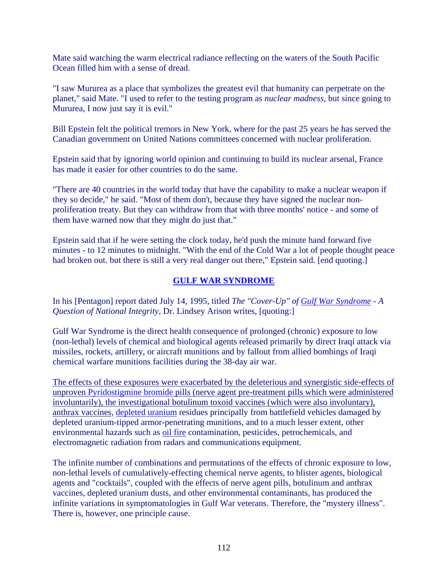Mate said watching the warm electrical radiance reflecting on the waters of the South Pacific Ocean filled him with a sense of dread.

"I saw Mururea as a place that symbolizes the greatest evil that humanity can perpetrate on the planet," said Mate. "I used to refer to the testing program as *nuclear madness*, but since going to Mururea, I now just say it is evil."

Bill Epstein felt the political tremors in New York, where for the past 25 years he has served the Canadian government on United Nations committees concerned with nuclear proliferation.

Epstein said that by ignoring world opinion and continuing to build its nuclear arsenal, France has made it easier for other countries to do the same.

"There are 40 countries in the world today that have the capability to make a nuclear weapon if they so decide," he said. "Most of them don't, because they have signed the nuclear nonproliferation treaty. But they can withdraw from that with three months' notice - and some of them have warned now that they might do just that."

Epstein said that if he were setting the clock today, he'd push the minute hand forward five minutes - to 12 minutes to midnight. "With the end of the Cold War a lot of people thought peace had broken out. but there is still a very real danger out there," Epstein said. [end quoting.]

### **[GULF WAR SYNDROME](http://www.trufax.org/menu/gulf.html)**

In his [Pentagon] report dated July 14, 1995, titled *The "Cover-Up" of [Gulf War Syndrome](http://vaccines.net/gulfwar.htm) - A Question of National Integrity*, Dr. Lindsey Arison writes, [quoting:]

Gulf War Syndrome is the direct health consequence of prolonged (chronic) exposure to low (non-lethal) levels of chemical and biological agents released primarily by direct Iraqi attack via missiles, rockets, artillery, or aircraft munitions and by fallout from allied bombings of Iraqi chemical warfare munitions facilities during the 38-day air war.

The effects of these exposures were exacerbated by the deleterious and synergistic side-effects of unproven [Pyridostigmine bromide](http://veterans.house.gov/hearings/schedule106/nov99/11-16-99/news.htm) pills (nerve agent pre-treatment pills which were administered involuntarily), the investigational botulinum toxoid vaccines (which were also involuntary), anthrax vaccines, [depleted uranium](http://bob.nap.edu/html/gulf_war/) residues principally from battlefield vehicles damaged by depleted uranium-tipped armor-penetrating munitions, and to a much lesser extent, other environmental hazards such as [oil fire](http://climate.gsfc.nasa.gov/%7Ecahalan/KuwaitFires/) contamination, pesticides, petrochemicals, and electromagnetic radiation from radars and communications equipment.

The infinite number of combinations and permutations of the effects of chronic exposure to low, non-lethal levels of cumulatively-effecting chemical nerve agents, to blister agents, biological agents and "cocktails", coupled with the effects of nerve agent pills, botulinum and anthrax vaccines, depleted uranium dusts, and other environmental contaminants, has produced the infinite variations in symptomatologies in Gulf War veterans. Therefore, the "mystery illness". There is, however, one principle cause.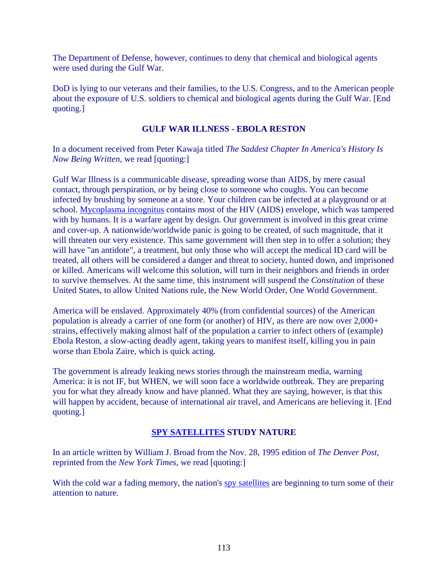The Department of Defense, however, continues to deny that chemical and biological agents were used during the Gulf War.

DoD is lying to our veterans and their families, to the U.S. Congress, and to the American people about the exposure of U.S. soldiers to chemical and biological agents during the Gulf War. [End quoting.]

### **GULF WAR ILLNESS - EBOLA RESTON**

In a document received from Peter Kawaja titled *The Saddest Chapter In America's History Is Now Being Written*, we read [quoting:]

Gulf War Illness is a communicable disease, spreading worse than AIDS, by mere casual contact, through perspiration, or by being close to someone who coughs. You can become infected by brushing by someone at a store. Your children can be infected at a playground or at school. [Mycoplasma incognitus](http://4.17.177.49/immunet/atn.nsf/page/a-095-01) contains most of the HIV (AIDS) envelope, which was tampered with by humans. It is a warfare agent by design. Our government is involved in this great crime and cover-up. A nationwide/worldwide panic is going to be created, of such magnitude, that it will threaten our very existence. This same government will then step in to offer a solution; they will have "an antidote", a treatment, but only those who will accept the medical ID card will be treated, all others will be considered a danger and threat to society, hunted down, and imprisoned or killed. Americans will welcome this solution, will turn in their neighbors and friends in order to survive themselves. At the same time, this instrument will suspend the *Constitution* of these United States, to allow United Nations rule, the New World Order, One World Government.

America will be enslaved. Approximately 40% (from confidential sources) of the American population is already a carrier of one form (or another) of HIV, as there are now over 2,000+ strains, effectively making almost half of the population a carrier to infect others of (example) Ebola Reston, a slow-acting deadly agent, taking years to manifest itself, killing you in pain worse than Ebola Zaire, which is quick acting.

The government is already leaking news stories through the mainstream media, warning America: it is not IF, but WHEN, we will soon face a worldwide outbreak. They are preparing you for what they already know and have planned. What they are saying, however, is that this will happen by accident, because of international air travel, and Americans are believing it. [End quoting.]

### **[SPY SATELLITES](http://copland.udel.edu/%7Emhelf/spy.html) STUDY NATURE**

In an article written by William J. Broad from the Nov. 28, 1995 edition of *The Denver Post*, reprinted from the *New York Times*, we read [quoting:]

With the cold war a fading memory, the nation's [spy satellites](http://infomanage.com/international/intelligence/spychron.html) are beginning to turn some of their attention to nature.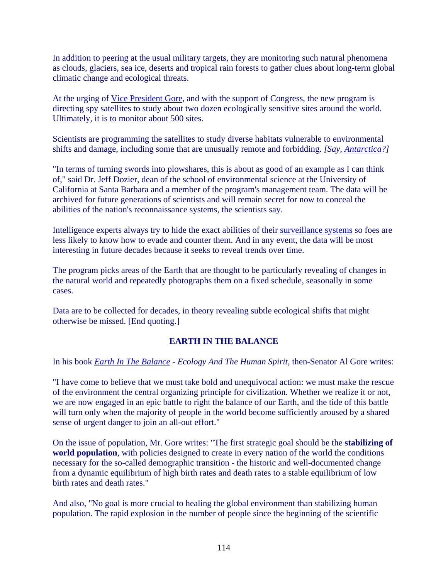In addition to peering at the usual military targets, they are monitoring such natural phenomena as clouds, glaciers, sea ice, deserts and tropical rain forests to gather clues about long-term global climatic change and ecological threats.

At the urging of [Vice President Gore](http://washingtonpost.com/wp-srv/politics/campaigns/galleries/lifeofgore/splash.htm), and with the support of Congress, the new program is directing spy satellites to study about two dozen ecologically sensitive sites around the world. Ultimately, it is to monitor about 500 sites.

Scientists are programming the satellites to study diverse habitats vulnerable to environmental shifts and damage, including some that are unusually remote and forbidding. *[Say, [Antarctica?](http://astro.uchicago.edu/cara/vtour/)]*

"In terms of turning swords into plowshares, this is about as good of an example as I can think of," said Dr. Jeff Dozier, dean of the school of environmental science at the University of California at Santa Barbara and a member of the program's management team. The data will be archived for future generations of scientists and will remain secret for now to conceal the abilities of the nation's reconnaissance systems, the scientists say.

Intelligence experts always try to hide the exact abilities of their [surveillance systems](http://www.shoptheplaza.com/1spy/menu.html) so foes are less likely to know how to evade and counter them. And in any event, the data will be most interesting in future decades because it seeks to reveal trends over time.

The program picks areas of the Earth that are thought to be particularly revealing of changes in the natural world and repeatedly photographs them on a fixed schedule, seasonally in some cases.

Data are to be collected for decades, in theory revealing subtle ecological shifts that might otherwise be missed. [End quoting.]

# **EARTH IN THE BALANCE**

In his book *[Earth In The Balance](http://www2.southwind.net/%7Ejeremiah/earth2.html) - Ecology And The Human Spirit*, then-Senator Al Gore writes:

"I have come to believe that we must take bold and unequivocal action: we must make the rescue of the environment the central organizing principle for civilization. Whether we realize it or not, we are now engaged in an epic battle to right the balance of our Earth, and the tide of this battle will turn only when the majority of people in the world become sufficiently aroused by a shared sense of urgent danger to join an all-out effort."

On the issue of population, Mr. Gore writes: "The first strategic goal should be the **stabilizing of world population**, with policies designed to create in every nation of the world the conditions necessary for the so-called demographic transition - the historic and well-documented change from a dynamic equilibrium of high birth rates and death rates to a stable equilibrium of low birth rates and death rates."

And also, "No goal is more crucial to healing the global environment than stabilizing human population. The rapid explosion in the number of people since the beginning of the scientific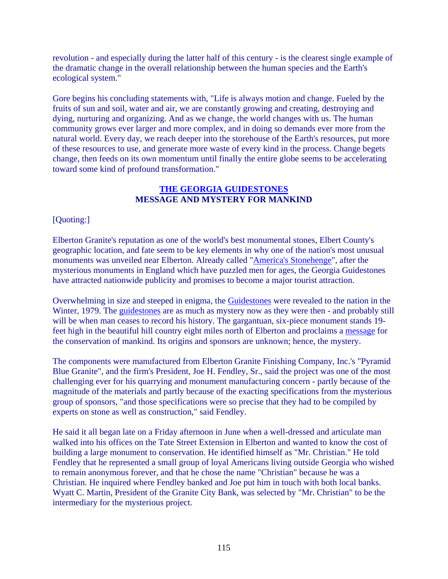revolution - and especially during the latter half of this century - is the clearest single example of the dramatic change in the overall relationship between the human species and the Earth's ecological system."

Gore begins his concluding statements with, "Life is always motion and change. Fueled by the fruits of sun and soil, water and air, we are constantly growing and creating, destroying and dying, nurturing and organizing. And as we change, the world changes with us. The human community grows ever larger and more complex, and in doing so demands ever more from the natural world. Every day, we reach deeper into the storehouse of the Earth's resources, put more of these resources to use, and generate more waste of every kind in the process. Change begets change, then feeds on its own momentum until finally the entire globe seems to be accelerating toward some kind of profound transformation."

### **[THE GEORGIA GUIDESTONES](http://www.radioliberty.com/stones.htm) MESSAGE AND MYSTERY FOR MANKIND**

## [Quoting:]

Elberton Granite's reputation as one of the world's best monumental stones, Elbert County's geographic location, and fate seem to be key elements in why one of the nation's most unusual monuments was unveiled near Elberton. Already called ["America's Stonehenge](http://ngeorgia.com/site/guidestones.html)", after the mysterious monuments in England which have puzzled men for ages, the Georgia Guidestones have attracted nationwide publicity and promises to become a major tourist attraction.

Overwhelming in size and steeped in enigma, the [Guidestones](http://www.gothictomb.com/guidestones/) were revealed to the nation in the Winter, 1979. The [guidestones](http://members.aol.com/Eltanin/inquirer/guidestones/index.html) are as much as mystery now as they were then - and probably still will be when man ceases to record his history. The gargantuan, six-piece monument stands 19feet high in the beautiful hill country eight miles north of Elberton and proclaims a [message](http://home.sprynet.com/%7Eeastwood01/geoguide.htm) for the conservation of mankind. Its origins and sponsors are unknown; hence, the mystery.

The components were manufactured from Elberton Granite Finishing Company, Inc.'s "Pyramid Blue Granite", and the firm's President, Joe H. Fendley, Sr., said the project was one of the most challenging ever for his quarrying and monument manufacturing concern - partly because of the magnitude of the materials and partly because of the exacting specifications from the mysterious group of sponsors, "and those specifications were so precise that they had to be compiled by experts on stone as well as construction," said Fendley.

He said it all began late on a Friday afternoon in June when a well-dressed and articulate man walked into his offices on the Tate Street Extension in Elberton and wanted to know the cost of building a large monument to conservation. He identified himself as "Mr. Christian." He told Fendley that he represented a small group of loyal Americans living outside Georgia who wished to remain anonymous forever, and that he chose the name "Christian" because he was a Christian. He inquired where Fendley banked and Joe put him in touch with both local banks. Wyatt C. Martin, President of the Granite City Bank, was selected by "Mr. Christian" to be the intermediary for the mysterious project.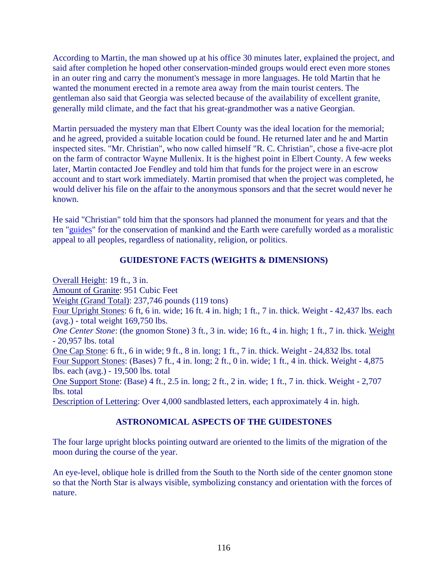According to Martin, the man showed up at his office 30 minutes later, explained the project, and said after completion he hoped other conservation-minded groups would erect even more stones in an outer ring and carry the monument's message in more languages. He told Martin that he wanted the monument erected in a remote area away from the main tourist centers. The gentleman also said that Georgia was selected because of the availability of excellent granite, generally mild climate, and the fact that his great-grandmother was a native Georgian.

Martin persuaded the mystery man that Elbert County was the ideal location for the memorial; and he agreed, provided a suitable location could be found. He returned later and he and Martin inspected sites. "Mr. Christian", who now called himself "R. C. Christian", chose a five-acre plot on the farm of contractor Wayne Mullenix. It is the highest point in Elbert County. A few weeks later, Martin contacted Joe Fendley and told him that funds for the project were in an escrow account and to start work immediately. Martin promised that when the project was completed, he would deliver his file on the affair to the anonymous sponsors and that the secret would never he known.

He said "Christian" told him that the sponsors had planned the monument for years and that the ten "[guides"](http://www.catholic-dispatch.com/guidestones.htm) for the conservation of mankind and the Earth were carefully worded as a moralistic appeal to all peoples, regardless of nationality, religion, or politics.

## **GUIDESTONE FACTS (WEIGHTS & DIMENSIONS)**

Overall Height: 19 ft., 3 in. Amount of Granite: 951 Cubic Feet Weight (Grand Total): 237,746 pounds (119 tons) Four Upright Stones: 6 ft, 6 in. wide; 16 ft. 4 in. high; 1 ft., 7 in. thick. Weight - 42,437 lbs. each (avg.) - total weight 169,750 lbs. *One Center Stone*: (the gnomon Stone) 3 ft., 3 in. wide; 16 ft., 4 in. high; 1 ft., 7 in. thick. Weight - 20,957 lbs. total One Cap Stone: 6 ft., 6 in wide; 9 ft., 8 in. long; 1 ft., 7 in. thick. Weight - 24,832 lbs. total Four Support Stones: (Bases) 7 ft., 4 in. long; 2 ft., 0 in. wide; 1 ft., 4 in. thick. Weight - 4,875 lbs. each (avg.) - 19,500 lbs. total One Support Stone: (Base) 4 ft., 2.5 in. long; 2 ft., 2 in. wide; 1 ft., 7 in. thick. Weight - 2,707 lbs. total Description of Lettering: Over 4,000 sandblasted letters, each approximately 4 in. high.

### **ASTRONOMICAL ASPECTS OF THE GUIDESTONES**

The four large upright blocks pointing outward are oriented to the limits of the migration of the moon during the course of the year.

An eye-level, oblique hole is drilled from the South to the North side of the center gnomon stone so that the North Star is always visible, symbolizing constancy and orientation with the forces of nature.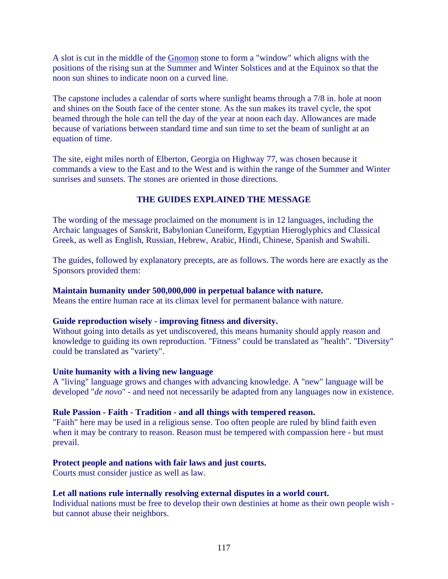A slot is cut in the middle of the [Gnomon](http://dictionary.msn.com/find/entry.asp?refid=1861614390&wwi=37869) stone to form a "window" which aligns with the positions of the rising sun at the Summer and Winter Solstices and at the Equinox so that the noon sun shines to indicate noon on a curved line.

The capstone includes a calendar of sorts where sunlight beams through a 7/8 in. hole at noon and shines on the South face of the center stone. As the sun makes its travel cycle, the spot beamed through the hole can tell the day of the year at noon each day. Allowances are made because of variations between standard time and sun time to set the beam of sunlight at an equation of time.

The site, eight miles north of Elberton, Georgia on Highway 77, was chosen because it commands a view to the East and to the West and is within the range of the Summer and Winter sunrises and sunsets. The stones are oriented in those directions.

### **THE GUIDES EXPLAINED THE MESSAGE**

The wording of the message proclaimed on the monument is in 12 languages, including the Archaic languages of Sanskrit, Babylonian Cuneiform, Egyptian Hieroglyphics and Classical Greek, as well as English, Russian, Hebrew, Arabic, Hindi, Chinese, Spanish and Swahili.

The guides, followed by explanatory precepts, are as follows. The words here are exactly as the Sponsors provided them:

#### **Maintain humanity under 500,000,000 in perpetual balance with nature.**

Means the entire human race at its climax level for permanent balance with nature.

#### **Guide reproduction wisely - improving fitness and diversity.**

Without going into details as yet undiscovered, this means humanity should apply reason and knowledge to guiding its own reproduction. "Fitness" could be translated as "health". "Diversity" could be translated as "variety".

#### **Unite humanity with a living new language**

A "living" language grows and changes with advancing knowledge. A "new" language will be developed "*de novo*" - and need not necessarily be adapted from any languages now in existence.

### **Rule Passion - Faith - Tradition - and all things with tempered reason.**

"Faith" here may be used in a religious sense. Too often people are ruled by blind faith even when it may be contrary to reason. Reason must be tempered with compassion here - but must prevail.

### **Protect people and nations with fair laws and just courts.**

Courts must consider justice as well as law.

#### **Let all nations rule internally resolving external disputes in a world court.**

Individual nations must be free to develop their own destinies at home as their own people wish but cannot abuse their neighbors.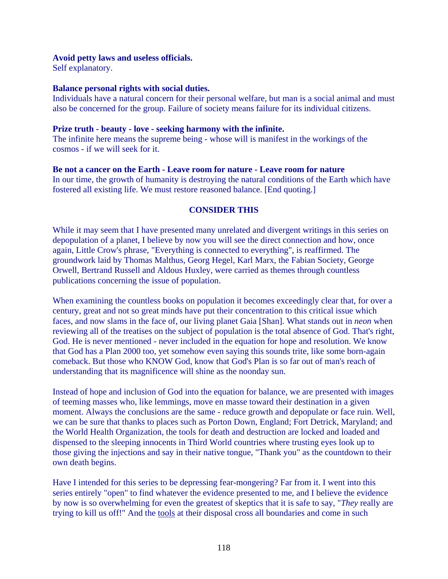#### **Avoid petty laws and useless officials.**

Self explanatory.

#### **Balance personal rights with social duties.**

Individuals have a natural concern for their personal welfare, but man is a social animal and must also be concerned for the group. Failure of society means failure for its individual citizens.

### **Prize truth - beauty - love - seeking harmony with the infinite.**

The infinite here means the supreme being - whose will is manifest in the workings of the cosmos - if we will seek for it.

#### **Be not a cancer on the Earth - Leave room for nature - Leave room for nature**

In our time, the growth of humanity is destroying the natural conditions of the Earth which have fostered all existing life. We must restore reasoned balance. [End quoting.]

#### **CONSIDER THIS**

While it may seem that I have presented many unrelated and divergent writings in this series on depopulation of a planet, I believe by now you will see the direct connection and how, once again, Little Crow's phrase, "Everything is connected to everything", is reaffirmed. The groundwork laid by Thomas Malthus, Georg Hegel, Karl Marx, the Fabian Society, George Orwell, Bertrand Russell and Aldous Huxley, were carried as themes through countless publications concerning the issue of population.

When examining the countless books on population it becomes exceedingly clear that, for over a century, great and not so great minds have put their concentration to this critical issue which faces, and now slams in the face of, our living planet Gaia [Shan]. What stands out in *neon* when reviewing all of the treatises on the subject of population is the total absence of God. That's right, God. He is never mentioned - never included in the equation for hope and resolution. We know that God has a Plan 2000 too, yet somehow even saying this sounds trite, like some born-again comeback. But those who KNOW God, know that God's Plan is so far out of man's reach of understanding that its magnificence will shine as the noonday sun.

Instead of hope and inclusion of God into the equation for balance, we are presented with images of teeming masses who, like lemmings, move en masse toward their destination in a given moment. Always the conclusions are the same - reduce growth and depopulate or face ruin. Well, we can be sure that thanks to places such as Porton Down, England; Fort Detrick, Maryland; and the World Health Organization, the tools for death and destruction are locked and loaded and dispensed to the sleeping innocents in Third World countries where trusting eyes look up to those giving the injections and say in their native tongue, "Thank you" as the countdown to their own death begins.

Have I intended for this series to be depressing fear-mongering? Far from it. I went into this series entirely "open" to find whatever the evidence presented to me, and I believe the evidence by now is so overwhelming for even the greatest of skeptics that it is safe to say, "*They* really are trying to kill us off!" And the tools at their disposal cross all boundaries and come in such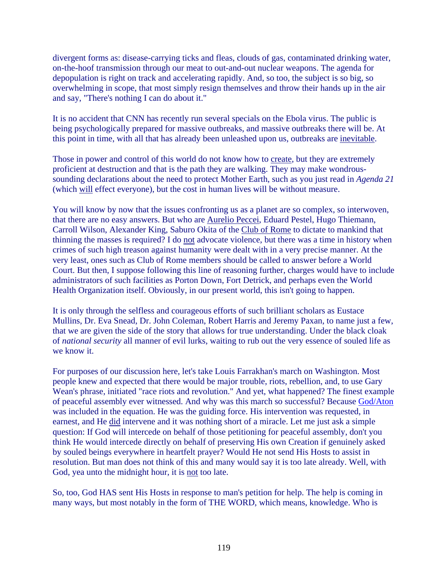divergent forms as: disease-carrying ticks and fleas, clouds of gas, contaminated drinking water, on-the-hoof transmission through our meat to out-and-out nuclear weapons. The agenda for depopulation is right on track and accelerating rapidly. And, so too, the subject is so big, so overwhelming in scope, that most simply resign themselves and throw their hands up in the air and say, "There's nothing I can do about it."

It is no accident that CNN has recently run several specials on the Ebola virus. The public is being psychologically prepared for massive outbreaks, and massive outbreaks there will be. At this point in time, with all that has already been unleashed upon us, outbreaks are inevitable.

Those in power and control of this world do not know how to create, but they are extremely proficient at destruction and that is the path they are walking. They may make wondroussounding declarations about the need to protect Mother Earth, such as you just read in *Agenda 21* (which will effect everyone), but the cost in human lives will be without measure.

You will know by now that the issues confronting us as a planet are so complex, so interwoven, that there are no easy answers. But who are Aurelio Peccei, Eduard Pestel, Hugo Thiemann, Carroll Wilson, Alexander King, Saburo Okita of the Club of Rome to dictate to mankind that thinning the masses is required? I do not advocate violence, but there was a time in history when crimes of such high treason against humanity were dealt with in a very precise manner. At the very least, ones such as Club of Rome members should be called to answer before a World Court. But then, I suppose following this line of reasoning further, charges would have to include administrators of such facilities as Porton Down, Fort Detrick, and perhaps even the World Health Organization itself. Obviously, in our present world, this isn't going to happen.

It is only through the selfless and courageous efforts of such brilliant scholars as Eustace Mullins, Dr. Eva Snead, Dr. John Coleman, Robert Harris and Jeremy Paxan, to name just a few, that we are given the side of the story that allows for true understanding. Under the black cloak of *national security* all manner of evil lurks, waiting to rub out the very essence of souled life as we know it.

For purposes of our discussion here, let's take Louis Farrakhan's march on Washington. Most people knew and expected that there would be major trouble, riots, rebellion, and, to use Gary Wean's phrase, initiated "race riots and revolution." And yet, what happened? The finest example of peaceful assembly ever witnessed. And why was this march so successful? Because [God/Aton](http://searchpdf.adobe.com/proxies/0/74/71/7.html) was included in the equation. He was the guiding force. His intervention was requested, in earnest, and He did intervene and it was nothing short of a miracle. Let me just ask a simple question: If God will intercede on behalf of those petitioning for peaceful assembly, don't you think He would intercede directly on behalf of preserving His own Creation if genuinely asked by souled beings everywhere in heartfelt prayer? Would He not send His Hosts to assist in resolution. But man does not think of this and many would say it is too late already. Well, with God, yea unto the midnight hour, it is not too late.

So, too, God HAS sent His Hosts in response to man's petition for help. The help is coming in many ways, but most notably in the form of THE WORD, which means, knowledge. Who is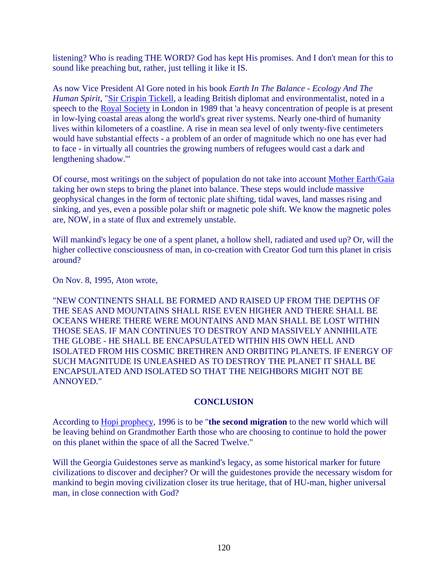listening? Who is reading THE WORD? God has kept His promises. And I don't mean for this to sound like preaching but, rather, just telling it like it IS.

As now Vice President Al Gore noted in his book *Earth In The Balance - Ecology And The Human Spirit*, "[Sir Crispin Tickell](http://www.sciencenet.org.uk/slup/Opinion/ctickell.html), a leading British diplomat and environmentalist, noted in a speech to the [Royal Society](http://www.royalsoc.ac.uk/) in London in 1989 that 'a heavy concentration of people is at present in low-lying coastal areas along the world's great river systems. Nearly one-third of humanity lives within kilometers of a coastline. A rise in mean sea level of only twenty-five centimeters would have substantial effects - a problem of an order of magnitude which no one has ever had to face - in virtually all countries the growing numbers of refugees would cast a dark and lengthening shadow.'"

Of course, most writings on the subject of population do not take into account [Mother Earth/Gaia](http://www.kheper.auz.com/gaia/Gaia.htm) taking her own steps to bring the planet into balance. These steps would include massive geophysical changes in the form of tectonic plate shifting, tidal waves, land masses rising and sinking, and yes, even a possible polar shift or magnetic pole shift. We know the magnetic poles are, NOW, in a state of flux and extremely unstable.

Will mankind's legacy be one of a spent planet, a hollow shell, radiated and used up? Or, will the higher collective consciousness of man, in co-creation with Creator God turn this planet in crisis around?

On Nov. 8, 1995, Aton wrote,

"NEW CONTINENTS SHALL BE FORMED AND RAISED UP FROM THE DEPTHS OF THE SEAS AND MOUNTAINS SHALL RISE EVEN HIGHER AND THERE SHALL BE OCEANS WHERE THERE WERE MOUNTAINS AND MAN SHALL BE LOST WITHIN THOSE SEAS. IF MAN CONTINUES TO DESTROY AND MASSIVELY ANNIHILATE THE GLOBE - HE SHALL BE ENCAPSULATED WITHIN HIS OWN HELL AND ISOLATED FROM HIS COSMIC BRETHREN AND ORBITING PLANETS. IF ENERGY OF SUCH MAGNITUDE IS UNLEASHED AS TO DESTROY THE PLANET IT SHALL BE ENCAPSULATED AND ISOLATED SO THAT THE NEIGHBORS MIGHT NOT BE ANNOYED."

### **CONCLUSION**

According to [Hopi prophecy,](http://geocities.com/newageinternational/Hopi.html) 1996 is to be "**the second migration** to the new world which will be leaving behind on Grandmother Earth those who are choosing to continue to hold the power on this planet within the space of all the Sacred Twelve."

Will the Georgia Guidestones serve as mankind's legacy, as some historical marker for future civilizations to discover and decipher? Or will the guidestones provide the necessary wisdom for mankind to begin moving civilization closer its true heritage, that of HU-man, higher universal man, in close connection with God?